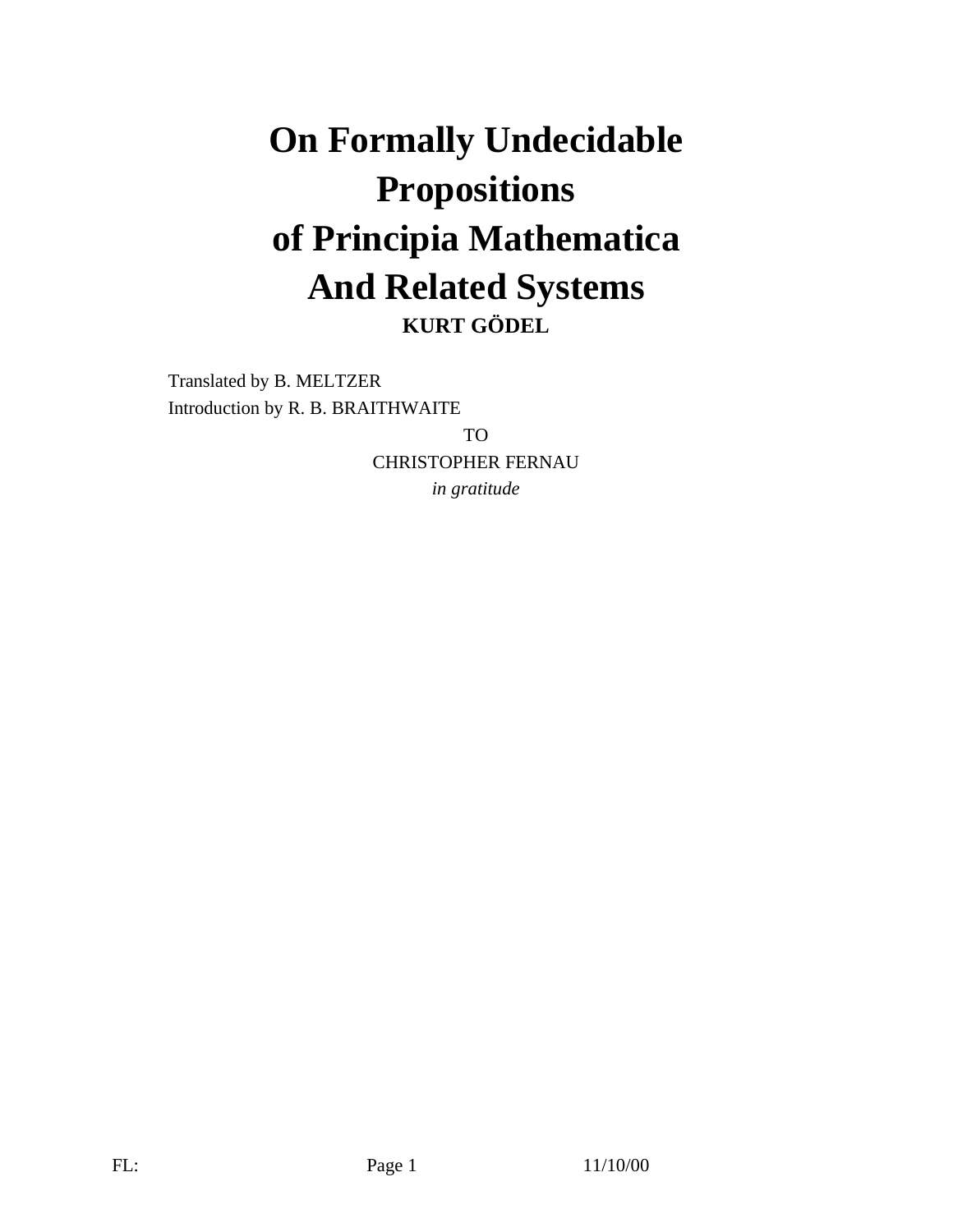# **On Formally Undecidable Propositions of Principia Mathematica And Related Systems KURT GÖDEL**

Translated by B. MELTZER Introduction by R. B. BRAITHWAITE TO CHRISTOPHER FERNAU *in gratitude*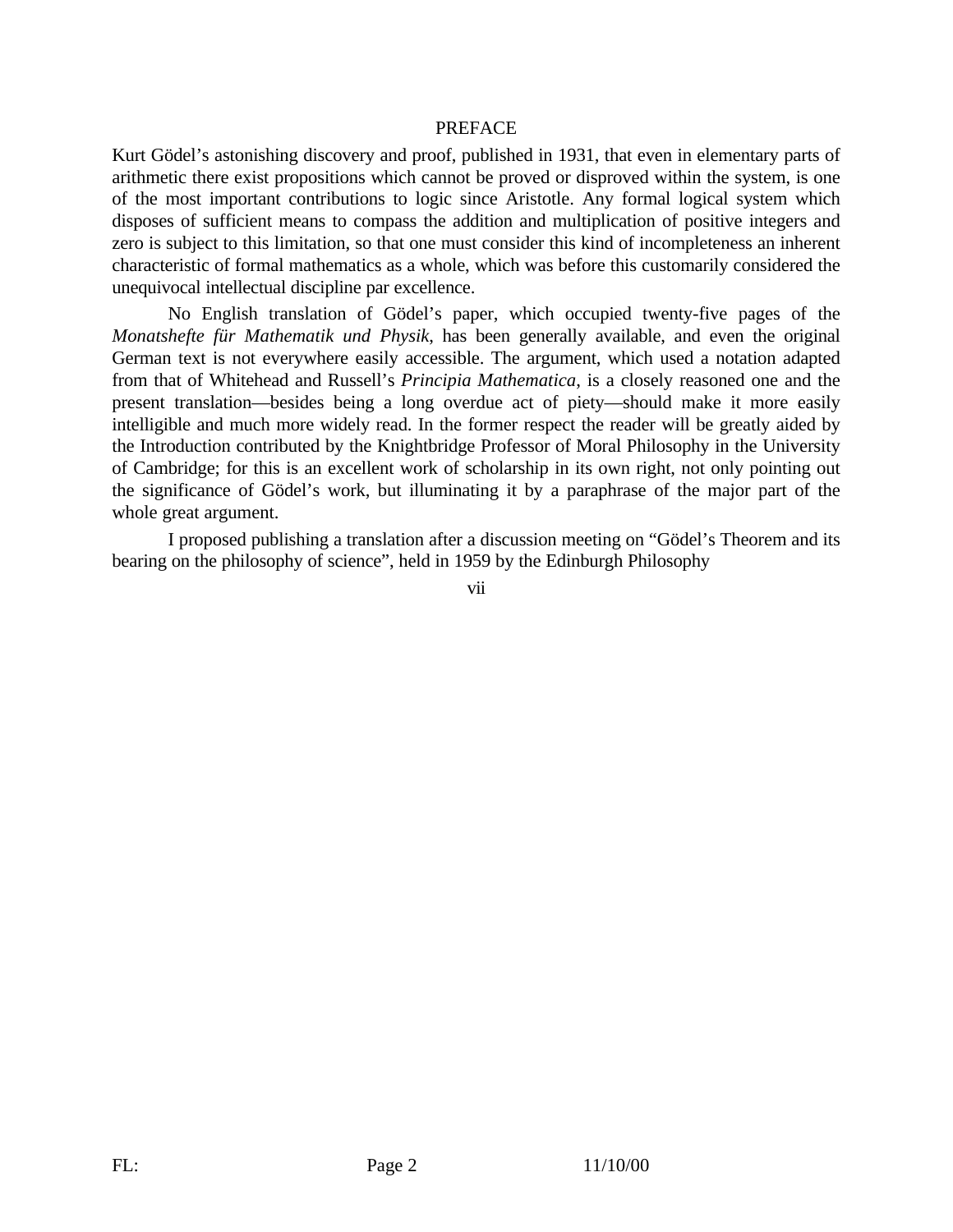# PREFACE

Kurt Gödel's astonishing discovery and proof, published in 1931, that even in elementary parts of arithmetic there exist propositions which cannot be proved or disproved within the system, is one of the most important contributions to logic since Aristotle. Any formal logical system which disposes of sufficient means to compass the addition and multiplication of positive integers and zero is subject to this limitation, so that one must consider this kind of incompleteness an inherent characteristic of formal mathematics as a whole, which was before this customarily considered the unequivocal intellectual discipline par excellence.

No English translation of Gödel's paper, which occupied twenty-five pages of the *Monatshefte für Mathematik und Physik*, has been generally available, and even the original German text is not everywhere easily accessible. The argument, which used a notation adapted from that of Whitehead and Russell's *Principia Mathematica*, is a closely reasoned one and the present translation—besides being a long overdue act of piety—should make it more easily intelligible and much more widely read. In the former respect the reader will be greatly aided by the Introduction contributed by the Knightbridge Professor of Moral Philosophy in the University of Cambridge; for this is an excellent work of scholarship in its own right, not only pointing out the significance of Gödel's work, but illuminating it by a paraphrase of the major part of the whole great argument.

I proposed publishing a translation after a discussion meeting on "Gödel's Theorem and its bearing on the philosophy of science", held in 1959 by the Edinburgh Philosophy

vii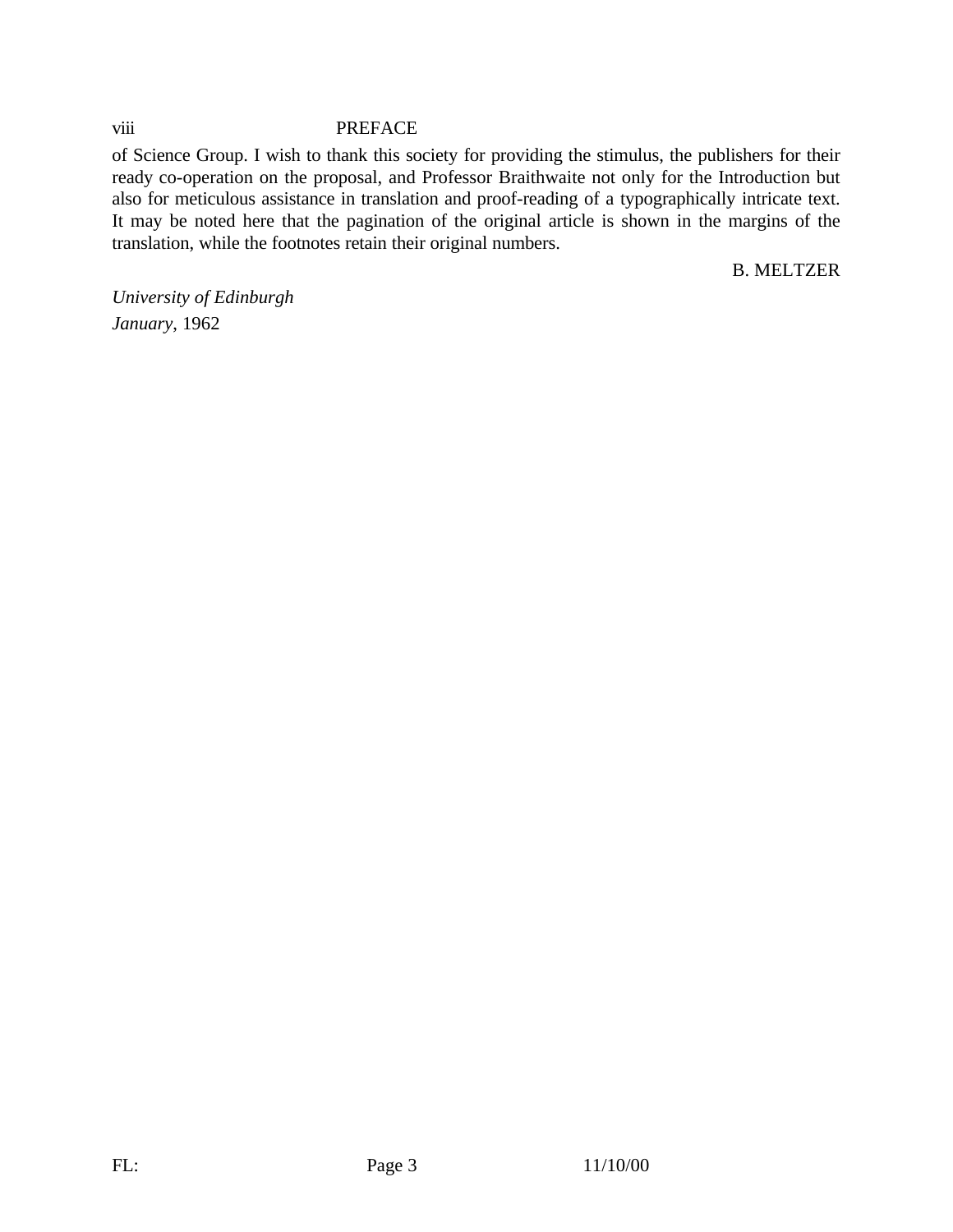# viii PREFACE

of Science Group. I wish to thank this society for providing the stimulus, the publishers for their ready co-operation on the proposal, and Professor Braithwaite not only for the Introduction but also for meticulous assistance in translation and proof-reading of a typographically intricate text. It may be noted here that the pagination of the original article is shown in the margins of the translation, while the footnotes retain their original numbers.

B. MELTZER

*University of Edinburgh January*, 1962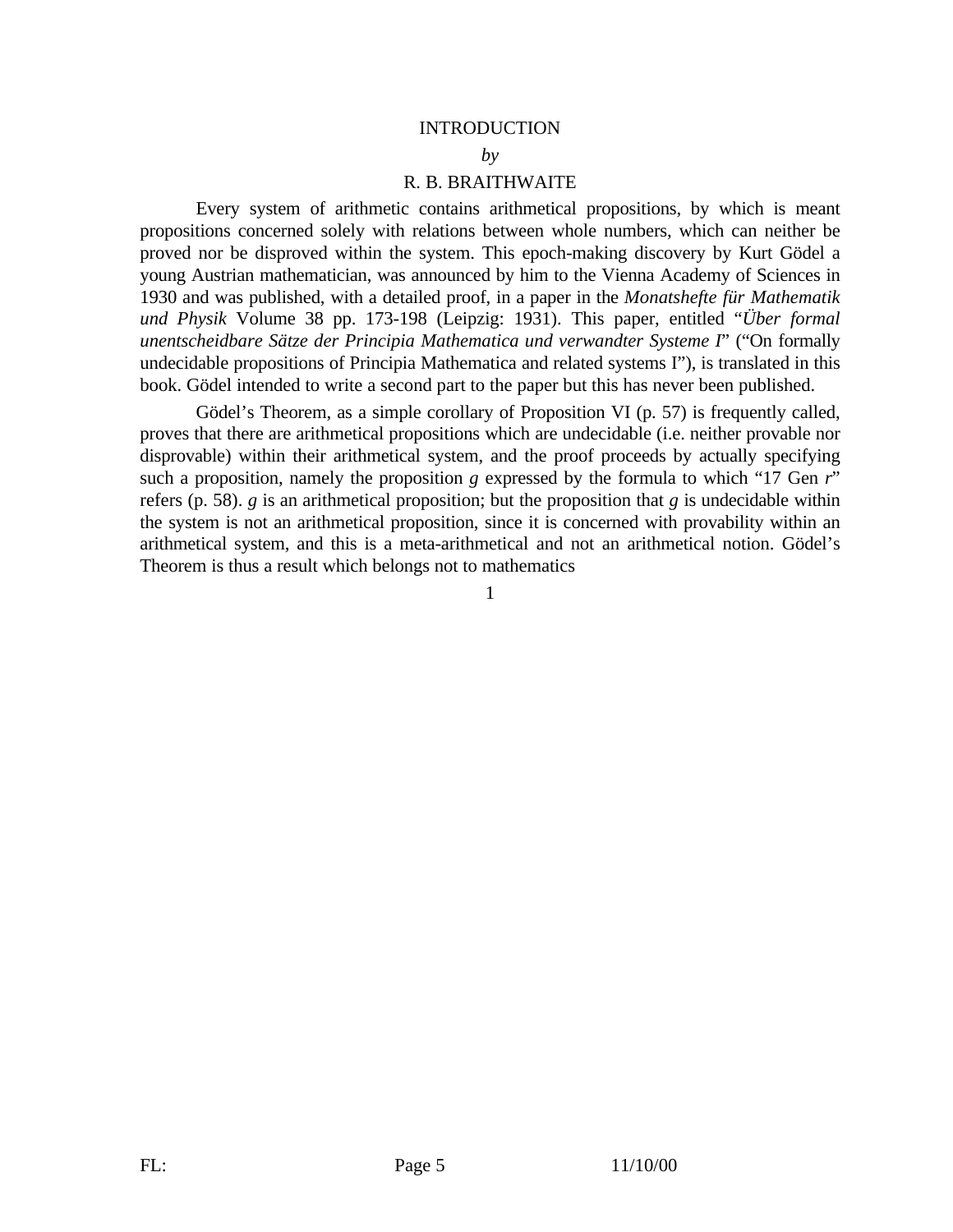#### *by*

## R. B. BRAITHWAITE

Every system of arithmetic contains arithmetical propositions, by which is meant propositions concerned solely with relations between whole numbers, which can neither be proved nor be disproved within the system. This epoch-making discovery by Kurt Gödel a young Austrian mathematician, was announced by him to the Vienna Academy of Sciences in 1930 and was published, with a detailed proof, in a paper in the *Monatshefte für Mathematik und Physik* Volume 38 pp. 173-198 (Leipzig: 1931). This paper, entitled "*Über formal unentscheidbare Sätze der Principia Mathematica und verwandter Systeme I*" ("On formally undecidable propositions of Principia Mathematica and related systems I"), is translated in this book. Gödel intended to write a second part to the paper but this has never been published.

Gödel's Theorem, as a simple corollary of Proposition VI (p. 57) is frequently called, proves that there are arithmetical propositions which are undecidable (i.e. neither provable nor disprovable) within their arithmetical system, and the proof proceeds by actually specifying such a proposition, namely the proposition *g* expressed by the formula to which "17 Gen *r*" refers (p. 58). *g* is an arithmetical proposition; but the proposition that *g* is undecidable within the system is not an arithmetical proposition, since it is concerned with provability within an arithmetical system, and this is a meta-arithmetical and not an arithmetical notion. Gödel's Theorem is thus a result which belongs not to mathematics

1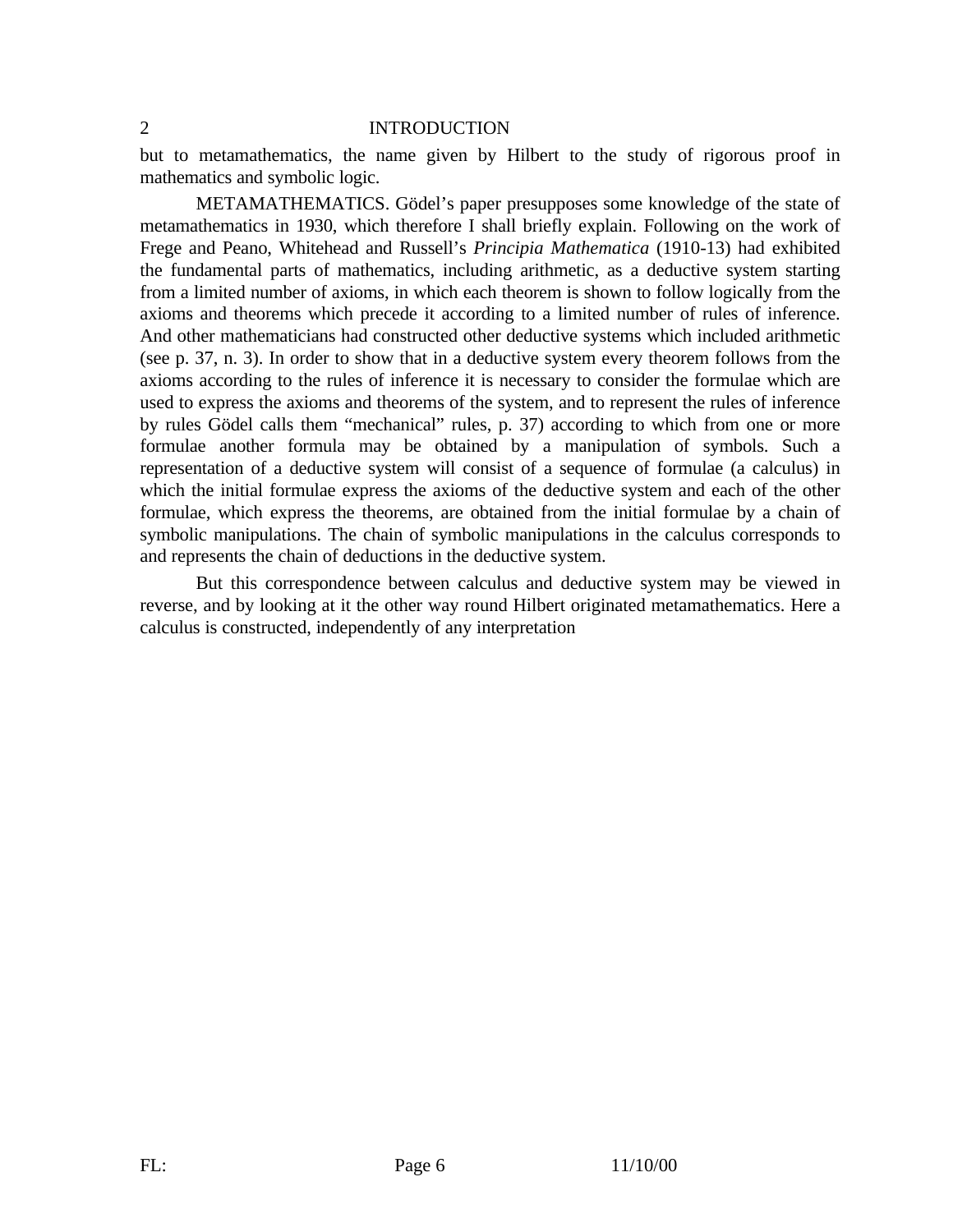but to metamathematics, the name given by Hilbert to the study of rigorous proof in mathematics and symbolic logic.

METAMATHEMATICS. Gödel's paper presupposes some knowledge of the state of metamathematics in 1930, which therefore I shall briefly explain. Following on the work of Frege and Peano, Whitehead and Russell's *Principia Mathematica* (1910-13) had exhibited the fundamental parts of mathematics, including arithmetic, as a deductive system starting from a limited number of axioms, in which each theorem is shown to follow logically from the axioms and theorems which precede it according to a limited number of rules of inference. And other mathematicians had constructed other deductive systems which included arithmetic (see p. 37, n. 3). In order to show that in a deductive system every theorem follows from the axioms according to the rules of inference it is necessary to consider the formulae which are used to express the axioms and theorems of the system, and to represent the rules of inference by rules Gödel calls them "mechanical" rules, p. 37) according to which from one or more formulae another formula may be obtained by a manipulation of symbols. Such a representation of a deductive system will consist of a sequence of formulae (a calculus) in which the initial formulae express the axioms of the deductive system and each of the other formulae, which express the theorems, are obtained from the initial formulae by a chain of symbolic manipulations. The chain of symbolic manipulations in the calculus corresponds to and represents the chain of deductions in the deductive system.

But this correspondence between calculus and deductive system may be viewed in reverse, and by looking at it the other way round Hilbert originated metamathematics. Here a calculus is constructed, independently of any interpretation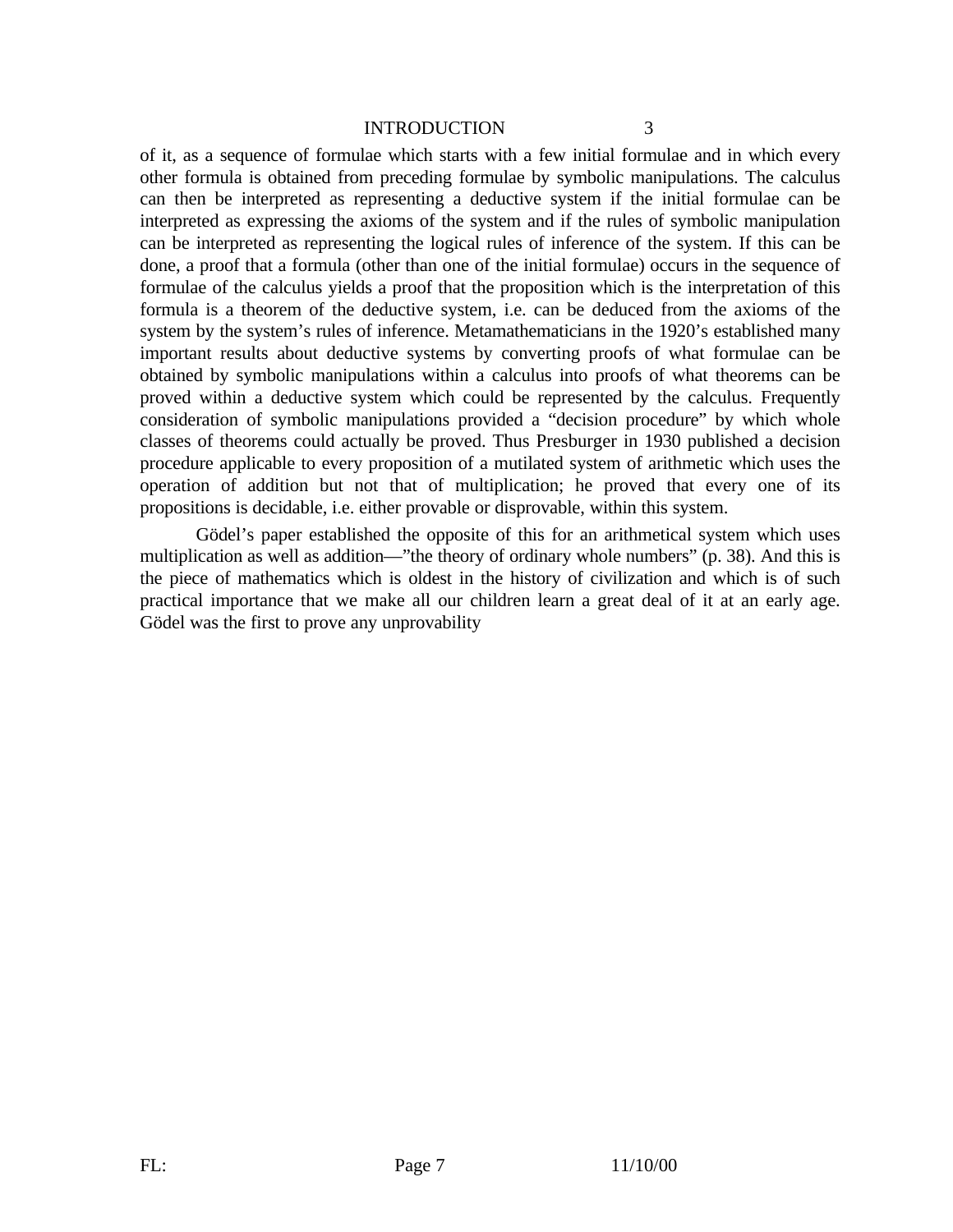of it, as a sequence of formulae which starts with a few initial formulae and in which every other formula is obtained from preceding formulae by symbolic manipulations. The calculus can then be interpreted as representing a deductive system if the initial formulae can be interpreted as expressing the axioms of the system and if the rules of symbolic manipulation can be interpreted as representing the logical rules of inference of the system. If this can be done, a proof that a formula (other than one of the initial formulae) occurs in the sequence of formulae of the calculus yields a proof that the proposition which is the interpretation of this formula is a theorem of the deductive system, i.e. can be deduced from the axioms of the system by the system's rules of inference. Metamathematicians in the 1920's established many important results about deductive systems by converting proofs of what formulae can be obtained by symbolic manipulations within a calculus into proofs of what theorems can be proved within a deductive system which could be represented by the calculus. Frequently consideration of symbolic manipulations provided a "decision procedure" by which whole classes of theorems could actually be proved. Thus Presburger in 1930 published a decision procedure applicable to every proposition of a mutilated system of arithmetic which uses the operation of addition but not that of multiplication; he proved that every one of its propositions is decidable, i.e. either provable or disprovable, within this system.

Gödel's paper established the opposite of this for an arithmetical system which uses multiplication as well as addition—"the theory of ordinary whole numbers" (p. 38). And this is the piece of mathematics which is oldest in the history of civilization and which is of such practical importance that we make all our children learn a great deal of it at an early age. Gödel was the first to prove any unprovability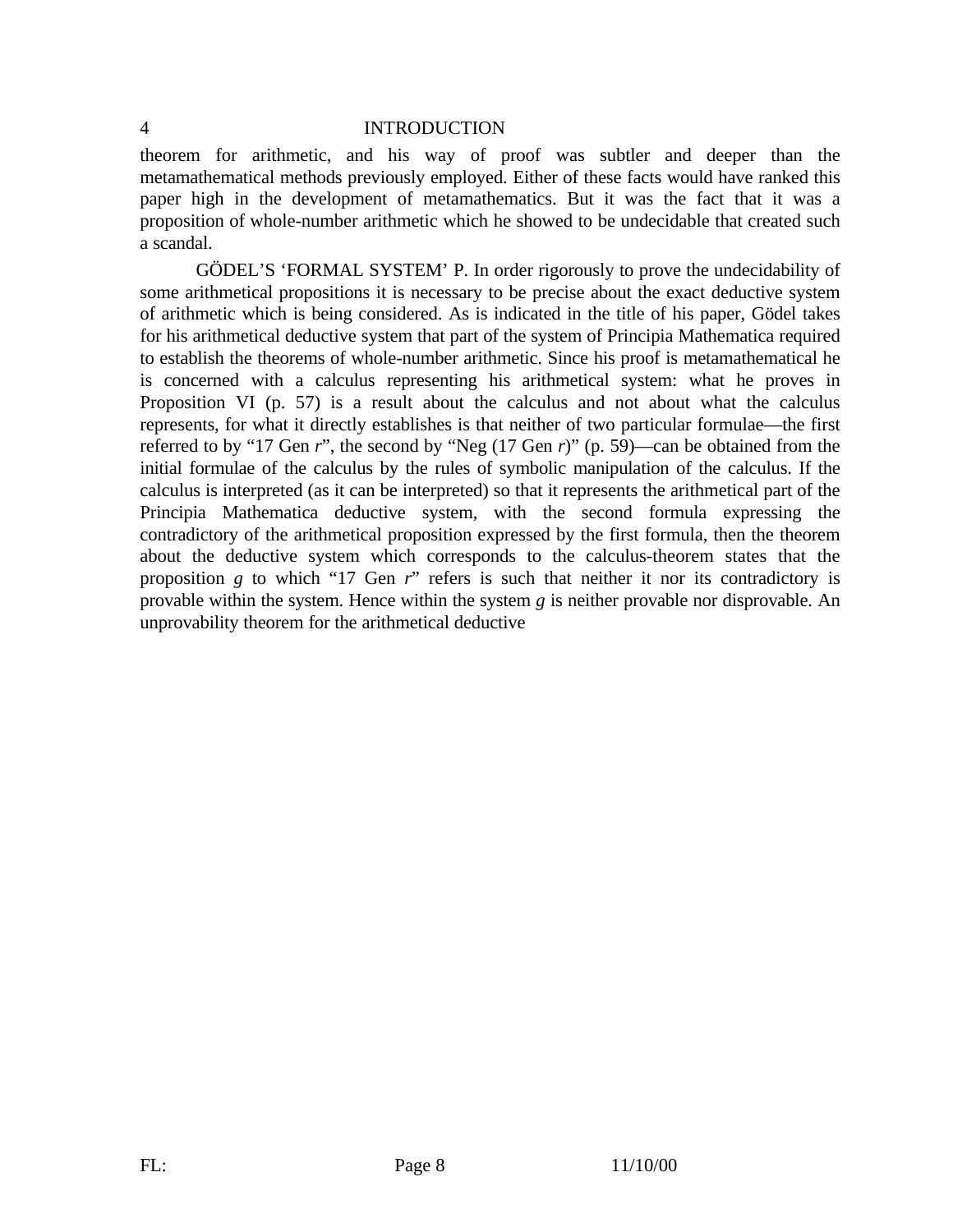theorem for arithmetic, and his way of proof was subtler and deeper than the metamathematical methods previously employed. Either of these facts would have ranked this paper high in the development of metamathematics. But it was the fact that it was a proposition of whole-number arithmetic which he showed to be undecidable that created such a scandal.

GÖDEL'S 'FORMAL SYSTEM' P. In order rigorously to prove the undecidability of some arithmetical propositions it is necessary to be precise about the exact deductive system of arithmetic which is being considered. As is indicated in the title of his paper, Gödel takes for his arithmetical deductive system that part of the system of Principia Mathematica required to establish the theorems of whole-number arithmetic. Since his proof is metamathematical he is concerned with a calculus representing his arithmetical system: what he proves in Proposition VI (p. 57) is a result about the calculus and not about what the calculus represents, for what it directly establishes is that neither of two particular formulae—the first referred to by "17 Gen *r*", the second by "Neg (17 Gen *r*)" (p. 59)—can be obtained from the initial formulae of the calculus by the rules of symbolic manipulation of the calculus. If the calculus is interpreted (as it can be interpreted) so that it represents the arithmetical part of the Principia Mathematica deductive system, with the second formula expressing the contradictory of the arithmetical proposition expressed by the first formula, then the theorem about the deductive system which corresponds to the calculus-theorem states that the proposition *g* to which "17 Gen *r*" refers is such that neither it nor its contradictory is provable within the system. Hence within the system *g* is neither provable nor disprovable. An unprovability theorem for the arithmetical deductive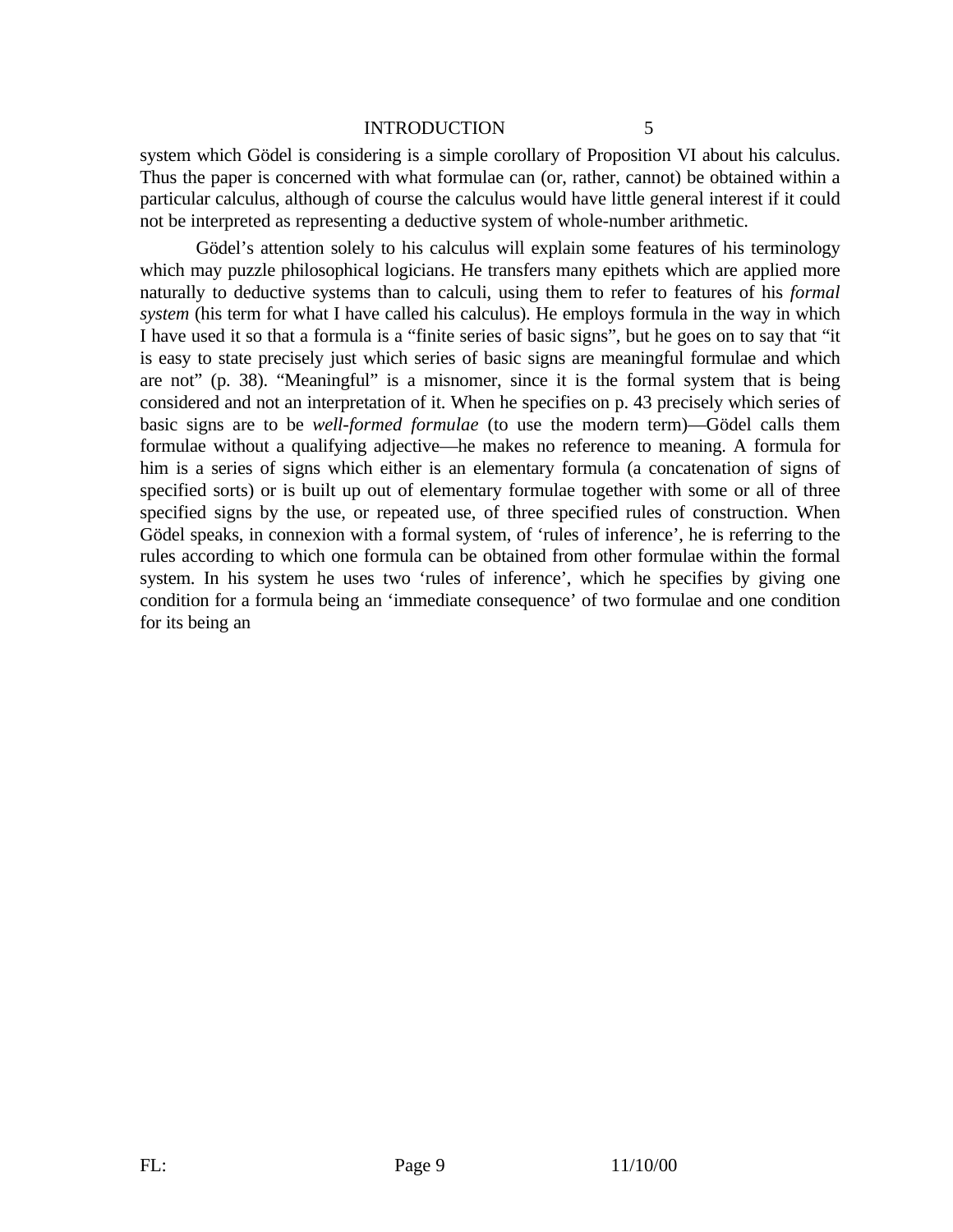system which Gödel is considering is a simple corollary of Proposition VI about his calculus. Thus the paper is concerned with what formulae can (or, rather, cannot) be obtained within a particular calculus, although of course the calculus would have little general interest if it could not be interpreted as representing a deductive system of whole-number arithmetic.

Gödel's attention solely to his calculus will explain some features of his terminology which may puzzle philosophical logicians. He transfers many epithets which are applied more naturally to deductive systems than to calculi, using them to refer to features of his *formal system* (his term for what I have called his calculus). He employs formula in the way in which I have used it so that a formula is a "finite series of basic signs", but he goes on to say that "it is easy to state precisely just which series of basic signs are meaningful formulae and which are not" (p. 38). "Meaningful" is a misnomer, since it is the formal system that is being considered and not an interpretation of it. When he specifies on p. 43 precisely which series of basic signs are to be *well*-*formed formulae* (to use the modern term)—Gödel calls them formulae without a qualifying adjective—he makes no reference to meaning. A formula for him is a series of signs which either is an elementary formula (a concatenation of signs of specified sorts) or is built up out of elementary formulae together with some or all of three specified signs by the use, or repeated use, of three specified rules of construction. When Gödel speaks, in connexion with a formal system, of 'rules of inference', he is referring to the rules according to which one formula can be obtained from other formulae within the formal system. In his system he uses two 'rules of inference', which he specifies by giving one condition for a formula being an 'immediate consequence' of two formulae and one condition for its being an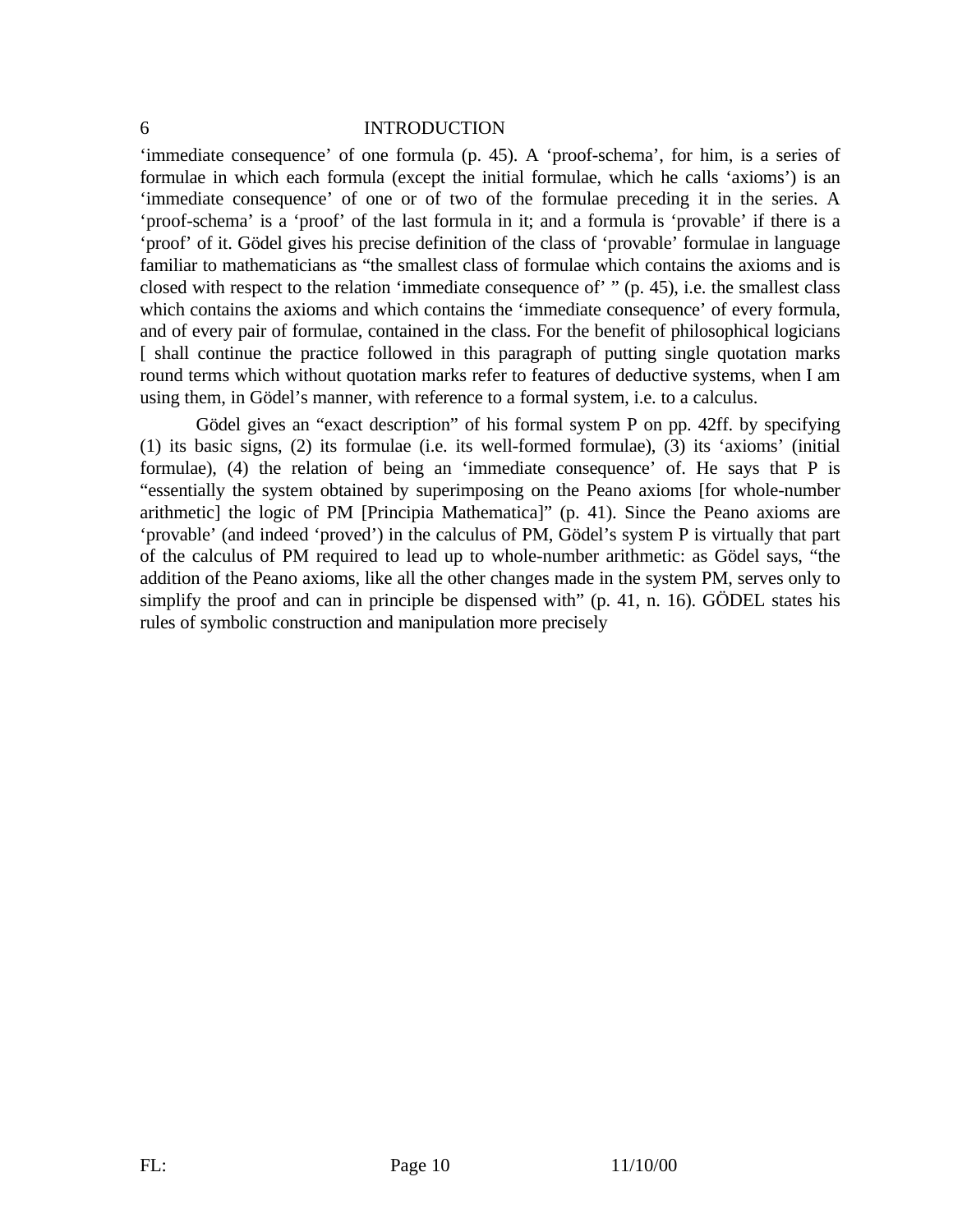'immediate consequence' of one formula (p. 45). A 'proof-schema', for him, is a series of formulae in which each formula (except the initial formulae, which he calls 'axioms') is an 'immediate consequence' of one or of two of the formulae preceding it in the series. A 'proof-schema' is a 'proof' of the last formula in it; and a formula is 'provable' if there is a 'proof' of it. Gödel gives his precise definition of the class of 'provable' formulae in language familiar to mathematicians as "the smallest class of formulae which contains the axioms and is closed with respect to the relation 'immediate consequence of' " (p. 45), i.e. the smallest class which contains the axioms and which contains the 'immediate consequence' of every formula, and of every pair of formulae, contained in the class. For the benefit of philosophical logicians [ shall continue the practice followed in this paragraph of putting single quotation marks round terms which without quotation marks refer to features of deductive systems, when I am using them, in Gödel's manner, with reference to a formal system, i.e. to a calculus.

Gödel gives an "exact description" of his formal system P on pp. 42ff. by specifying (1) its basic signs, (2) its formulae (i.e. its well-formed formulae), (3) its 'axioms' (initial formulae), (4) the relation of being an 'immediate consequence' of. He says that P is "essentially the system obtained by superimposing on the Peano axioms [for whole-number arithmetic] the logic of PM [Principia Mathematica]" (p. 41). Since the Peano axioms are 'provable' (and indeed 'proved') in the calculus of PM, Gödel's system P is virtually that part of the calculus of PM required to lead up to whole-number arithmetic: as Gödel says, "the addition of the Peano axioms, like all the other changes made in the system PM, serves only to simplify the proof and can in principle be dispensed with" (p. 41, n. 16). GÖDEL states his rules of symbolic construction and manipulation more precisely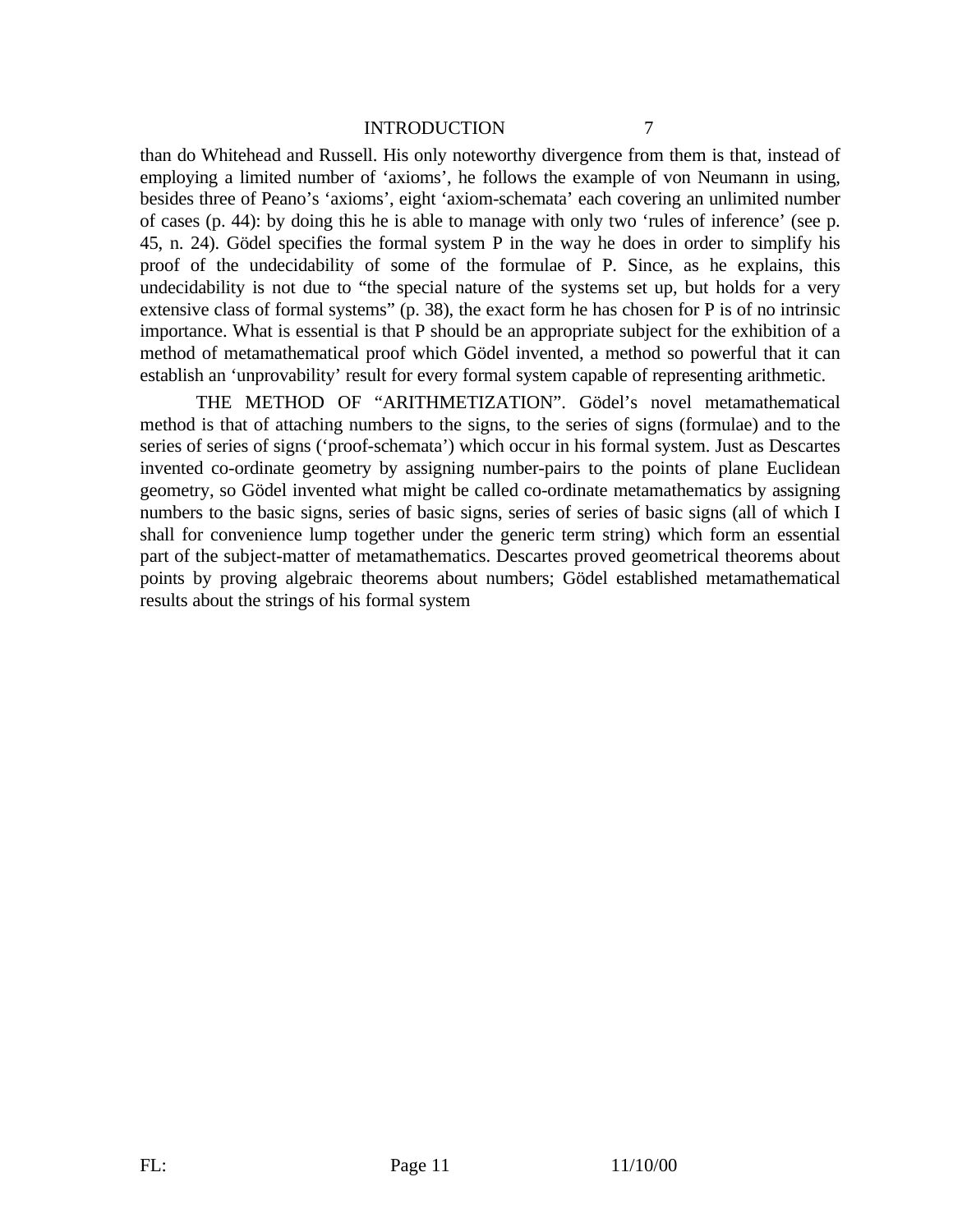than do Whitehead and Russell. His only noteworthy divergence from them is that, instead of employing a limited number of 'axioms', he follows the example of von Neumann in using, besides three of Peano's 'axioms', eight 'axiom-schemata' each covering an unlimited number of cases (p. 44): by doing this he is able to manage with only two 'rules of inference' (see p. 45, n. 24). Gödel specifies the formal system P in the way he does in order to simplify his proof of the undecidability of some of the formulae of P. Since, as he explains, this undecidability is not due to "the special nature of the systems set up, but holds for a very extensive class of formal systems" (p. 38), the exact form he has chosen for P is of no intrinsic importance. What is essential is that P should be an appropriate subject for the exhibition of a method of metamathematical proof which Gödel invented, a method so powerful that it can establish an 'unprovability' result for every formal system capable of representing arithmetic.

THE METHOD OF "ARITHMETIZATION". Gödel's novel metamathematical method is that of attaching numbers to the signs, to the series of signs (formulae) and to the series of series of signs ('proof-schemata') which occur in his formal system. Just as Descartes invented co-ordinate geometry by assigning number-pairs to the points of plane Euclidean geometry, so Gödel invented what might be called co-ordinate metamathematics by assigning numbers to the basic signs, series of basic signs, series of series of basic signs (all of which I shall for convenience lump together under the generic term string) which form an essential part of the subject-matter of metamathematics. Descartes proved geometrical theorems about points by proving algebraic theorems about numbers; Gödel established metamathematical results about the strings of his formal system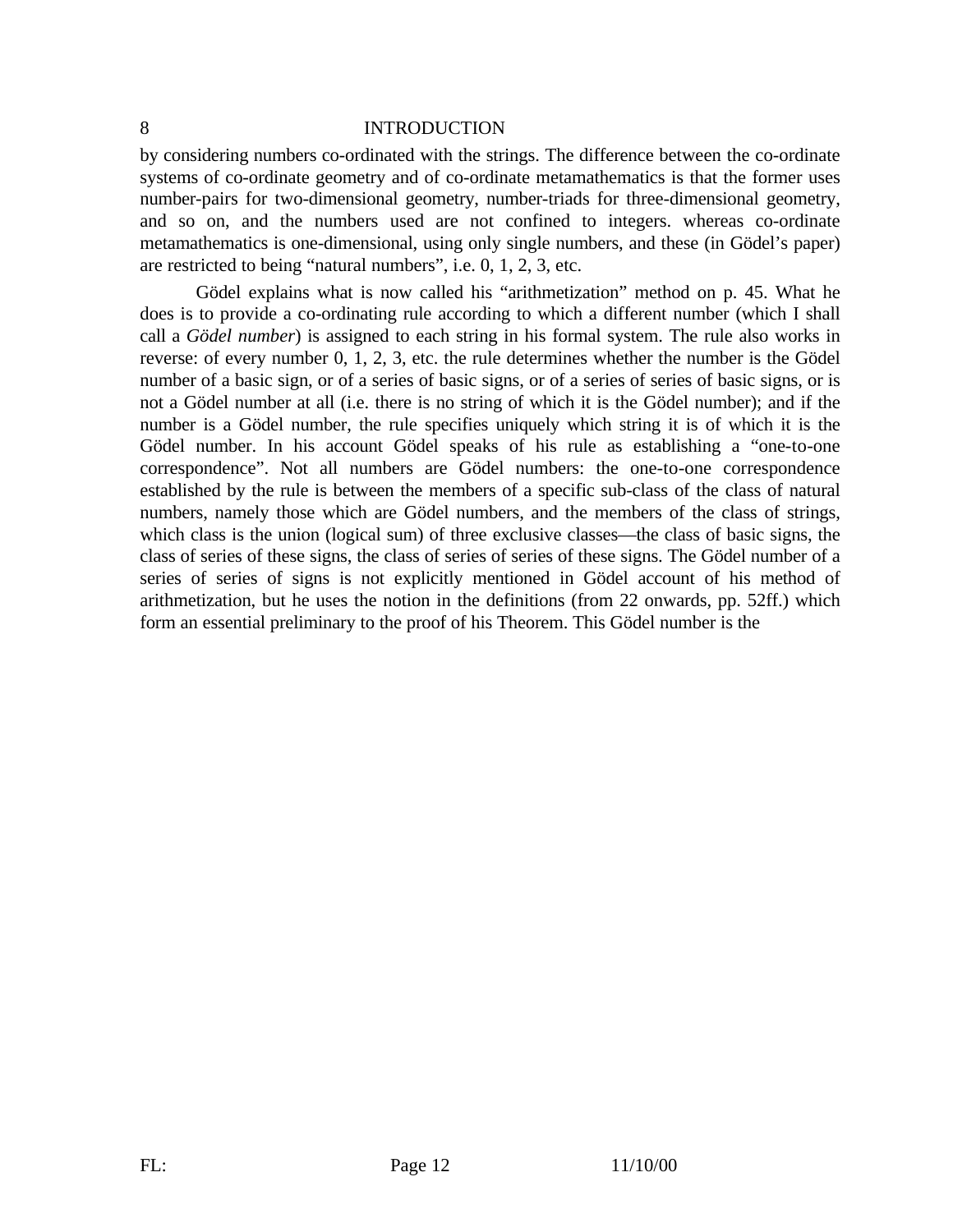by considering numbers co-ordinated with the strings. The difference between the co-ordinate systems of co-ordinate geometry and of co-ordinate metamathematics is that the former uses number-pairs for two-dimensional geometry, number-triads for three-dimensional geometry, and so on, and the numbers used are not confined to integers. whereas co-ordinate metamathematics is one-dimensional, using only single numbers, and these (in Gödel's paper) are restricted to being "natural numbers", i.e. 0, 1, 2, 3, etc.

Gödel explains what is now called his "arithmetization" method on p. 45. What he does is to provide a co-ordinating rule according to which a different number (which I shall call a *Gödel number*) is assigned to each string in his formal system. The rule also works in reverse: of every number 0, 1, 2, 3, etc. the rule determines whether the number is the Gödel number of a basic sign, or of a series of basic signs, or of a series of series of basic signs, or is not a Gödel number at all (i.e. there is no string of which it is the Gödel number); and if the number is a Gödel number, the rule specifies uniquely which string it is of which it is the Gödel number. In his account Gödel speaks of his rule as establishing a "one-to-one correspondence". Not all numbers are Gödel numbers: the one-to-one correspondence established by the rule is between the members of a specific sub-class of the class of natural numbers, namely those which are Gödel numbers, and the members of the class of strings, which class is the union (logical sum) of three exclusive classes—the class of basic signs, the class of series of these signs, the class of series of series of these signs. The Gödel number of a series of series of signs is not explicitly mentioned in Gödel account of his method of arithmetization, but he uses the notion in the definitions (from 22 onwards, pp. 52ff.) which form an essential preliminary to the proof of his Theorem. This Gödel number is the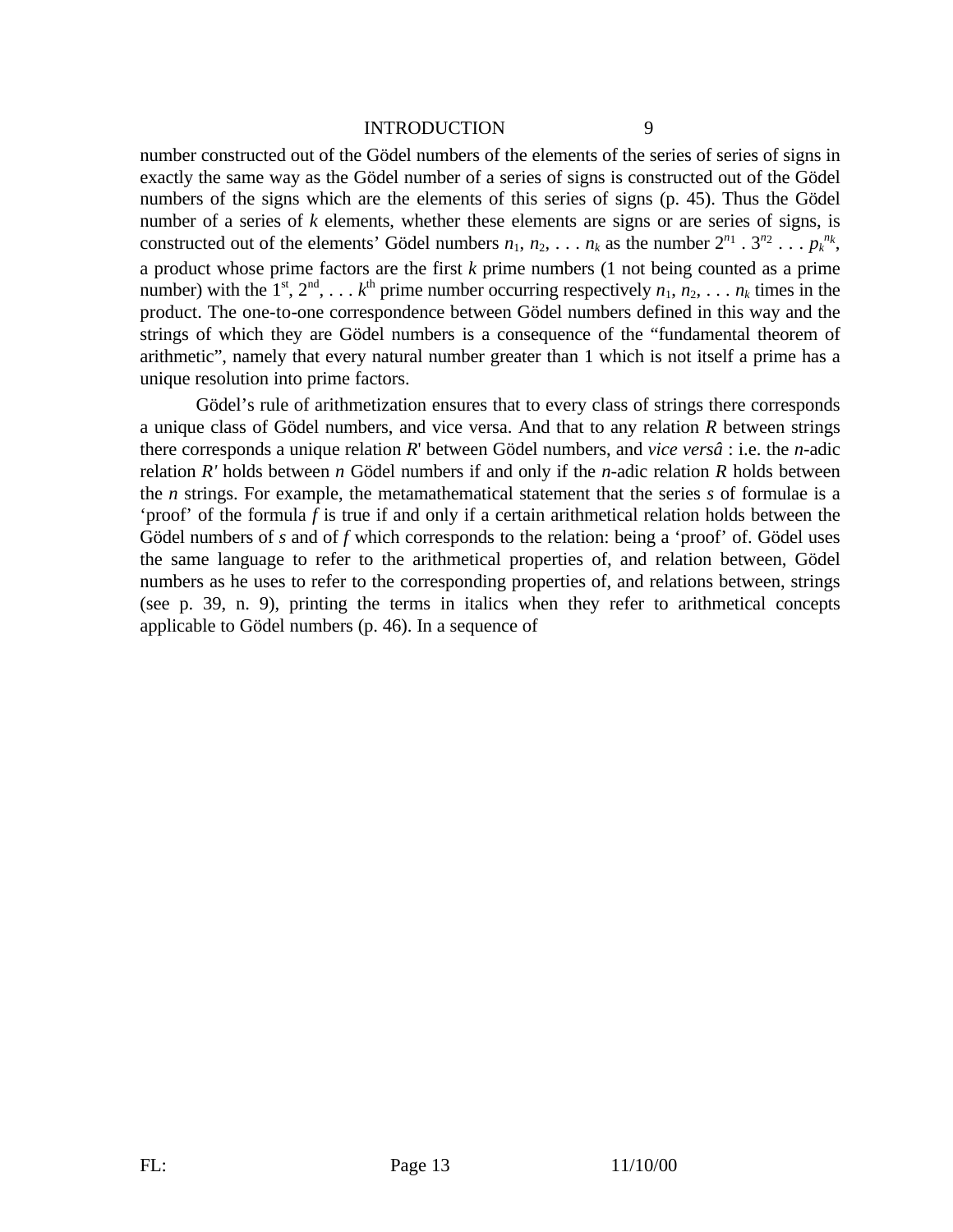number constructed out of the Gödel numbers of the elements of the series of series of signs in exactly the same way as the Gödel number of a series of signs is constructed out of the Gödel numbers of the signs which are the elements of this series of signs (p. 45). Thus the Gödel number of a series of *k* elements, whether these elements are signs or are series of signs, is constructed out of the elements' Gödel numbers  $n_1, n_2, \ldots, n_k$  as the number  $2^{n_1} \cdot 3^{n_2} \cdot \ldots \cdot p_k^{n_k}$ , a product whose prime factors are the first *k* prime numbers (1 not being counted as a prime number) with the 1<sup>st</sup>, 2<sup>nd</sup>, ...  $k^{\text{th}}$  prime number occurring respectively  $n_1, n_2, \ldots, n_k$  times in the product. The one-to-one correspondence between Gödel numbers defined in this way and the strings of which they are Gödel numbers is a consequence of the "fundamental theorem of arithmetic", namely that every natural number greater than 1 which is not itself a prime has a unique resolution into prime factors.

Gödel's rule of arithmetization ensures that to every class of strings there corresponds a unique class of Gödel numbers, and vice versa. And that to any relation *R* between strings there corresponds a unique relation *R*' between Gödel numbers, and *vice versâ* : i.e. the *n*-adic relation *R'* holds between *n* Gödel numbers if and only if the *n*-adic relation *R* holds between the *n* strings. For example, the metamathematical statement that the series *s* of formulae is a 'proof' of the formula *f* is true if and only if a certain arithmetical relation holds between the Gödel numbers of *s* and of *f* which corresponds to the relation: being a 'proof' of. Gödel uses the same language to refer to the arithmetical properties of, and relation between, Gödel numbers as he uses to refer to the corresponding properties of, and relations between, strings (see p. 39, n. 9), printing the terms in italics when they refer to arithmetical concepts applicable to Gödel numbers (p. 46). In a sequence of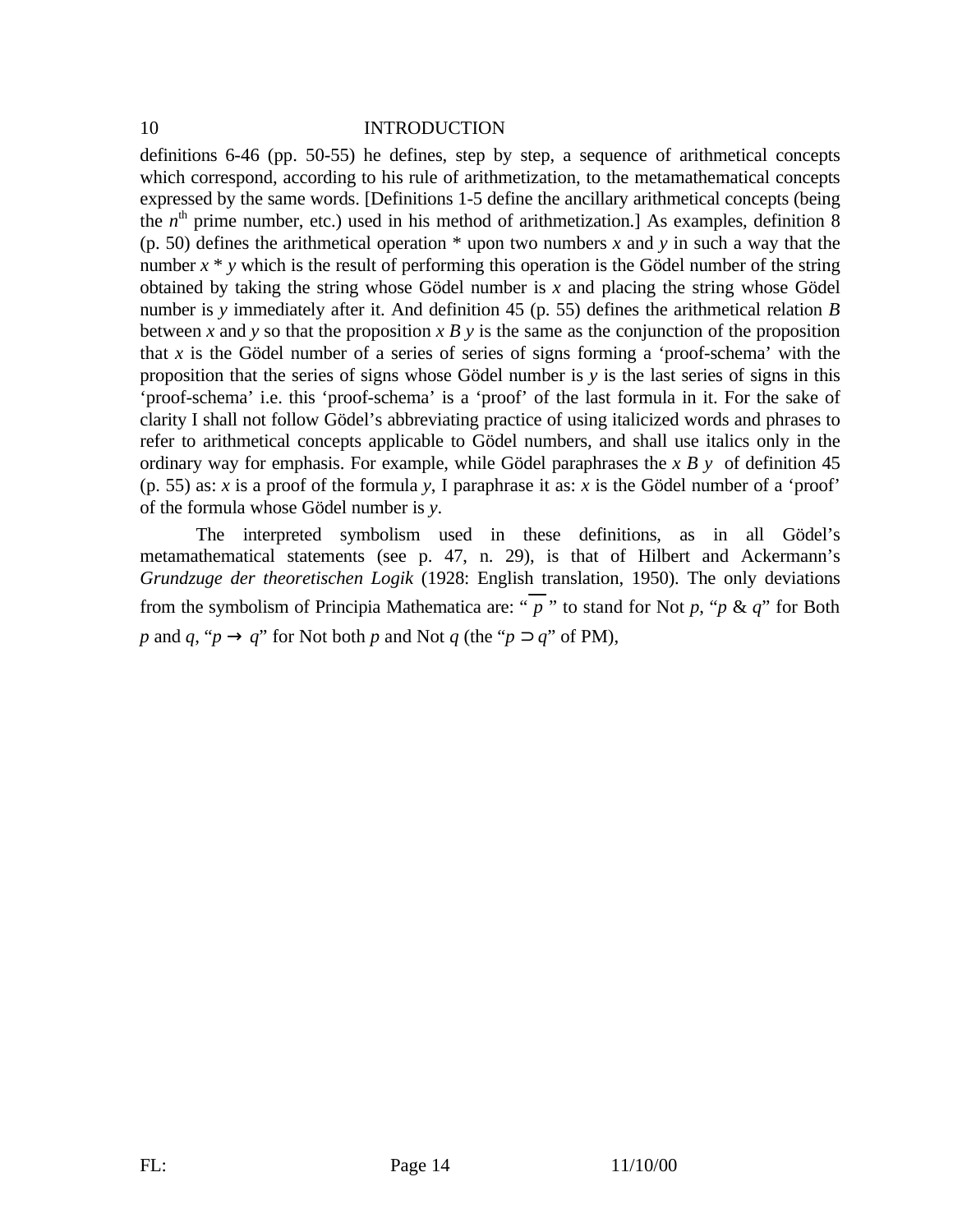definitions 6-46 (pp. 50-55) he defines, step by step, a sequence of arithmetical concepts which correspond, according to his rule of arithmetization, to the metamathematical concepts expressed by the same words. [Definitions 1-5 define the ancillary arithmetical concepts (being the  $n<sup>th</sup>$  prime number, etc.) used in his method of arithmetization.] As examples, definition 8 (p. 50) defines the arithmetical operation \* upon two numbers *x* and *y* in such a way that the number  $x * y$  which is the result of performing this operation is the Gödel number of the string obtained by taking the string whose Gödel number is *x* and placing the string whose Gödel number is *y* immediately after it. And definition 45 (p. 55) defines the arithmetical relation *B* between x and y so that the proposition  $x B y$  is the same as the conjunction of the proposition that *x* is the Gödel number of a series of series of signs forming a 'proof-schema' with the proposition that the series of signs whose Gödel number is *y* is the last series of signs in this 'proof-schema' i.e. this 'proof-schema' is a 'proof' of the last formula in it. For the sake of clarity I shall not follow Gödel's abbreviating practice of using italicized words and phrases to refer to arithmetical concepts applicable to Gödel numbers, and shall use italics only in the ordinary way for emphasis. For example, while Gödel paraphrases the *x B y* of definition 45 (p. 55) as: *x* is a proof of the formula *y*, I paraphrase it as: *x* is the Gödel number of a 'proof' of the formula whose Gödel number is *y*.

The interpreted symbolism used in these definitions, as in all Gödel's metamathematical statements (see p. 47, n. 29), is that of Hilbert and Ackermann's *Grundzuge der theoretischen Logik* (1928: English translation, 1950). The only deviations from the symbolism of Principia Mathematica are:  $\overline{p}$  " to stand for Not *p*, "*p* & *q*" for Both *p* and *q*, " $p \rightarrow q$ " for Not both *p* and Not *q* (the " $p \supset q$ " of PM),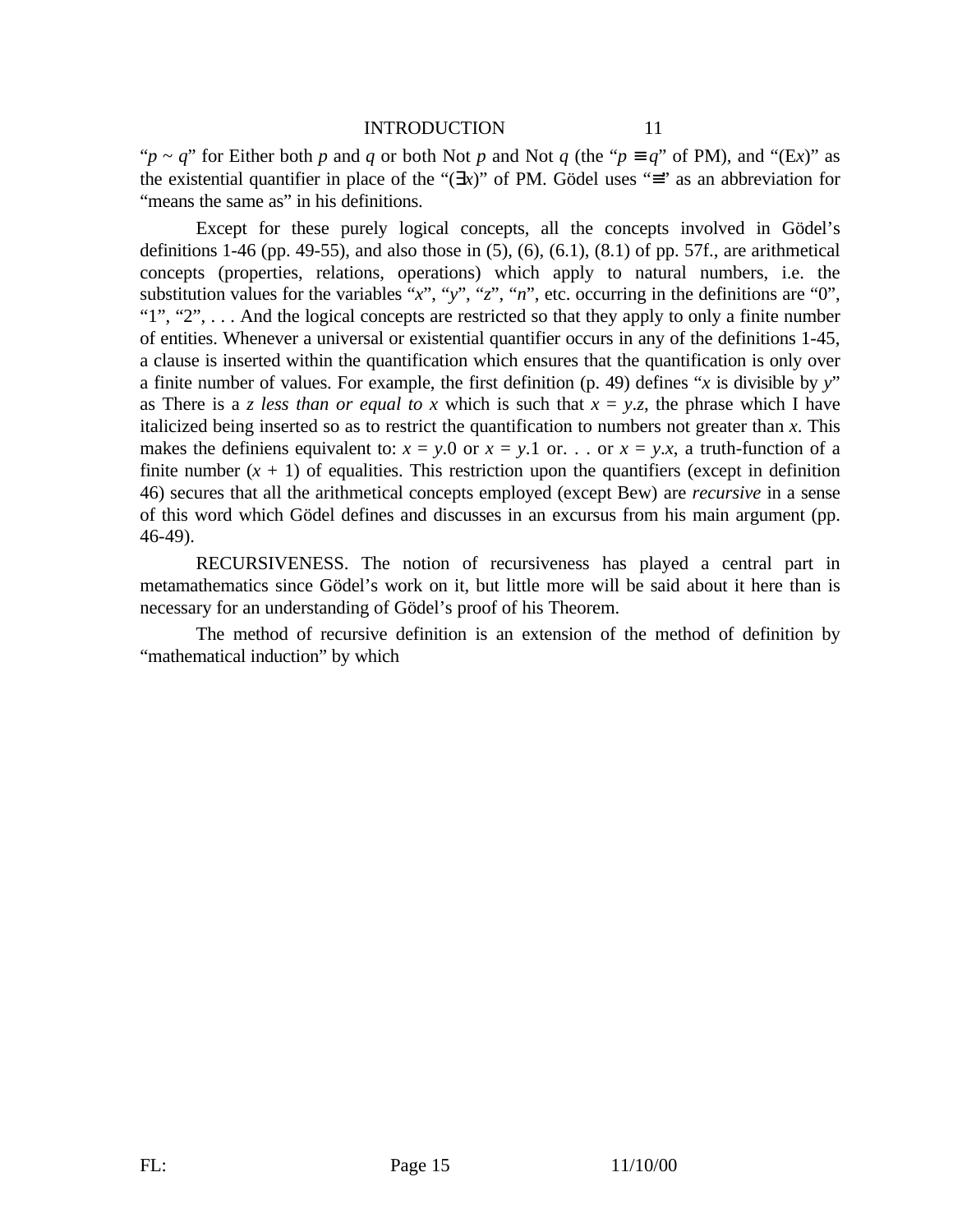Except for these purely logical concepts, all the concepts involved in Gödel's definitions 1-46 (pp. 49-55), and also those in  $(5)$ ,  $(6)$ ,  $(6.1)$ ,  $(8.1)$  of pp. 57f., are arithmetical concepts (properties, relations, operations) which apply to natural numbers, i.e. the substitution values for the variables "*x*", "*y*", "*z*", "*n*", etc. occurring in the definitions are "0", "1", "2",  $\dots$  And the logical concepts are restricted so that they apply to only a finite number of entities. Whenever a universal or existential quantifier occurs in any of the definitions 1-45, a clause is inserted within the quantification which ensures that the quantification is only over a finite number of values. For example, the first definition (p. 49) defines "*x* is divisible by *y*" as There is a *z less than or equal to x* which is such that  $x = y.z$ , the phrase which I have italicized being inserted so as to restrict the quantification to numbers not greater than *x*. This makes the definiens equivalent to:  $x = y.0$  or  $x = y.1$  or. . . or  $x = y.x$ , a truth-function of a finite number  $(x + 1)$  of equalities. This restriction upon the quantifiers (except in definition 46) secures that all the arithmetical concepts employed (except Bew) are *recursive* in a sense of this word which Gödel defines and discusses in an excursus from his main argument (pp. 46-49).

RECURSIVENESS. The notion of recursiveness has played a central part in metamathematics since Gödel's work on it, but little more will be said about it here than is necessary for an understanding of Gödel's proof of his Theorem.

The method of recursive definition is an extension of the method of definition by "mathematical induction" by which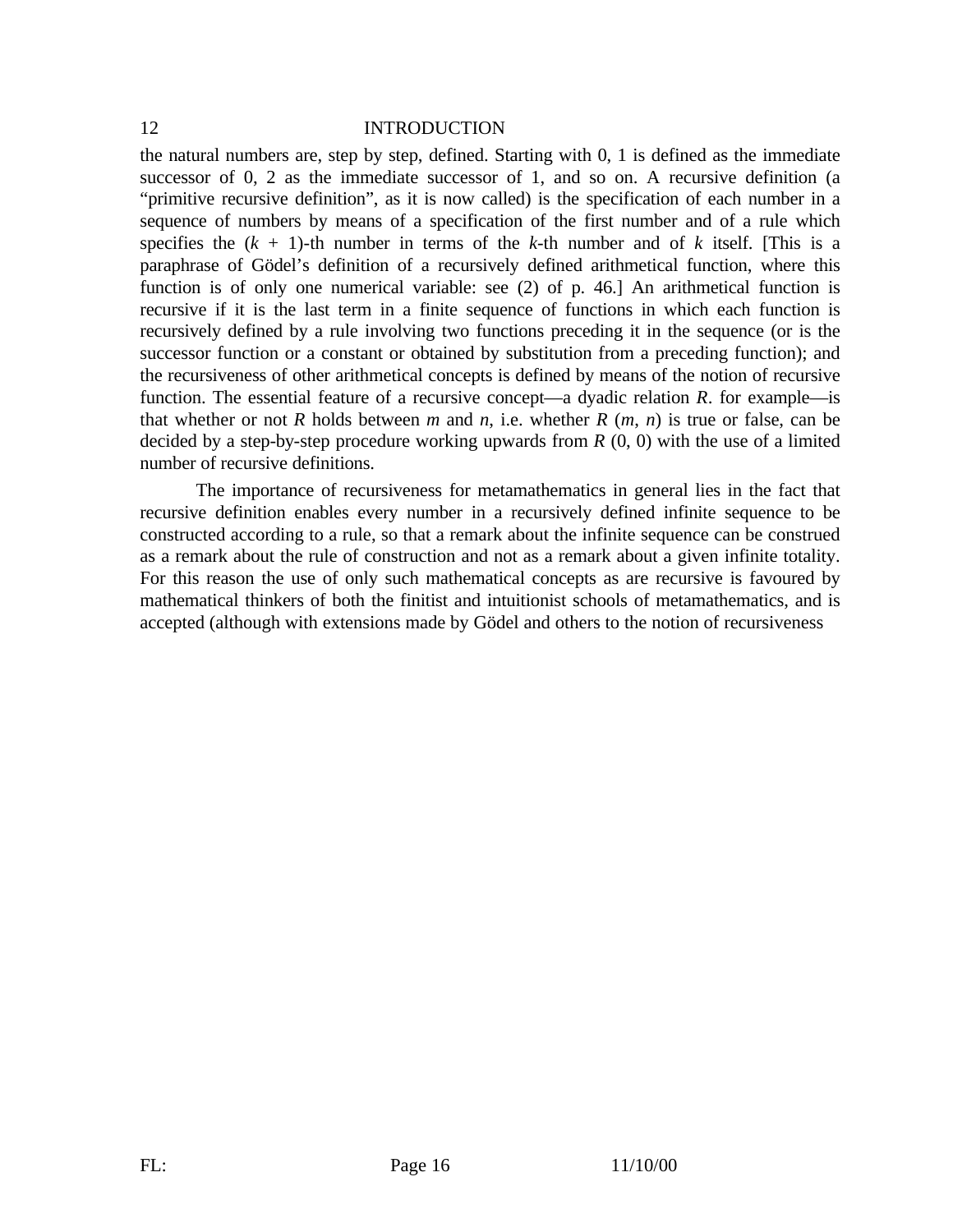the natural numbers are, step by step, defined. Starting with 0, 1 is defined as the immediate successor of 0, 2 as the immediate successor of 1, and so on. A recursive definition (a "primitive recursive definition", as it is now called) is the specification of each number in a sequence of numbers by means of a specification of the first number and of a rule which specifies the  $(k + 1)$ -th number in terms of the *k*-th number and of *k* itself. [This is a paraphrase of Gödel's definition of a recursively defined arithmetical function, where this function is of only one numerical variable: see (2) of p. 46.] An arithmetical function is recursive if it is the last term in a finite sequence of functions in which each function is recursively defined by a rule involving two functions preceding it in the sequence (or is the successor function or a constant or obtained by substitution from a preceding function); and the recursiveness of other arithmetical concepts is defined by means of the notion of recursive function. The essential feature of a recursive concept—a dyadic relation *R*. for example—is that whether or not *R* holds between *m* and *n*, i.e. whether *R*  $(m, n)$  is true or false, can be decided by a step-by-step procedure working upwards from *R* (0, 0) with the use of a limited number of recursive definitions.

The importance of recursiveness for metamathematics in general lies in the fact that recursive definition enables every number in a recursively defined infinite sequence to be constructed according to a rule, so that a remark about the infinite sequence can be construed as a remark about the rule of construction and not as a remark about a given infinite totality. For this reason the use of only such mathematical concepts as are recursive is favoured by mathematical thinkers of both the finitist and intuitionist schools of metamathematics, and is accepted (although with extensions made by Gödel and others to the notion of recursiveness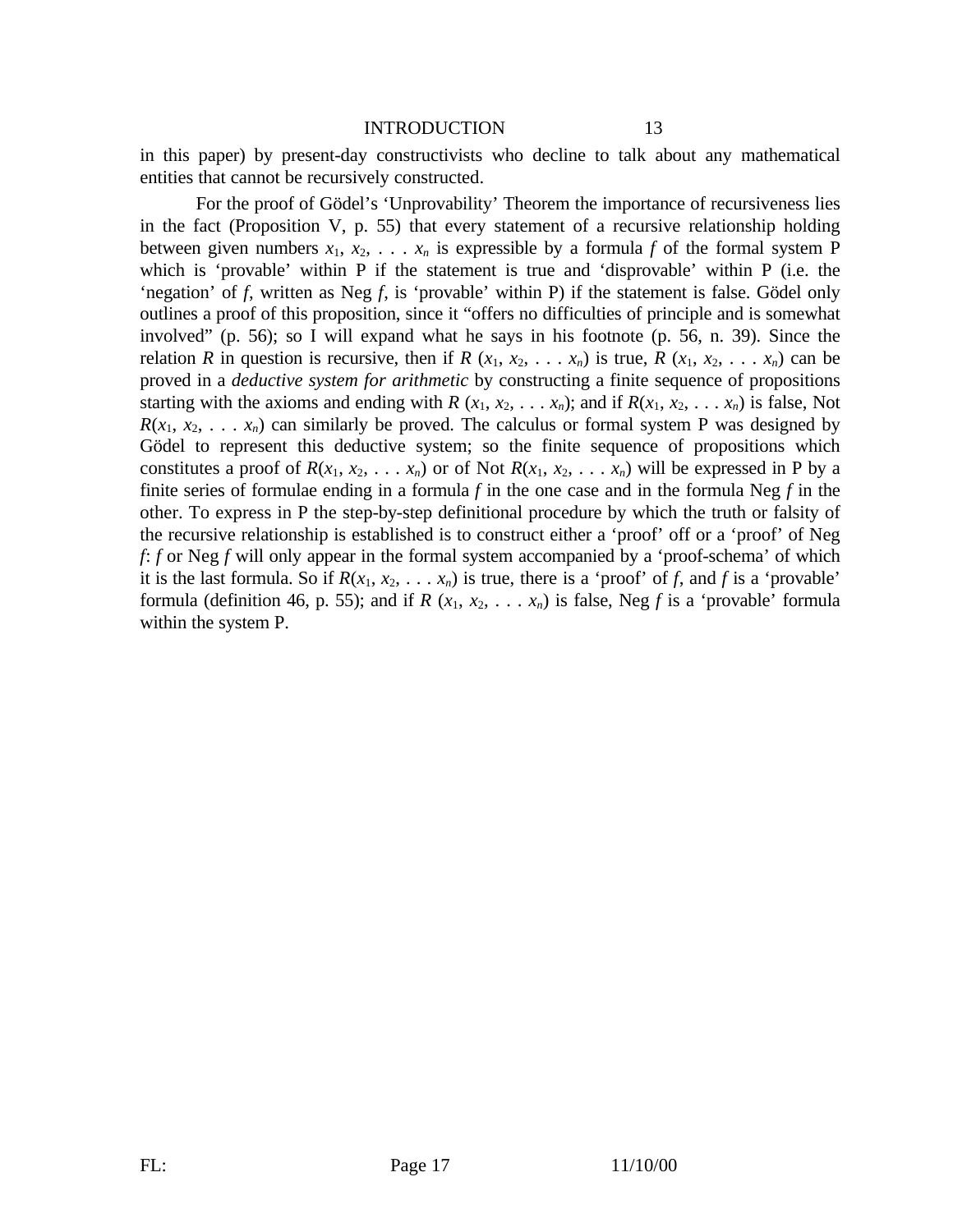in this paper) by present-day constructivists who decline to talk about any mathematical entities that cannot be recursively constructed.

For the proof of Gödel's 'Unprovability' Theorem the importance of recursiveness lies in the fact (Proposition V, p. 55) that every statement of a recursive relationship holding between given numbers  $x_1, x_2, \ldots, x_n$  is expressible by a formula f of the formal system P which is 'provable' within P if the statement is true and 'disprovable' within P (i.e. the 'negation' of *f*, written as Neg *f*, is 'provable' within P) if the statement is false. Gödel only outlines a proof of this proposition, since it "offers no difficulties of principle and is somewhat involved" (p. 56); so I will expand what he says in his footnote (p. 56, n. 39). Since the relation *R* in question is recursive, then if  $R$  ( $x_1, x_2, \ldots, x_n$ ) is true,  $R$  ( $x_1, x_2, \ldots, x_n$ ) can be proved in a *deductive system for arithmetic* by constructing a finite sequence of propositions starting with the axioms and ending with *R* ( $x_1, x_2, \ldots, x_n$ ); and if  $R(x_1, x_2, \ldots, x_n)$  is false, Not  $R(x_1, x_2, \ldots, x_n)$  can similarly be proved. The calculus or formal system P was designed by Gödel to represent this deductive system; so the finite sequence of propositions which constitutes a proof of  $R(x_1, x_2, \ldots, x_n)$  or of Not  $R(x_1, x_2, \ldots, x_n)$  will be expressed in P by a finite series of formulae ending in a formula *f* in the one case and in the formula Neg *f* in the other. To express in P the step-by-step definitional procedure by which the truth or falsity of the recursive relationship is established is to construct either a 'proof' off or a 'proof' of Neg *f*: *f* or Neg *f* will only appear in the formal system accompanied by a 'proof-schema' of which it is the last formula. So if  $R(x_1, x_2, \ldots, x_n)$  is true, there is a 'proof' of *f*, and *f* is a 'provable' formula (definition 46, p. 55); and if *R*  $(x_1, x_2, \ldots, x_n)$  is false, Neg *f* is a 'provable' formula within the system P.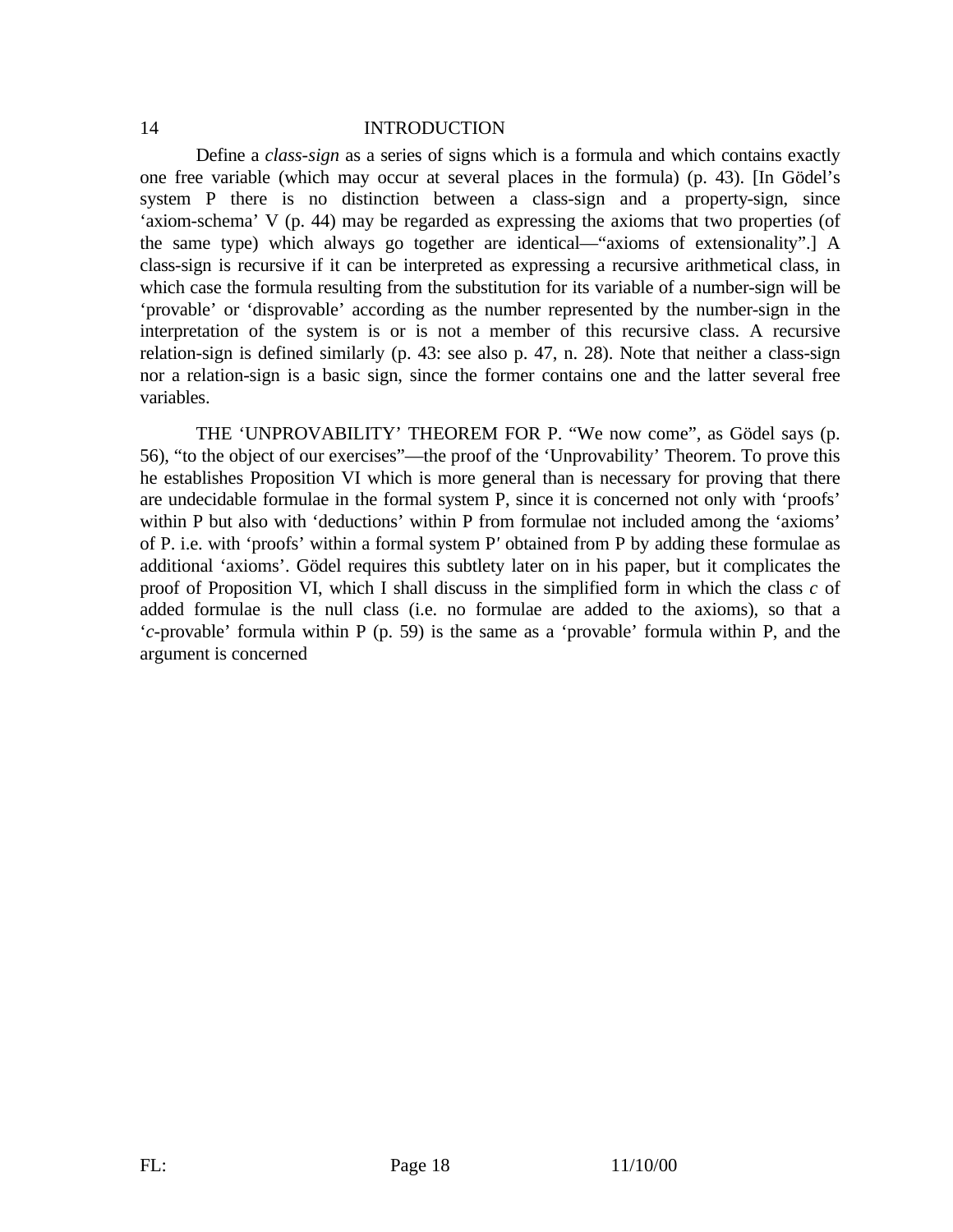Define a *class*-*sign* as a series of signs which is a formula and which contains exactly one free variable (which may occur at several places in the formula) (p. 43). [In Gödel's system P there is no distinction between a class-sign and a property-sign, since 'axiom-schema' V (p. 44) may be regarded as expressing the axioms that two properties (of the same type) which always go together are identical—"axioms of extensionality".] A class-sign is recursive if it can be interpreted as expressing a recursive arithmetical class, in which case the formula resulting from the substitution for its variable of a number-sign will be 'provable' or 'disprovable' according as the number represented by the number-sign in the interpretation of the system is or is not a member of this recursive class. A recursive relation-sign is defined similarly (p. 43: see also p. 47, n. 28). Note that neither a class-sign nor a relation-sign is a basic sign, since the former contains one and the latter several free variables.

THE 'UNPROVABILITY' THEOREM FOR P. "We now come", as Gödel says (p. 56), "to the object of our exercises"—the proof of the 'Unprovability' Theorem. To prove this he establishes Proposition VI which is more general than is necessary for proving that there are undecidable formulae in the formal system P, since it is concerned not only with 'proofs' within P but also with 'deductions' within P from formulae not included among the 'axioms' of P. i.e. with 'proofs' within a formal system P*'* obtained from P by adding these formulae as additional 'axioms'. Gödel requires this subtlety later on in his paper, but it complicates the proof of Proposition VI, which I shall discuss in the simplified form in which the class *c* of added formulae is the null class (i.e. no formulae are added to the axioms), so that a '*c*-provable' formula within P (p. 59) is the same as a 'provable' formula within P, and the argument is concerned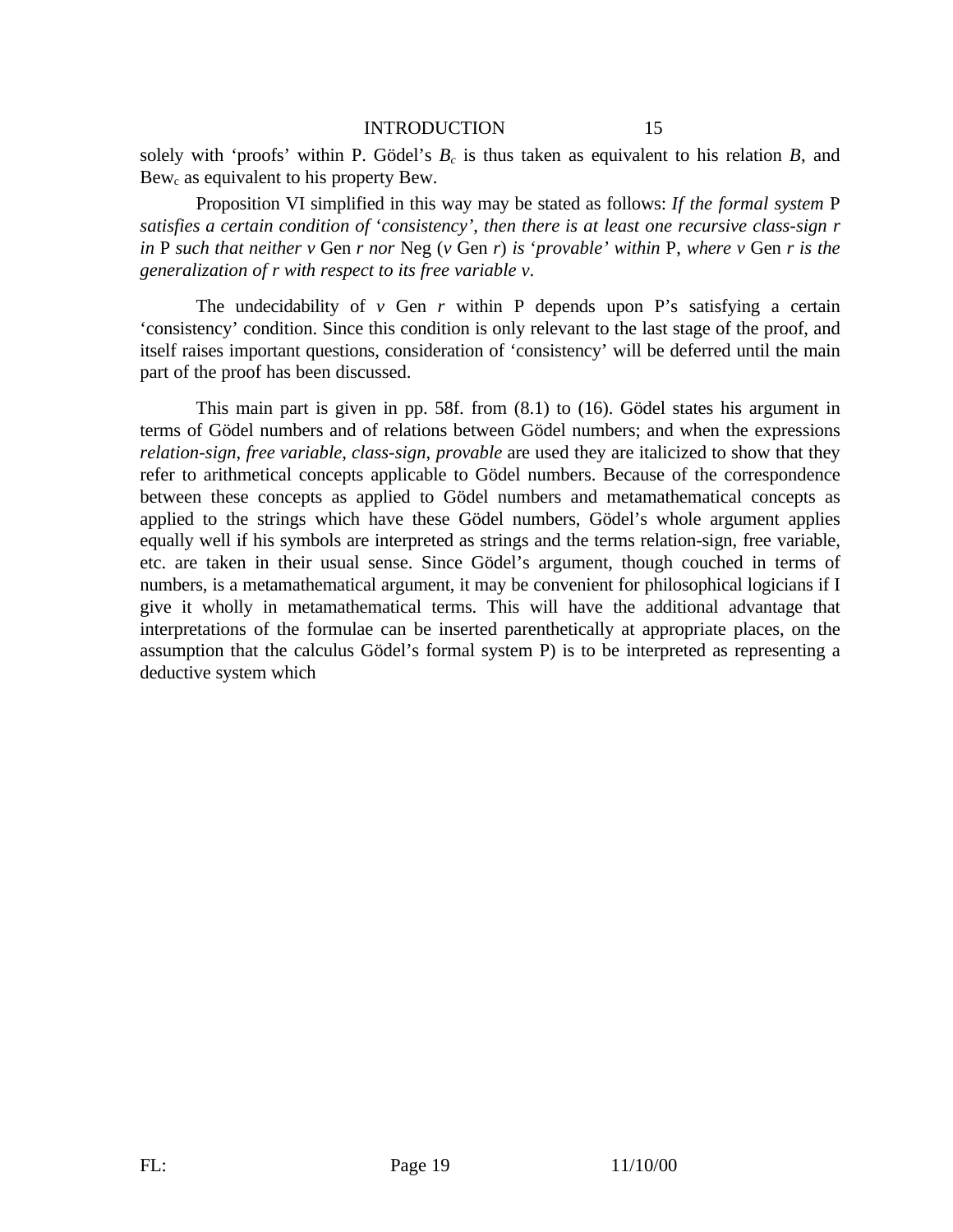solely with 'proofs' within P. Gödel's *Bc* is thus taken as equivalent to his relation *B*, and Bew<sub>c</sub> as equivalent to his property Bew.

Proposition VI simplified in this way may be stated as follows: *If the formal system* P *satisfies a certain condition of* '*consistency'*, *then there is at least one recursive class*-*sign r in* P *such that neither v* Gen *r nor* Neg (*v* Gen *r*) *is* '*provable' within* P, *where v* Gen *r is the generalization of r with respect to its free variable v*.

The undecidability of  $v$  Gen  $r$  within P depends upon P's satisfying a certain 'consistency' condition. Since this condition is only relevant to the last stage of the proof, and itself raises important questions, consideration of 'consistency' will be deferred until the main part of the proof has been discussed.

This main part is given in pp. 58f. from (8.1) to (16). Gödel states his argument in terms of Gödel numbers and of relations between Gödel numbers; and when the expressions *relation*-*sign*, *free variable*, *class*-*sign*, *provable* are used they are italicized to show that they refer to arithmetical concepts applicable to Gödel numbers. Because of the correspondence between these concepts as applied to Gödel numbers and metamathematical concepts as applied to the strings which have these Gödel numbers, Gödel's whole argument applies equally well if his symbols are interpreted as strings and the terms relation-sign, free variable, etc. are taken in their usual sense. Since Gödel's argument, though couched in terms of numbers, is a metamathematical argument, it may be convenient for philosophical logicians if I give it wholly in metamathematical terms. This will have the additional advantage that interpretations of the formulae can be inserted parenthetically at appropriate places, on the assumption that the calculus Gödel's formal system P) is to be interpreted as representing a deductive system which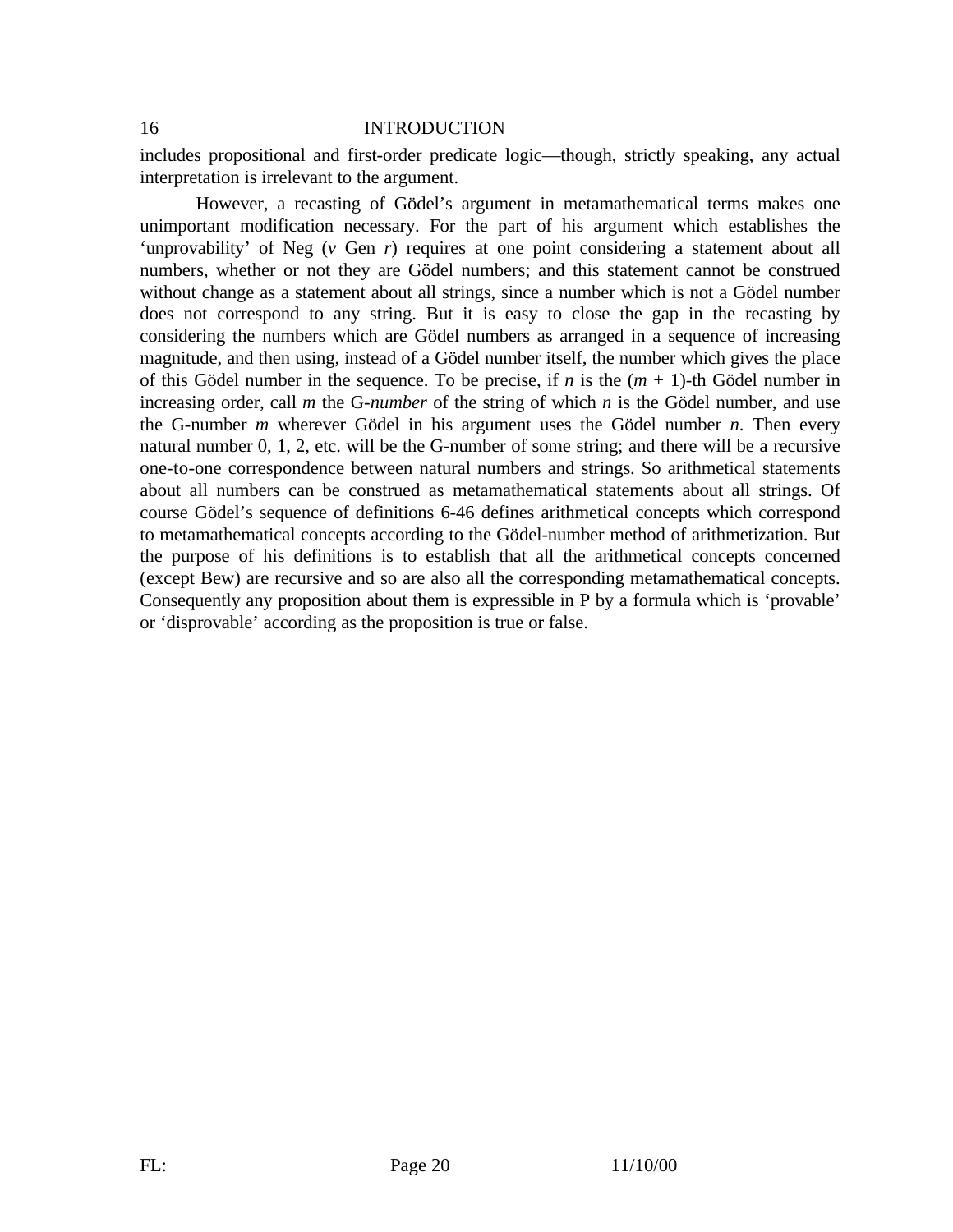includes propositional and first-order predicate logic—though, strictly speaking, any actual interpretation is irrelevant to the argument.

However, a recasting of Gödel's argument in metamathematical terms makes one unimportant modification necessary. For the part of his argument which establishes the 'unprovability' of Neg (*v* Gen *r*) requires at one point considering a statement about all numbers, whether or not they are Gödel numbers; and this statement cannot be construed without change as a statement about all strings, since a number which is not a Gödel number does not correspond to any string. But it is easy to close the gap in the recasting by considering the numbers which are Gödel numbers as arranged in a sequence of increasing magnitude, and then using, instead of a Gödel number itself, the number which gives the place of this Gödel number in the sequence. To be precise, if *n* is the (*m* + 1)-th Gödel number in increasing order, call *m* the G-*number* of the string of which *n* is the Gödel number, and use the G-number *m* wherever Gödel in his argument uses the Gödel number *n*. Then every natural number 0, 1, 2, etc. will be the G-number of some string; and there will be a recursive one-to-one correspondence between natural numbers and strings. So arithmetical statements about all numbers can be construed as metamathematical statements about all strings. Of course Gödel's sequence of definitions 6-46 defines arithmetical concepts which correspond to metamathematical concepts according to the Gödel-number method of arithmetization. But the purpose of his definitions is to establish that all the arithmetical concepts concerned (except Bew) are recursive and so are also all the corresponding metamathematical concepts. Consequently any proposition about them is expressible in P by a formula which is 'provable' or 'disprovable' according as the proposition is true or false.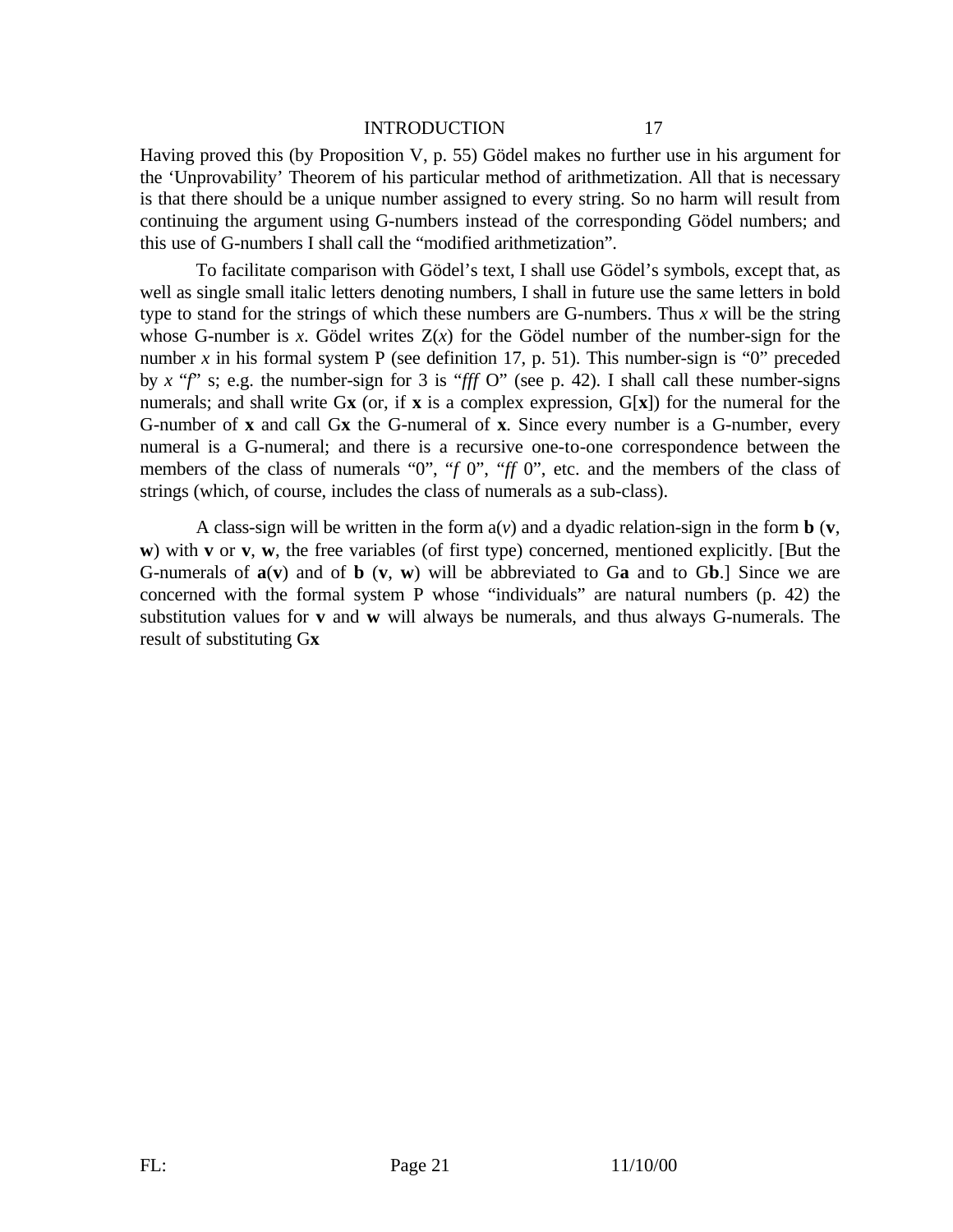Having proved this (by Proposition V, p. 55) Gödel makes no further use in his argument for the 'Unprovability' Theorem of his particular method of arithmetization. All that is necessary is that there should be a unique number assigned to every string. So no harm will result from continuing the argument using G-numbers instead of the corresponding Gödel numbers; and this use of G-numbers I shall call the "modified arithmetization".

To facilitate comparison with Gödel's text, I shall use Gödel's symbols, except that, as well as single small italic letters denoting numbers, I shall in future use the same letters in bold type to stand for the strings of which these numbers are G-numbers. Thus *x* will be the string whose G-number is *x*. Gödel writes  $Z(x)$  for the Gödel number of the number-sign for the number x in his formal system P (see definition 17, p. 51). This number-sign is "0" preceded by *x* "*f*" s; e.g. the number-sign for 3 is "*fff* O" (see p. 42). I shall call these number-signs numerals; and shall write G**x** (or, if **x** is a complex expression, G[**x**]) for the numeral for the G-number of **x** and call G**x** the G-numeral of **x**. Since every number is a G-number, every numeral is a G-numeral; and there is a recursive one-to-one correspondence between the members of the class of numerals "0", "f 0", "ff 0", etc. and the members of the class of strings (which, of course, includes the class of numerals as a sub-class).

A class-sign will be written in the form a(*v*) and a dyadic relation-sign in the form **b** (**v**, **w**) with **v** or **v**, **w**, the free variables (of first type) concerned, mentioned explicitly. [But the G-numerals of **a**(**v**) and of **b** (**v**, **w**) will be abbreviated to G**a** and to G**b**.] Since we are concerned with the formal system P whose "individuals" are natural numbers (p. 42) the substitution values for **v** and **w** will always be numerals, and thus always G-numerals. The result of substituting G**x**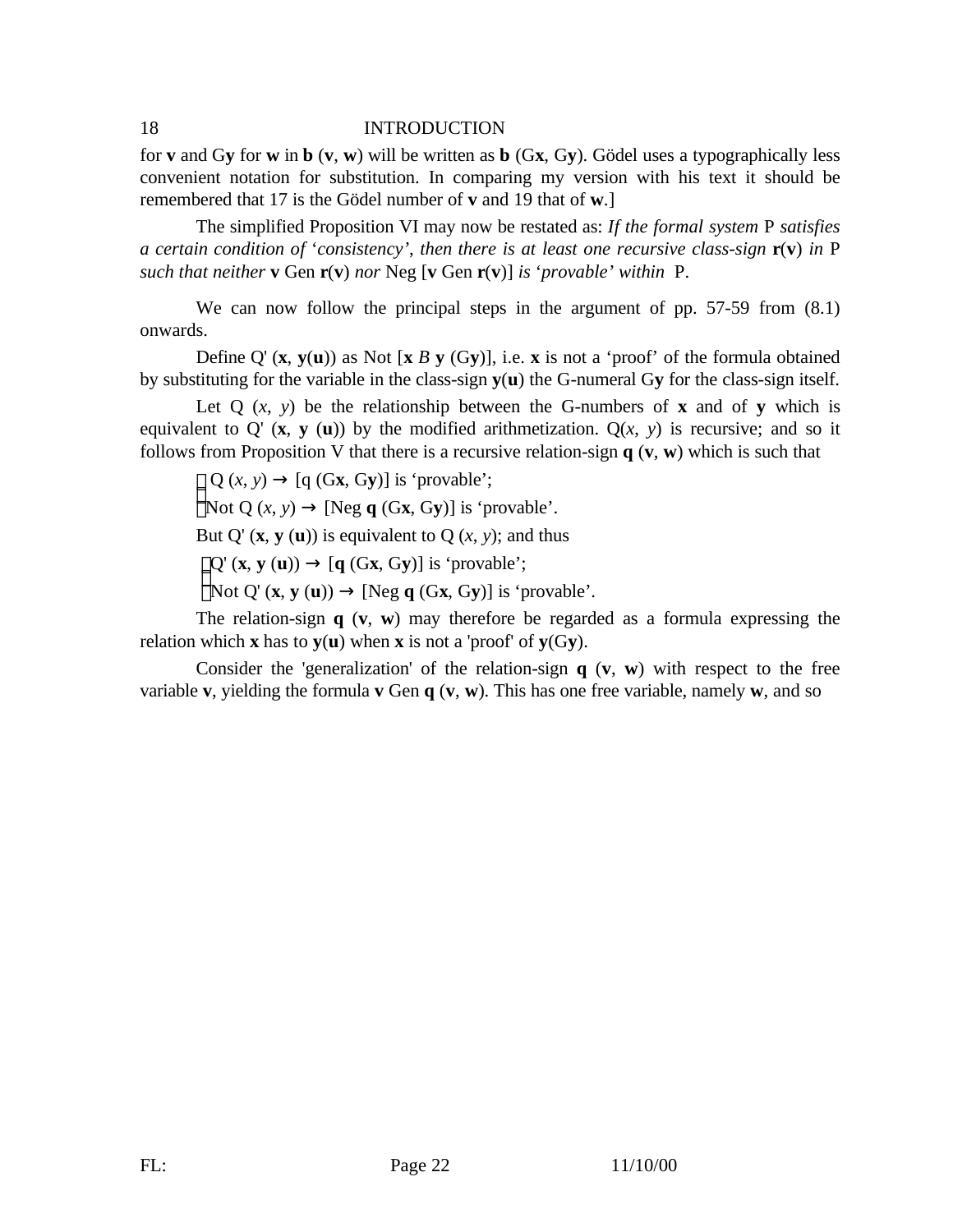for **v** and G**y** for **w** in **b** (**v**, **w**) will be written as **b** (G**x**, G**y**). Gödel uses a typographically less convenient notation for substitution. In comparing my version with his text it should be remembered that 17 is the Gödel number of **v** and 19 that of **w**.]

The simplified Proposition VI may now be restated as: *If the formal system* P *satisfies a certain condition of* '*consistency'*, *then there is at least one recursive class*-*sign* **r**(**v**) *in* P *such that neither* **v** Gen **r**(**v**) *nor* Neg [**v** Gen **r**(**v**)] *is* '*provable' within* P.

We can now follow the principal steps in the argument of pp. 57-59 from  $(8.1)$ onwards.

Define Q'  $(\mathbf{x}, \mathbf{y}(\mathbf{u}))$  as Not  $[\mathbf{x}, B, \mathbf{y}, (G\mathbf{y})]$ , i.e. **x** is not a 'proof' of the formula obtained by substituting for the variable in the class-sign **y**(**u**) the G-numeral G**y** for the class-sign itself.

Let Q  $(x, y)$  be the relationship between the G-numbers of **x** and of **y** which is equivalent to Q'  $(\mathbf{x}, \mathbf{y}(\mathbf{u}))$  by the modified arithmetization.  $Q(x, y)$  is recursive; and so it follows from Proposition V that there is a recursive relation-sign **q** (**v**, **w**) which is such that

 $\int Q(x, y) \rightarrow [\mathbf{q}(\mathbf{G}\mathbf{x}, \mathbf{G}\mathbf{y})]$  is 'provable';

 $\mathsf{l}$ ∤ Not  $Q(x, y) \rightarrow [Neg q(Gx, Gy)]$  is 'provable'.

But Q' ( $\mathbf{x}, \mathbf{y}(\mathbf{u})$ ) is equivalent to Q ( $x, y$ ); and thus

∤  $[Q' (x, y(u)) \rightarrow [q (Gx, Gy)]$  is 'provable';

 $\mathsf{L}$ Not  $Q'$  (**x**,  $y(u)$ )  $\rightarrow$  [Neg **q** (G**x**, G**y**)] is 'provable'.

The relation-sign **q** (**v**, **w**) may therefore be regarded as a formula expressing the relation which **x** has to  $y(u)$  when **x** is not a 'proof' of  $y(Gy)$ .

Consider the 'generalization' of the relation-sign **q** (**v**, **w**) with respect to the free variable **v**, yielding the formula **v** Gen **q** (**v**, **w**). This has one free variable, namely **w**, and so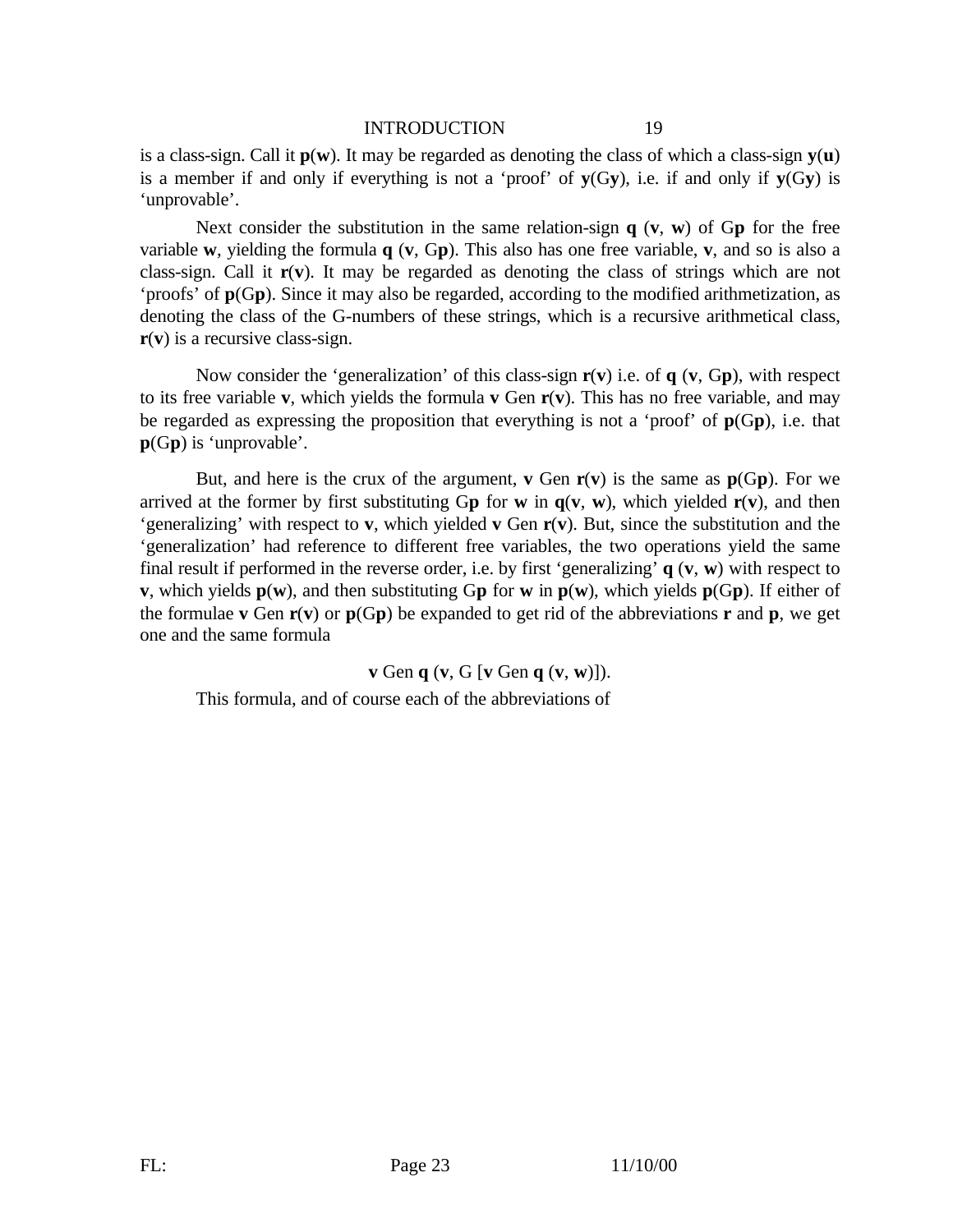is a class-sign. Call it  $p(w)$ . It may be regarded as denoting the class of which a class-sign  $y(u)$ is a member if and only if everything is not a 'proof' of  $y(Gy)$ , i.e. if and only if  $y(Gy)$  is 'unprovable'.

Next consider the substitution in the same relation-sign **q** (**v**, **w**) of G**p** for the free variable **w**, yielding the formula **q** (**v**, G**p**). This also has one free variable, **v**, and so is also a class-sign. Call it **r**(**v**). It may be regarded as denoting the class of strings which are not 'proofs' of **p**(G**p**). Since it may also be regarded, according to the modified arithmetization, as denoting the class of the G-numbers of these strings, which is a recursive arithmetical class, **r**(**v**) is a recursive class-sign.

Now consider the 'generalization' of this class-sign **r**(**v**) i.e. of **q** (**v**, G**p**), with respect to its free variable **v**, which yields the formula **v** Gen **r**(**v**). This has no free variable, and may be regarded as expressing the proposition that everything is not a 'proof' of **p**(G**p**), i.e. that **p**(G**p**) is 'unprovable'.

But, and here is the crux of the argument, **v** Gen  $r(v)$  is the same as  $p(Gp)$ . For we arrived at the former by first substituting Gp for **w** in  $q(v, w)$ , which yielded  $r(v)$ , and then 'generalizing' with respect to **v**, which yielded **v** Gen **r**(**v**). But, since the substitution and the 'generalization' had reference to different free variables, the two operations yield the same final result if performed in the reverse order, i.e. by first 'generalizing' **q** (**v**, **w**) with respect to **v**, which yields **p**(**w**), and then substituting G**p** for **w** in **p**(**w**), which yields **p**(G**p**). If either of the formulae **v** Gen  $r(v)$  or  $p(Gp)$  be expanded to get rid of the abbreviations **r** and **p**, we get one and the same formula

## **v** Gen **q** (**v**, G [**v** Gen **q** (**v**, **w**)]).

This formula, and of course each of the abbreviations of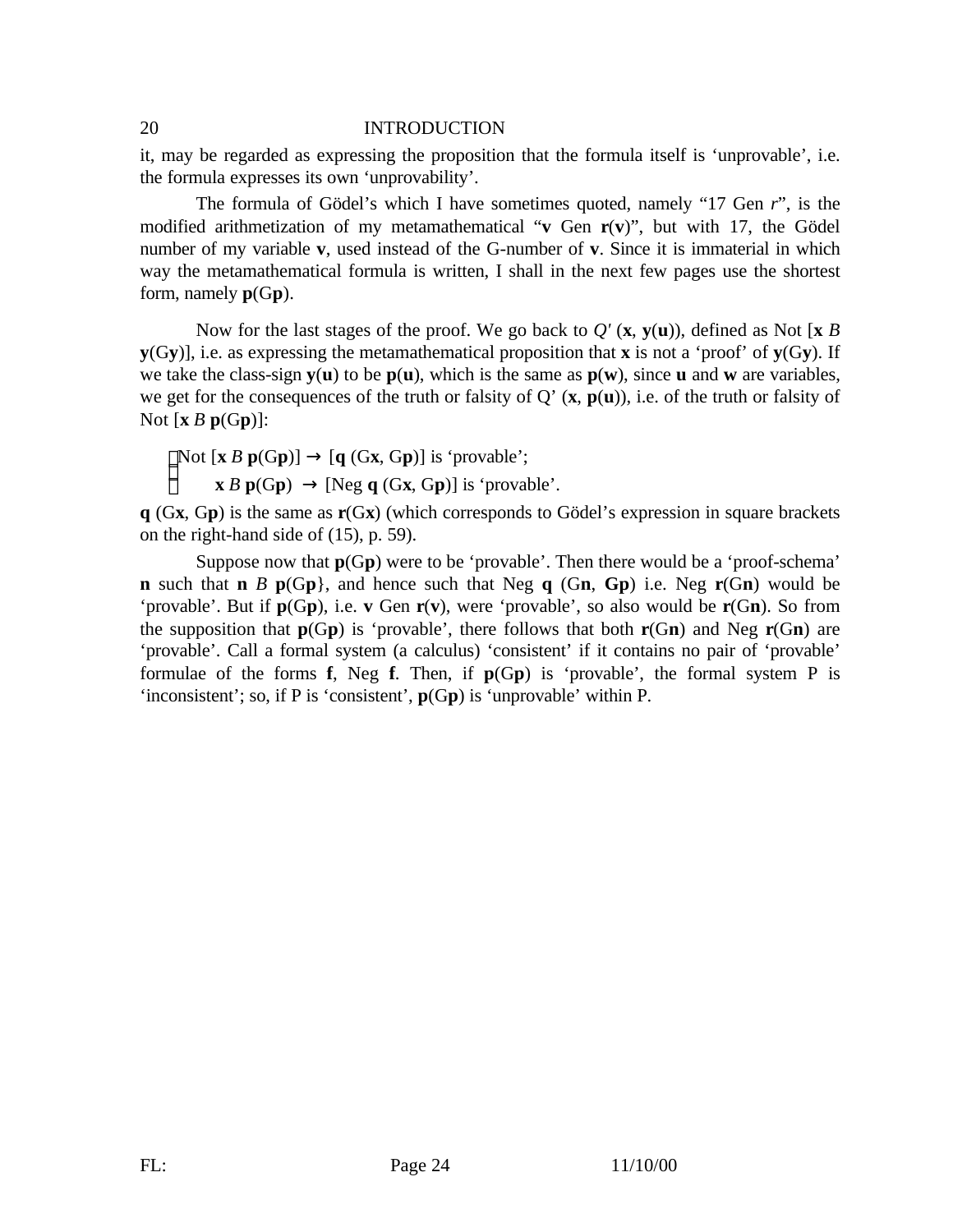it, may be regarded as expressing the proposition that the formula itself is 'unprovable', i.e. the formula expresses its own 'unprovability'.

The formula of Gödel's which I have sometimes quoted, namely "17 Gen *r*", is the modified arithmetization of my metamathematical "**v** Gen **r**(**v**)", but with 17, the Gödel number of my variable **v**, used instead of the G-number of **v**. Since it is immaterial in which way the metamathematical formula is written, I shall in the next few pages use the shortest form, namely **p**(G**p**).

Now for the last stages of the proof. We go back to  $Q'$  (**x**, **y**(**u**)), defined as Not [**x** *B*  $\bf{y}(G\bf{y})$ ], i.e. as expressing the metamathematical proposition that **x** is not a 'proof' of  $\bf{y}(G\bf{y})$ . If we take the class-sign  $y(u)$  to be  $p(u)$ , which is the same as  $p(w)$ , since **u** and **w** are variables, we get for the consequences of the truth or falsity of Q' (**x**, **p**(**u**)), i.e. of the truth or falsity of Not  $[\mathbf{x} \, B \, \mathbf{p}(G\mathbf{p})]$ :

$$
\begin{cases}\n\text{Not } [\mathbf{x} \ B \ \mathbf{p}(G\mathbf{p})] \rightarrow [\mathbf{q} \ (G\mathbf{x}, G\mathbf{p})] \text{ is 'provable'}; \\
\mathbf{x} \ B \ \mathbf{p}(G\mathbf{p}) \rightarrow [\text{Neg } \mathbf{q} \ (G\mathbf{x}, G\mathbf{p})] \text{ is 'provable'}.\n\end{cases}
$$

**q** (G**x**, G**p**) is the same as **r**(G**x**) (which corresponds to Gödel's expression in square brackets on the right-hand side of (15), p. 59).

Suppose now that **p**(G**p**) were to be 'provable'. Then there would be a 'proof-schema' **n** such that **n** *B* **p**(G**p**}, and hence such that Neg **q** (G**n**, **Gp**) i.e. Neg **r**(G**n**) would be 'provable'. But if **p**(G**p**), i.e. **v** Gen **r**(**v**), were 'provable', so also would be **r**(G**n**). So from the supposition that  $p(Gp)$  is 'provable', there follows that both  $r(Gn)$  and Neg  $r(Gn)$  are 'provable'. Call a formal system (a calculus) 'consistent' if it contains no pair of 'provable' formulae of the forms **f**, Neg **f**. Then, if **p**(G**p**) is 'provable', the formal system P is 'inconsistent'; so, if P is 'consistent', **p**(G**p**) is 'unprovable' within P.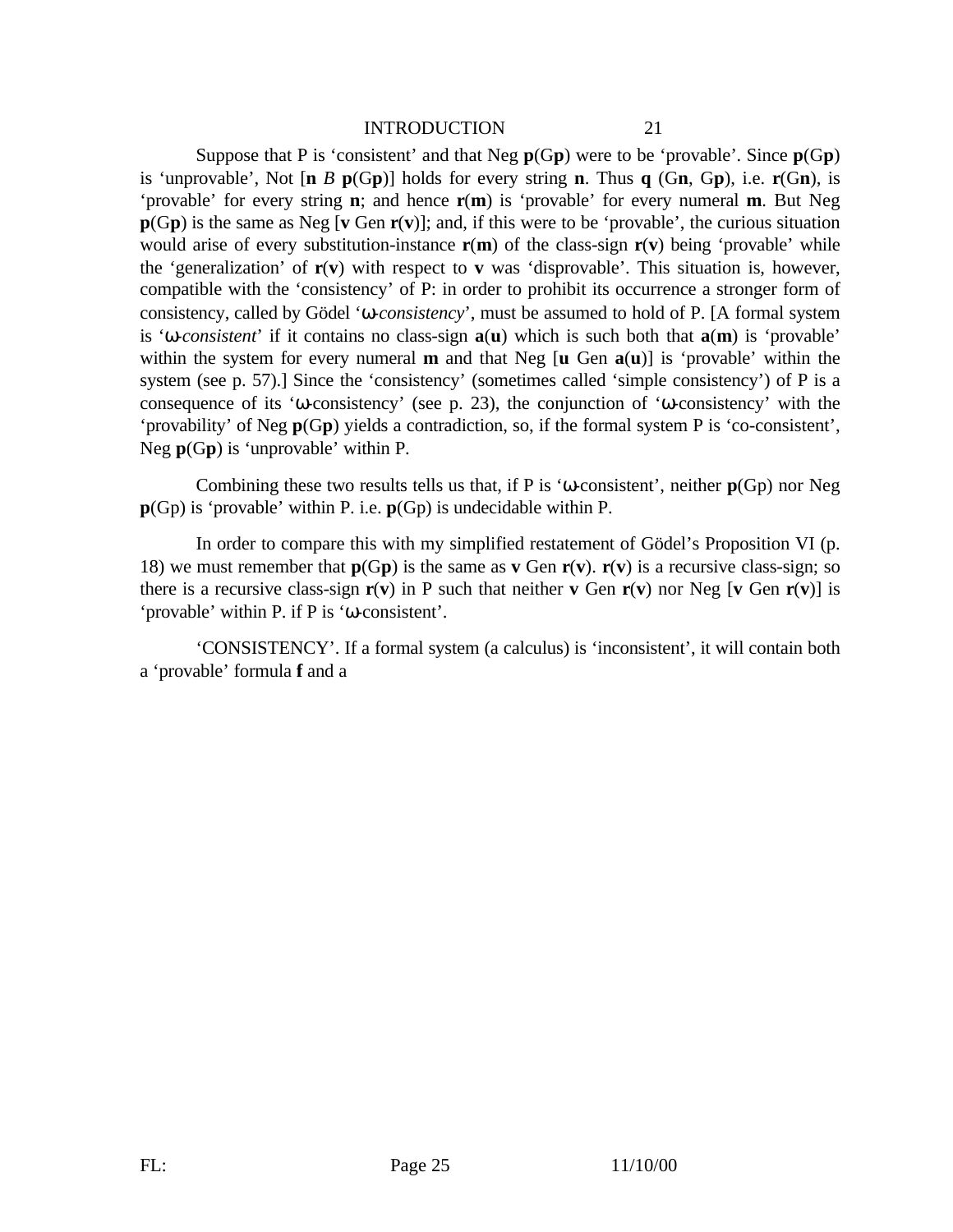Suppose that P is 'consistent' and that Neg **p**(G**p**) were to be 'provable'. Since **p**(G**p**) is 'unprovable', Not [**n** *B* **p**(G**p**)] holds for every string **n**. Thus **q** (G**n**, G**p**), i.e. **r**(G**n**), is 'provable' for every string **n**; and hence **r**(**m**) is 'provable' for every numeral **m**. But Neg **p**(G**p**) is the same as Neg [**v** Gen **r**(**v**)]; and, if this were to be 'provable', the curious situation would arise of every substitution-instance **r**(**m**) of the class-sign **r**(**v**) being 'provable' while the 'generalization' of **r**(**v**) with respect to **v** was 'disprovable'. This situation is, however, compatible with the 'consistency' of P: in order to prohibit its occurrence a stronger form of consistency, called by Gödel 'ω-*consistency*', must be assumed to hold of P. [A formal system is 'ω-*consistent*' if it contains no class-sign **a**(**u**) which is such both that **a**(**m**) is 'provable' within the system for every numeral **m** and that Neg [**u** Gen **a**(**u**)] is 'provable' within the system (see p. 57).] Since the 'consistency' (sometimes called 'simple consistency') of P is a consequence of its 'ω-consistency' (see p. 23), the conjunction of 'ω-consistency' with the 'provability' of Neg **p**(G**p**) yields a contradiction, so, if the formal system P is 'co-consistent', Neg **p**(G**p**) is 'unprovable' within P.

Combining these two results tells us that, if P is 'ω-consistent', neither **p**(Gp) nor Neg **p**(Gp) is 'provable' within P. i.e. **p**(Gp) is undecidable within P.

In order to compare this with my simplified restatement of Gödel's Proposition VI (p. 18) we must remember that  $p(Gp)$  is the same as **v** Gen  $r(v)$ .  $r(v)$  is a recursive class-sign; so there is a recursive class-sign  $r(v)$  in P such that neither **v** Gen  $r(v)$  nor Neg [**v** Gen  $r(v)$ ] is 'provable' within P. if P is 'ω-consistent'.

'CONSISTENCY'. If a formal system (a calculus) is 'inconsistent', it will contain both a 'provable' formula **f** and a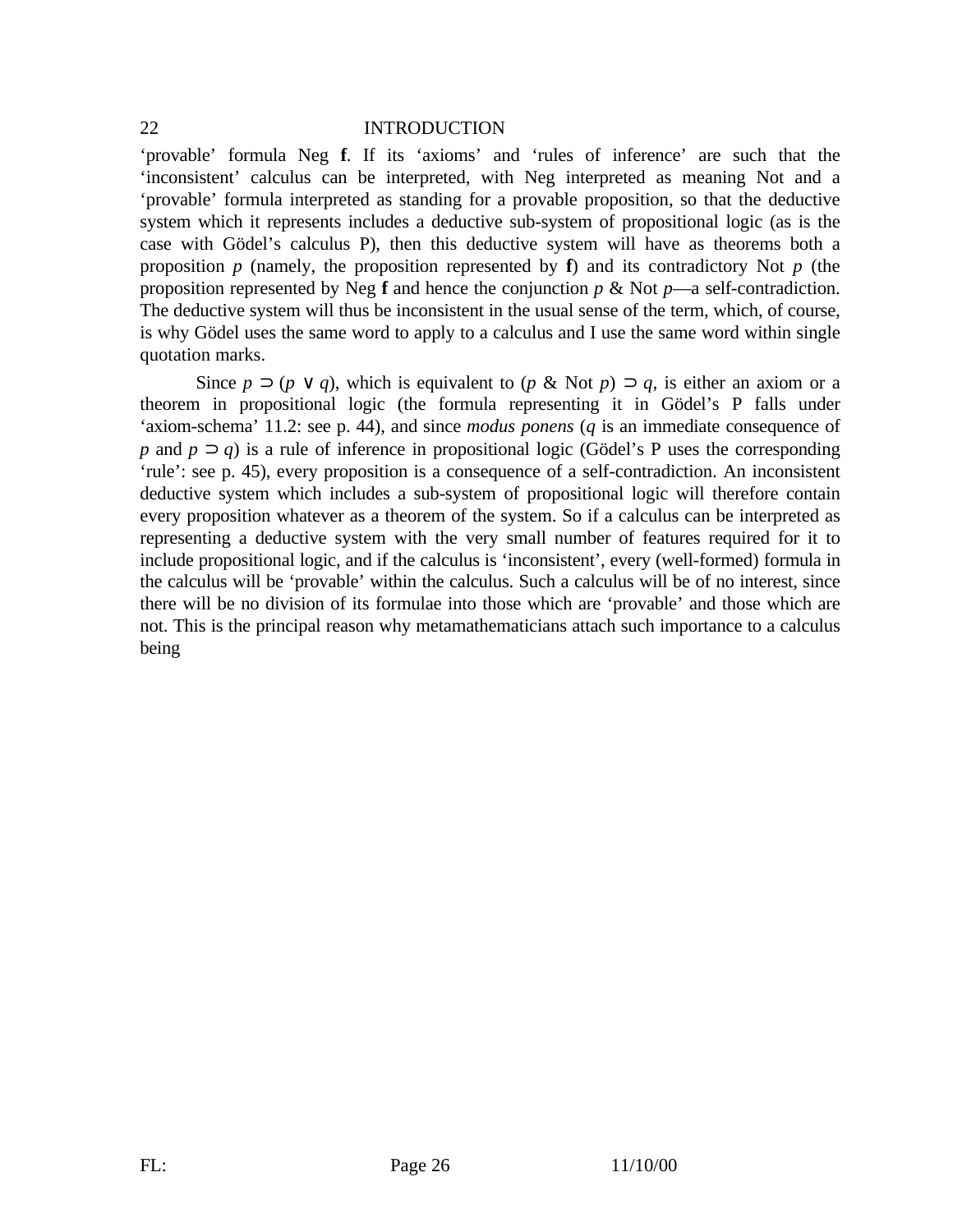'provable' formula Neg **f**. If its 'axioms' and 'rules of inference' are such that the 'inconsistent' calculus can be interpreted, with Neg interpreted as meaning Not and a 'provable' formula interpreted as standing for a provable proposition, so that the deductive system which it represents includes a deductive sub-system of propositional logic (as is the case with Gödel's calculus P), then this deductive system will have as theorems both a proposition *p* (namely, the proposition represented by **f**) and its contradictory Not *p* (the proposition represented by Neg **f** and hence the conjunction *p* & Not *p*—a self-contradiction. The deductive system will thus be inconsistent in the usual sense of the term, which, of course, is why Gödel uses the same word to apply to a calculus and I use the same word within single quotation marks.

Since  $p \supset (p \vee q)$ , which is equivalent to  $(p \& \text{Not } p) \supset q$ , is either an axiom or a theorem in propositional logic (the formula representing it in Gödel's P falls under 'axiom-schema' 11.2: see p. 44), and since *modus ponens* (*q* is an immediate consequence of *p* and  $p \supset q$  is a rule of inference in propositional logic (Gödel's P uses the corresponding 'rule': see p. 45), every proposition is a consequence of a self-contradiction. An inconsistent deductive system which includes a sub-system of propositional logic will therefore contain every proposition whatever as a theorem of the system. So if a calculus can be interpreted as representing a deductive system with the very small number of features required for it to include propositional logic, and if the calculus is 'inconsistent', every (well-formed) formula in the calculus will be 'provable' within the calculus. Such a calculus will be of no interest, since there will be no division of its formulae into those which are 'provable' and those which are not. This is the principal reason why metamathematicians attach such importance to a calculus being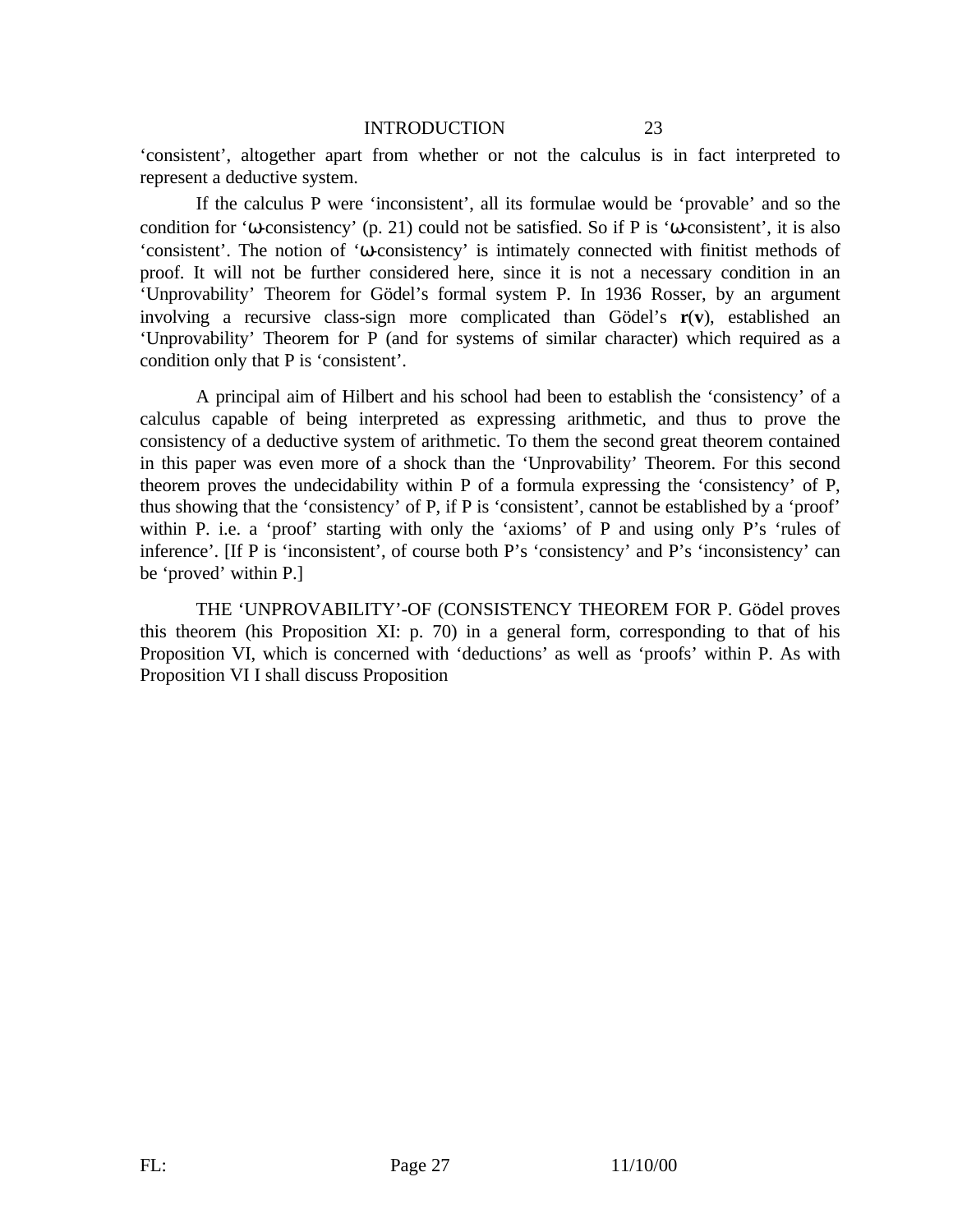'consistent', altogether apart from whether or not the calculus is in fact interpreted to represent a deductive system.

If the calculus P were 'inconsistent', all its formulae would be 'provable' and so the condition for 'ω-consistency' (p. 21) could not be satisfied. So if P is 'ω-consistent', it is also 'consistent'. The notion of 'ω-consistency' is intimately connected with finitist methods of proof. It will not be further considered here, since it is not a necessary condition in an 'Unprovability' Theorem for Gödel's formal system P. In 1936 Rosser, by an argument involving a recursive class-sign more complicated than Gödel's **r**(**v**), established an 'Unprovability' Theorem for P (and for systems of similar character) which required as a condition only that P is 'consistent'.

A principal aim of Hilbert and his school had been to establish the 'consistency' of a calculus capable of being interpreted as expressing arithmetic, and thus to prove the consistency of a deductive system of arithmetic. To them the second great theorem contained in this paper was even more of a shock than the 'Unprovability' Theorem. For this second theorem proves the undecidability within P of a formula expressing the 'consistency' of P, thus showing that the 'consistency' of P, if P is 'consistent', cannot be established by a 'proof' within P. i.e. a 'proof' starting with only the 'axioms' of P and using only P's 'rules of inference'. [If P is 'inconsistent', of course both P's 'consistency' and P's 'inconsistency' can be 'proved' within P.]

THE 'UNPROVABILITY'-OF (CONSISTENCY THEOREM FOR P. Gödel proves this theorem (his Proposition XI: p. 70) in a general form, corresponding to that of his Proposition VI, which is concerned with 'deductions' as well as 'proofs' within P. As with Proposition VI I shall discuss Proposition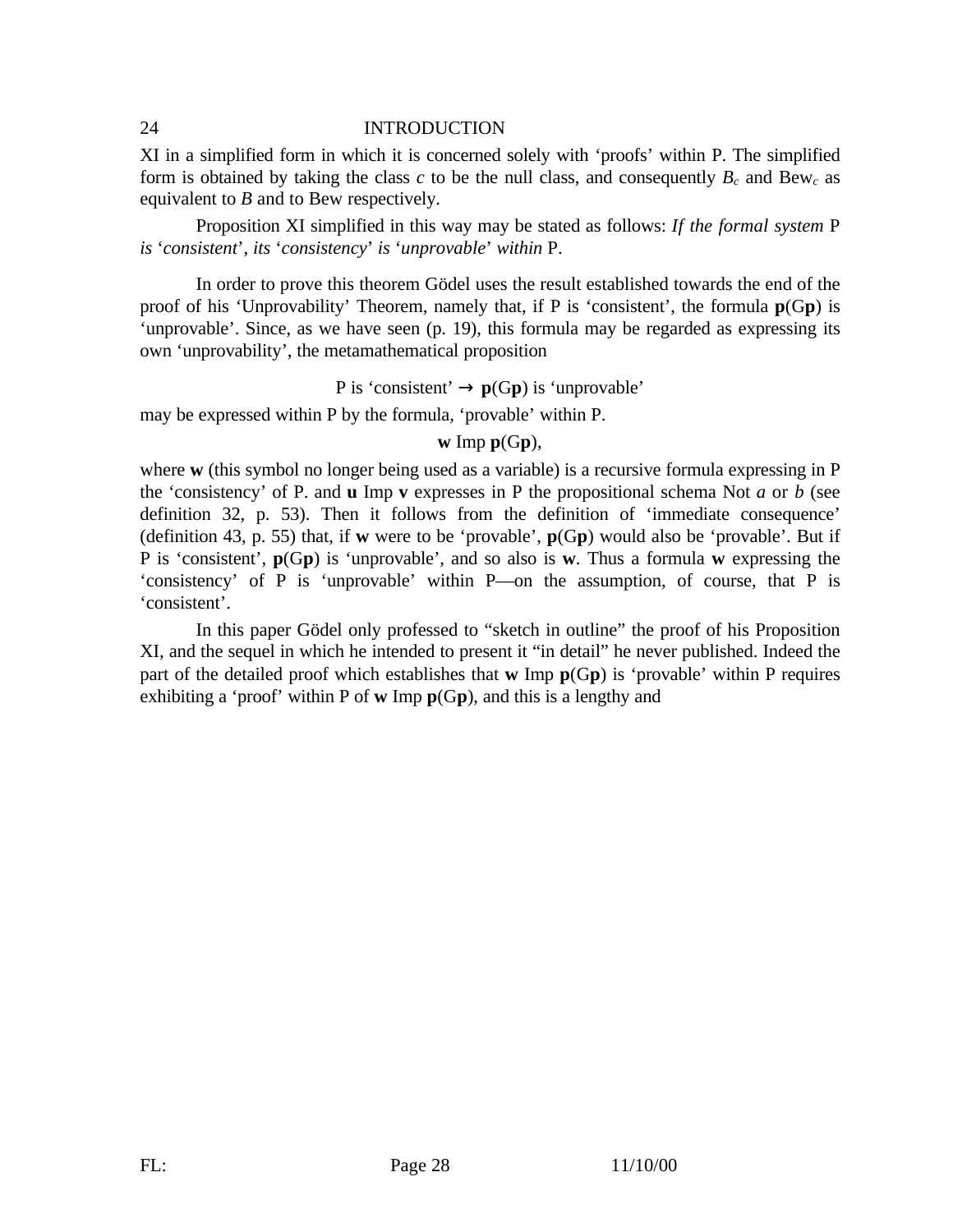XI in a simplified form in which it is concerned solely with 'proofs' within P. The simplified form is obtained by taking the class  $c$  to be the null class, and consequently  $B_c$  and Bew<sub>c</sub> as equivalent to *B* and to Bew respectively.

Proposition XI simplified in this way may be stated as follows: *If the formal system* P *is* '*consistent*', *its* '*consistency*' *is* '*unprovable*' *within* P.

In order to prove this theorem Gödel uses the result established towards the end of the proof of his 'Unprovability' Theorem, namely that, if P is 'consistent', the formula **p**(G**p**) is 'unprovable'. Since, as we have seen (p. 19), this formula may be regarded as expressing its own 'unprovability', the metamathematical proposition

P is 'consistent'  $\rightarrow$   $p(Gp)$  is 'unprovable'

may be expressed within P by the formula, 'provable' within P.

# $\bf{w}$  Imp  $\bf{p}(G\bf{p})$ ,

where **w** (this symbol no longer being used as a variable) is a recursive formula expressing in P the 'consistency' of P. and **u** Imp **v** expresses in P the propositional schema Not *a* or *b* (see definition 32, p. 53). Then it follows from the definition of 'immediate consequence' (definition 43, p. 55) that, if **w** were to be 'provable', **p**(G**p**) would also be 'provable'. But if P is 'consistent', **p**(G**p**) is 'unprovable', and so also is **w**. Thus a formula **w** expressing the 'consistency' of P is 'unprovable' within P—on the assumption, of course, that P is 'consistent'.

In this paper Gödel only professed to "sketch in outline" the proof of his Proposition XI, and the sequel in which he intended to present it "in detail" he never published. Indeed the part of the detailed proof which establishes that **w** Imp **p**(G**p**) is 'provable' within P requires exhibiting a 'proof' within P of **w** Imp **p**(G**p**), and this is a lengthy and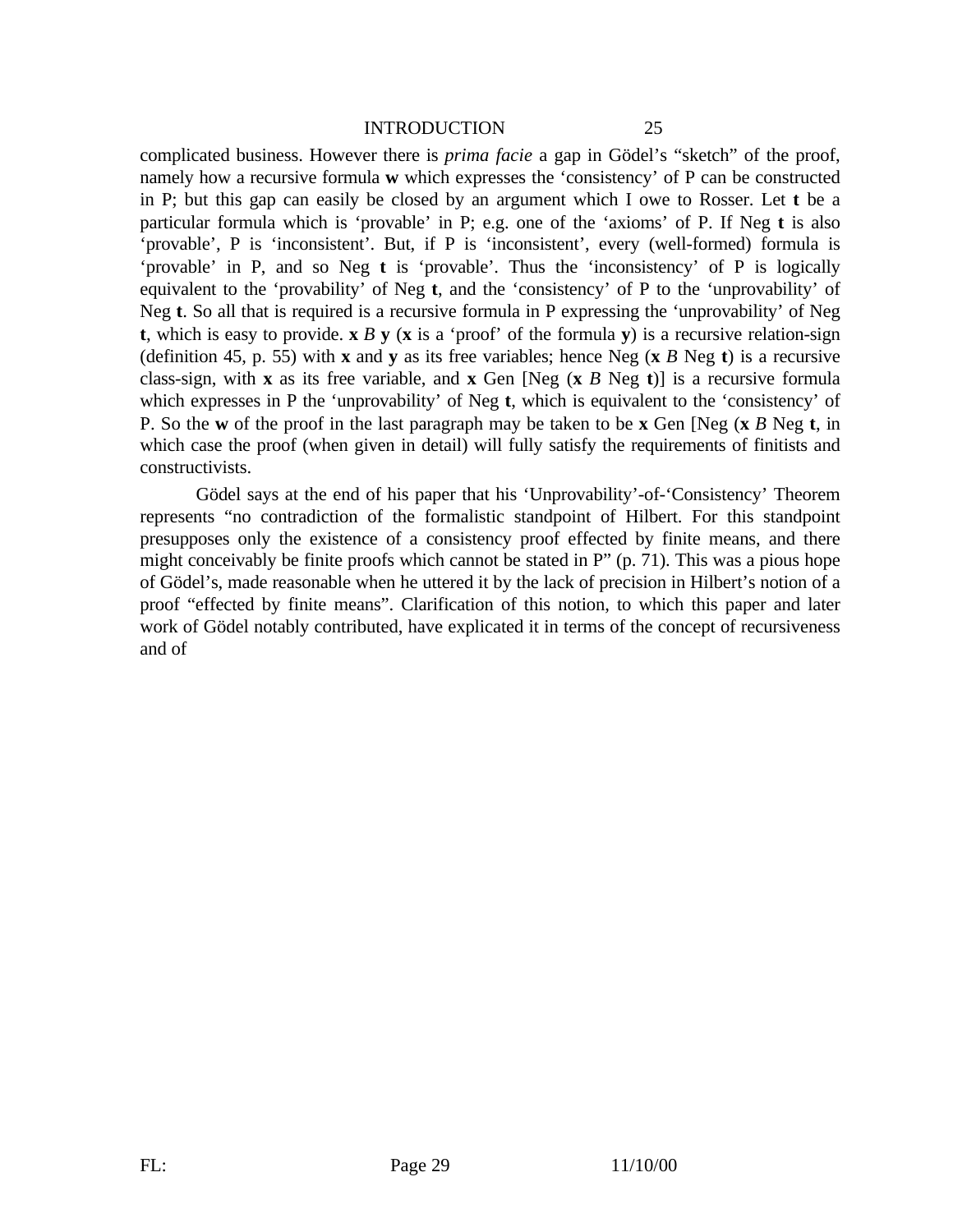complicated business. However there is *prima facie* a gap in Gödel's "sketch" of the proof, namely how a recursive formula **w** which expresses the 'consistency' of P can be constructed in P; but this gap can easily be closed by an argument which I owe to Rosser. Let **t** be a particular formula which is 'provable' in P; e.g. one of the 'axioms' of P. If Neg **t** is also 'provable', P is 'inconsistent'. But, if P is 'inconsistent', every (well-formed) formula is 'provable' in P, and so Neg **t** is 'provable'. Thus the 'inconsistency' of P is logically equivalent to the 'provability' of Neg **t**, and the 'consistency' of P to the 'unprovability' of Neg **t**. So all that is required is a recursive formula in P expressing the 'unprovability' of Neg **t**, which is easy to provide. **x** *B* **y** (**x** is a 'proof' of the formula **y**) is a recursive relation-sign (definition 45, p. 55) with **x** and **y** as its free variables; hence Neg (**x** *B* Neg **t**) is a recursive class-sign, with **x** as its free variable, and **x** Gen [Neg (**x** *B* Neg **t**)] is a recursive formula which expresses in P the 'unprovability' of Neg **t**, which is equivalent to the 'consistency' of P. So the **w** of the proof in the last paragraph may be taken to be **x** Gen [Neg (**x** *B* Neg **t**, in which case the proof (when given in detail) will fully satisfy the requirements of finitists and constructivists.

Gödel says at the end of his paper that his 'Unprovability'-of-'Consistency' Theorem represents "no contradiction of the formalistic standpoint of Hilbert. For this standpoint presupposes only the existence of a consistency proof effected by finite means, and there might conceivably be finite proofs which cannot be stated in P" (p. 71). This was a pious hope of Gödel's, made reasonable when he uttered it by the lack of precision in Hilbert's notion of a proof "effected by finite means". Clarification of this notion, to which this paper and later work of Gödel notably contributed, have explicated it in terms of the concept of recursiveness and of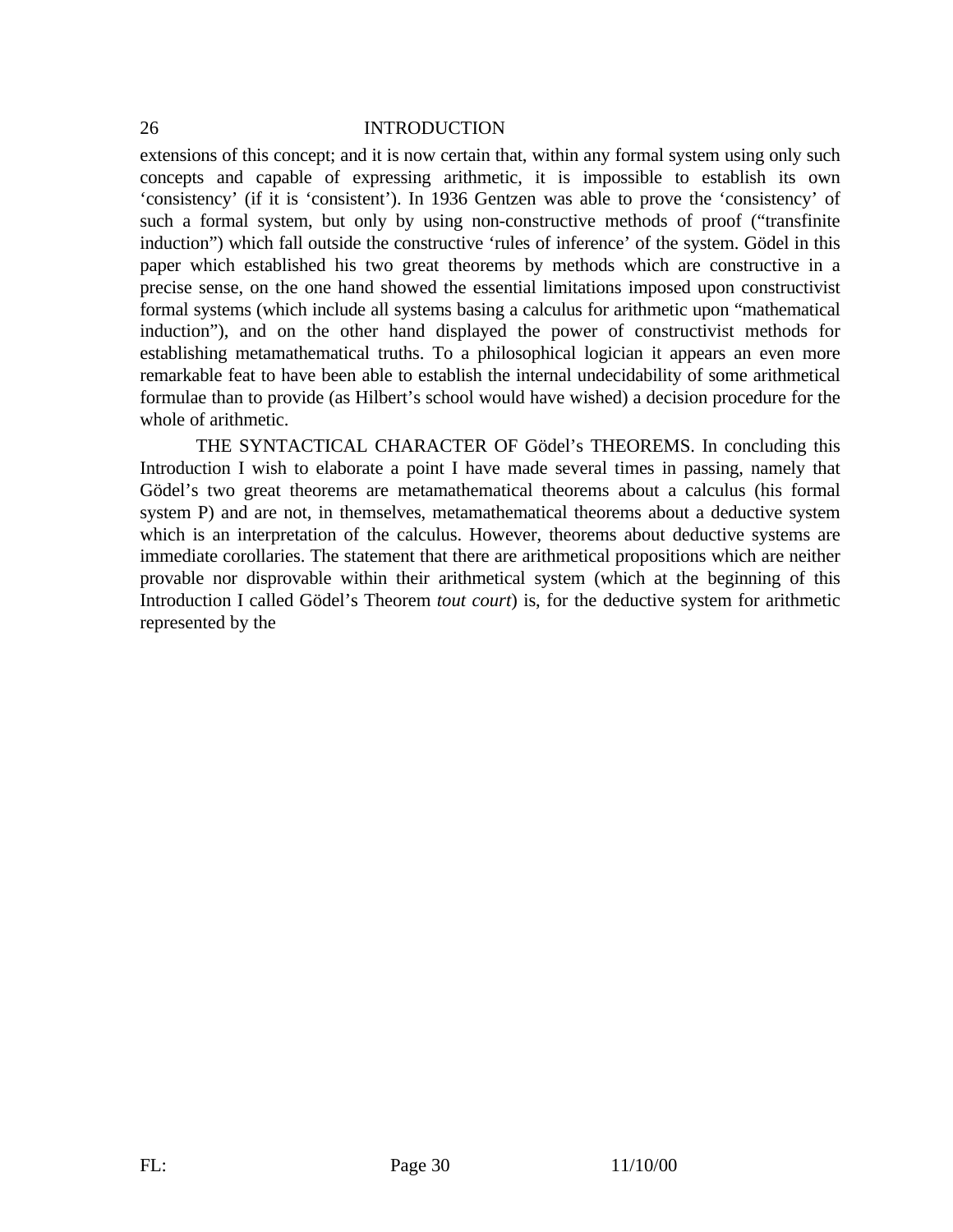extensions of this concept; and it is now certain that, within any formal system using only such concepts and capable of expressing arithmetic, it is impossible to establish its own 'consistency' (if it is 'consistent'). In 1936 Gentzen was able to prove the 'consistency' of such a formal system, but only by using non-constructive methods of proof ("transfinite induction") which fall outside the constructive 'rules of inference' of the system. Gödel in this paper which established his two great theorems by methods which are constructive in a precise sense, on the one hand showed the essential limitations imposed upon constructivist formal systems (which include all systems basing a calculus for arithmetic upon "mathematical induction"), and on the other hand displayed the power of constructivist methods for establishing metamathematical truths. To a philosophical logician it appears an even more remarkable feat to have been able to establish the internal undecidability of some arithmetical formulae than to provide (as Hilbert's school would have wished) a decision procedure for the whole of arithmetic.

THE SYNTACTICAL CHARACTER OF Gödel's THEOREMS. In concluding this Introduction I wish to elaborate a point I have made several times in passing, namely that Gödel's two great theorems are metamathematical theorems about a calculus (his formal system P) and are not, in themselves, metamathematical theorems about a deductive system which is an interpretation of the calculus. However, theorems about deductive systems are immediate corollaries. The statement that there are arithmetical propositions which are neither provable nor disprovable within their arithmetical system (which at the beginning of this Introduction I called Gödel's Theorem *tout court*) is, for the deductive system for arithmetic represented by the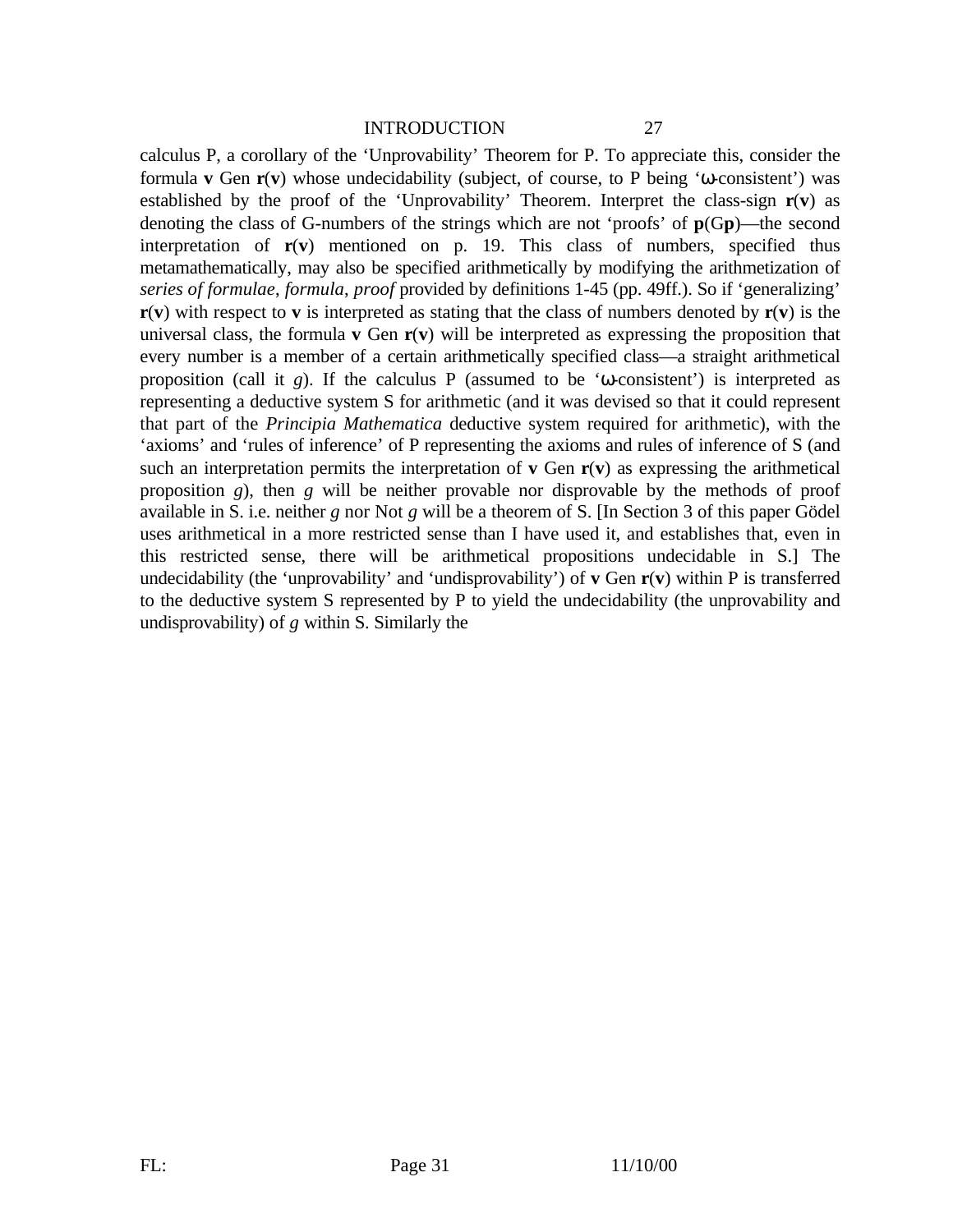calculus P, a corollary of the 'Unprovability' Theorem for P. To appreciate this, consider the formula **v** Gen **r**(**v**) whose undecidability (subject, of course, to P being 'ω-consistent') was established by the proof of the 'Unprovability' Theorem. Interpret the class-sign  $r(v)$  as denoting the class of G-numbers of the strings which are not 'proofs' of **p**(G**p**)—the second interpretation of **r**(**v**) mentioned on p. 19. This class of numbers, specified thus metamathematically, may also be specified arithmetically by modifying the arithmetization of *series of formulae*, *formula*, *proof* provided by definitions 1-45 (pp. 49ff.). So if 'generalizing'  $r(v)$  with respect to **v** is interpreted as stating that the class of numbers denoted by  $r(v)$  is the universal class, the formula **v** Gen  $r(v)$  will be interpreted as expressing the proposition that every number is a member of a certain arithmetically specified class—a straight arithmetical proposition (call it *g*). If the calculus P (assumed to be ' $\omega$ -consistent') is interpreted as representing a deductive system S for arithmetic (and it was devised so that it could represent that part of the *Principia Mathematica* deductive system required for arithmetic), with the 'axioms' and 'rules of inference' of P representing the axioms and rules of inference of S (and such an interpretation permits the interpretation of  $\bf{v}$  Gen  $\bf{r}(\bf{v})$  as expressing the arithmetical proposition *g*), then *g* will be neither provable nor disprovable by the methods of proof available in S. i.e. neither *g* nor Not *g* will be a theorem of S. [In Section 3 of this paper Gödel uses arithmetical in a more restricted sense than I have used it, and establishes that, even in this restricted sense, there will be arithmetical propositions undecidable in S.] The undecidability (the 'unprovability' and 'undisprovability') of **v** Gen **r**(**v**) within P is transferred to the deductive system S represented by P to yield the undecidability (the unprovability and undisprovability) of *g* within S. Similarly the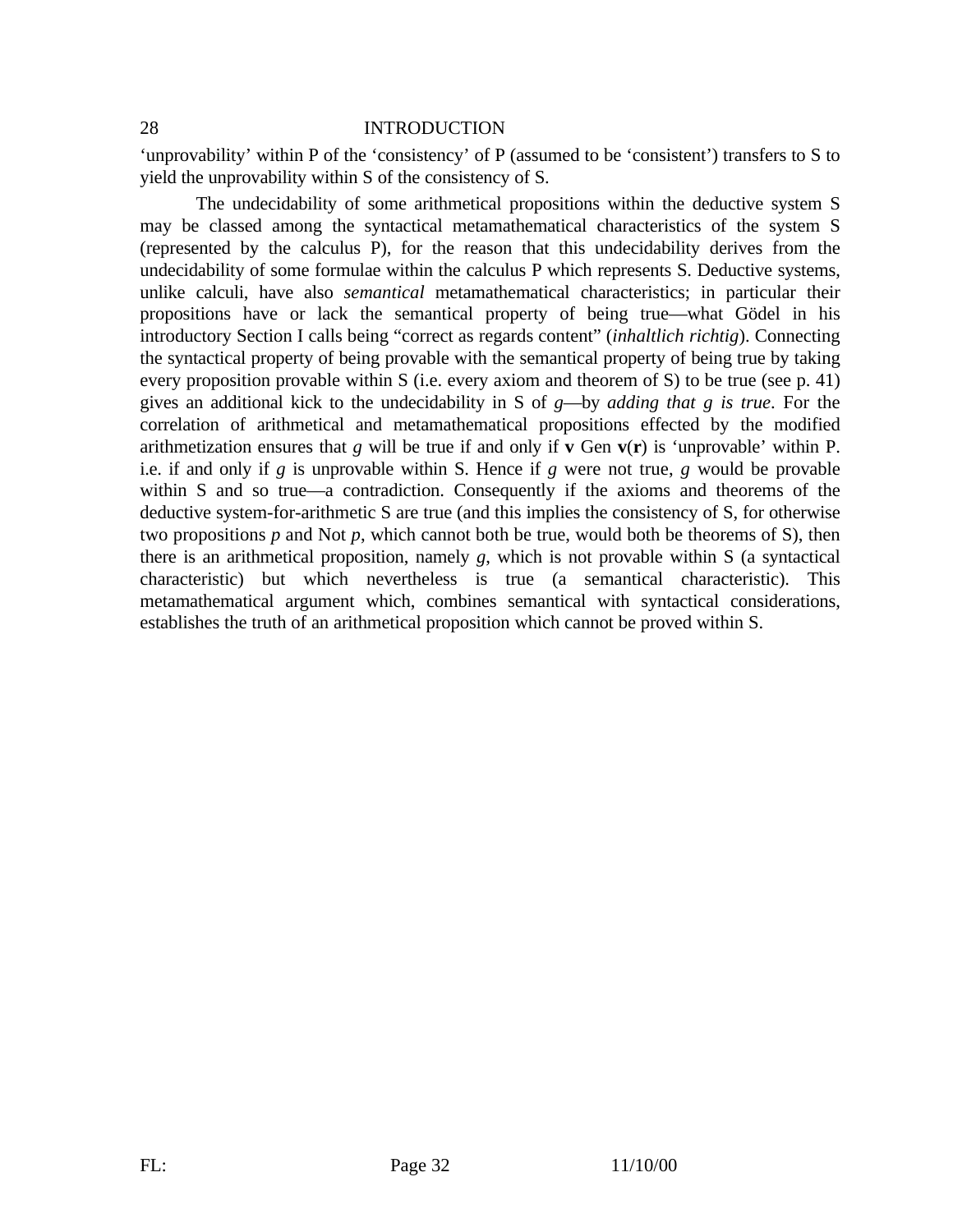'unprovability' within P of the 'consistency' of P (assumed to be 'consistent') transfers to S to yield the unprovability within S of the consistency of S.

The undecidability of some arithmetical propositions within the deductive system S may be classed among the syntactical metamathematical characteristics of the system S (represented by the calculus P), for the reason that this undecidability derives from the undecidability of some formulae within the calculus P which represents S. Deductive systems, unlike calculi, have also *semantical* metamathematical characteristics; in particular their propositions have or lack the semantical property of being true—what Gödel in his introductory Section I calls being "correct as regards content" (*inhaltlich richtig*). Connecting the syntactical property of being provable with the semantical property of being true by taking every proposition provable within S (i.e. every axiom and theorem of S) to be true (see p. 41) gives an additional kick to the undecidability in S of *g*—by *adding that g is true*. For the correlation of arithmetical and metamathematical propositions effected by the modified arithmetization ensures that  $g$  will be true if and only if  $\bf{v}$  Gen  $\bf{v}(\bf{r})$  is 'unprovable' within P. i.e. if and only if *g* is unprovable within S. Hence if *g* were not true, *g* would be provable within S and so true—a contradiction. Consequently if the axioms and theorems of the deductive system-for-arithmetic S are true (and this implies the consistency of S, for otherwise two propositions *p* and Not *p*, which cannot both be true, would both be theorems of S), then there is an arithmetical proposition, namely *g*, which is not provable within S (a syntactical characteristic) but which nevertheless is true (a semantical characteristic). This metamathematical argument which, combines semantical with syntactical considerations, establishes the truth of an arithmetical proposition which cannot be proved within S.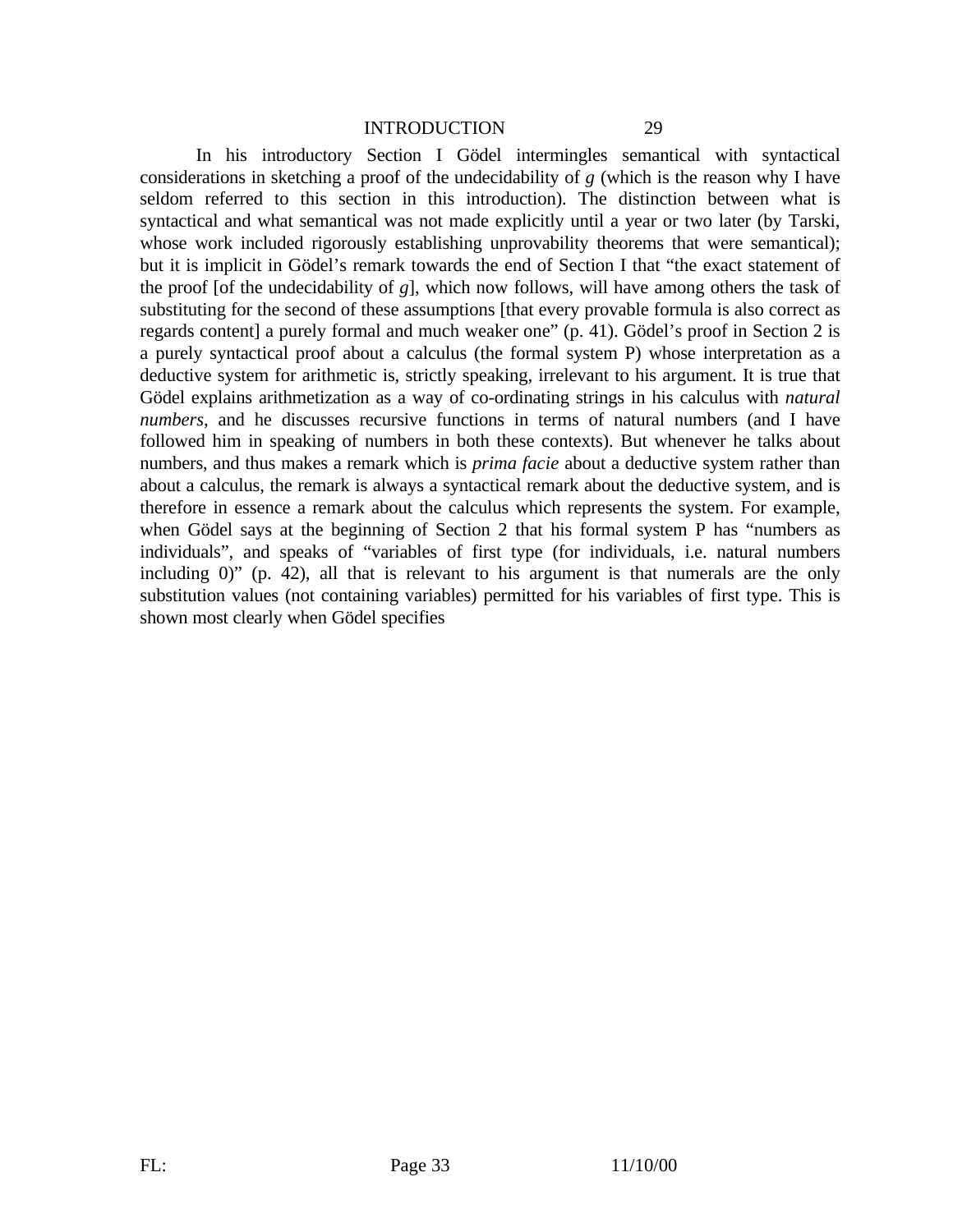In his introductory Section I Gödel intermingles semantical with syntactical considerations in sketching a proof of the undecidability of *g* (which is the reason why I have seldom referred to this section in this introduction). The distinction between what is syntactical and what semantical was not made explicitly until a year or two later (by Tarski, whose work included rigorously establishing unprovability theorems that were semantical); but it is implicit in Gödel's remark towards the end of Section I that "the exact statement of the proof [of the undecidability of *g*], which now follows, will have among others the task of substituting for the second of these assumptions [that every provable formula is also correct as regards content] a purely formal and much weaker one" (p. 41). Gödel's proof in Section 2 is a purely syntactical proof about a calculus (the formal system P) whose interpretation as a deductive system for arithmetic is, strictly speaking, irrelevant to his argument. It is true that Gödel explains arithmetization as a way of co-ordinating strings in his calculus with *natural numbers*, and he discusses recursive functions in terms of natural numbers (and I have followed him in speaking of numbers in both these contexts). But whenever he talks about numbers, and thus makes a remark which is *prima facie* about a deductive system rather than about a calculus, the remark is always a syntactical remark about the deductive system, and is therefore in essence a remark about the calculus which represents the system. For example, when Gödel says at the beginning of Section 2 that his formal system P has "numbers as individuals", and speaks of "variables of first type (for individuals, i.e. natural numbers including 0)" (p. 42), all that is relevant to his argument is that numerals are the only substitution values (not containing variables) permitted for his variables of first type. This is shown most clearly when Gödel specifies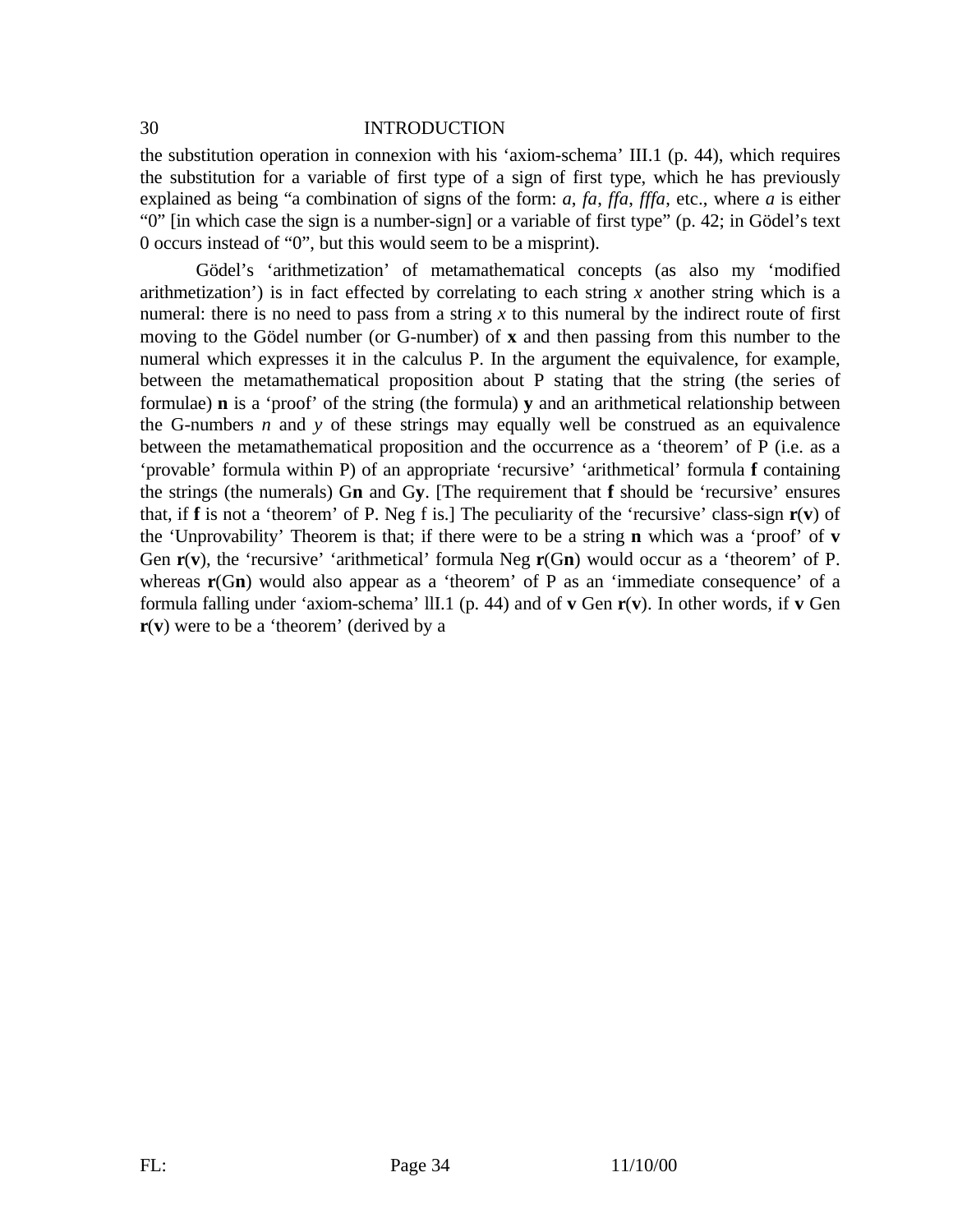the substitution operation in connexion with his 'axiom-schema' III.1 (p. 44), which requires the substitution for a variable of first type of a sign of first type, which he has previously explained as being "a combination of signs of the form: *a*, *fa*, *ffa*, *fffa*, etc., where *a* is either "0" [in which case the sign is a number-sign] or a variable of first type" (p. 42; in Gödel's text 0 occurs instead of "0", but this would seem to be a misprint).

Gödel's 'arithmetization' of metamathematical concepts (as also my 'modified arithmetization') is in fact effected by correlating to each string *x* another string which is a numeral: there is no need to pass from a string *x* to this numeral by the indirect route of first moving to the Gödel number (or G-number) of **x** and then passing from this number to the numeral which expresses it in the calculus P. In the argument the equivalence, for example, between the metamathematical proposition about P stating that the string (the series of formulae) **n** is a 'proof' of the string (the formula) **y** and an arithmetical relationship between the G-numbers  $n$  and  $y$  of these strings may equally well be construed as an equivalence between the metamathematical proposition and the occurrence as a 'theorem' of P (i.e. as a 'provable' formula within P) of an appropriate 'recursive' 'arithmetical' formula **f** containing the strings (the numerals) G**n** and G**y**. [The requirement that **f** should be 'recursive' ensures that, if **f** is not a 'theorem' of P. Neg f is.] The peculiarity of the 'recursive' class-sign **r**(**v**) of the 'Unprovability' Theorem is that; if there were to be a string **n** which was a 'proof' of **v** Gen **r**(**v**), the 'recursive' 'arithmetical' formula Neg **r**(G**n**) would occur as a 'theorem' of P. whereas **r**(G**n**) would also appear as a 'theorem' of P as an 'immediate consequence' of a formula falling under 'axiom-schema' llI.1 (p. 44) and of **v** Gen **r**(**v**). In other words, if **v** Gen **r**(**v**) were to be a 'theorem' (derived by a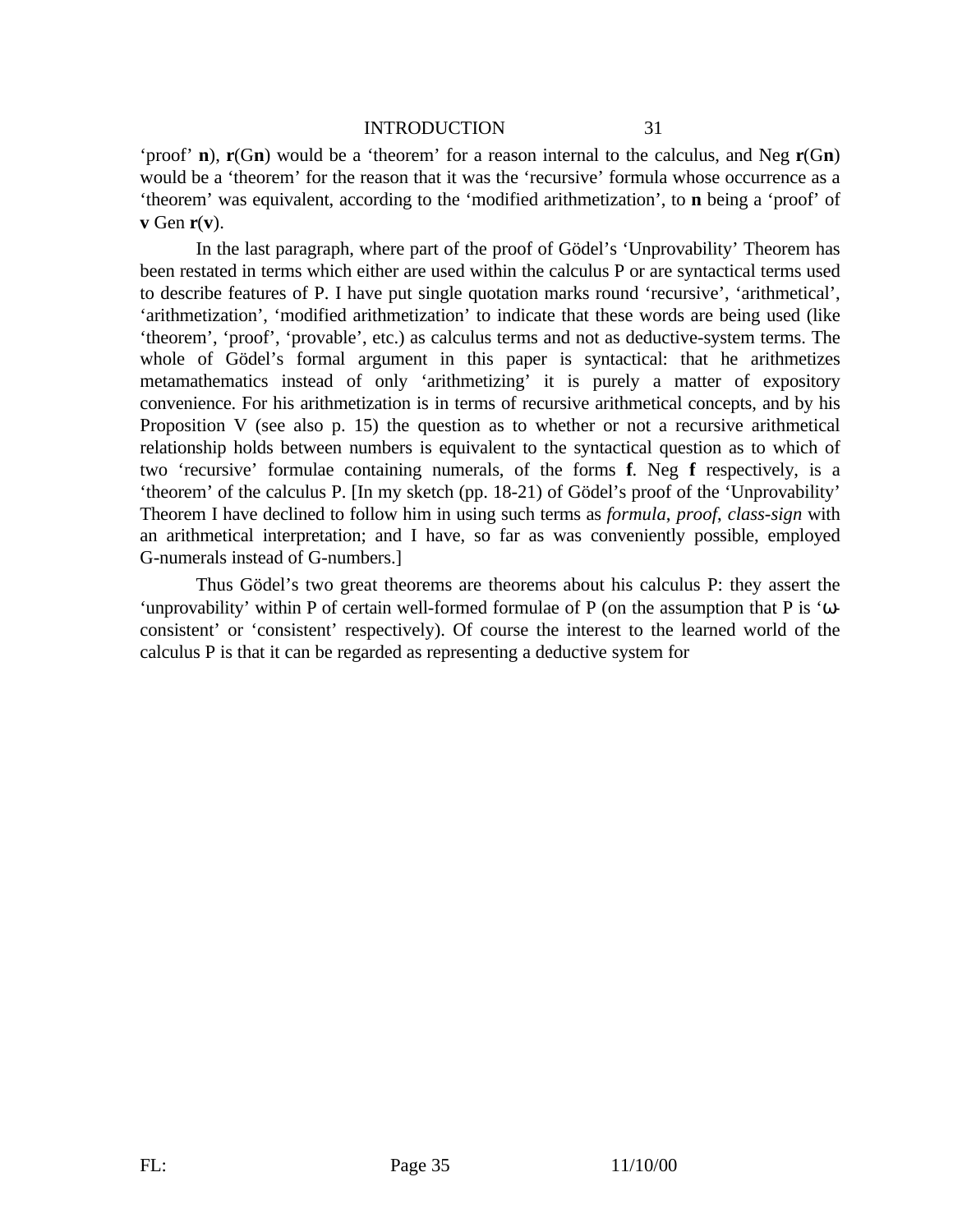'proof' **n**), **r**(G**n**) would be a 'theorem' for a reason internal to the calculus, and Neg **r**(G**n**) would be a 'theorem' for the reason that it was the 'recursive' formula whose occurrence as a 'theorem' was equivalent, according to the 'modified arithmetization', to **n** being a 'proof' of **v** Gen **r**(**v**).

In the last paragraph, where part of the proof of Gödel's 'Unprovability' Theorem has been restated in terms which either are used within the calculus P or are syntactical terms used to describe features of P. I have put single quotation marks round 'recursive', 'arithmetical', 'arithmetization', 'modified arithmetization' to indicate that these words are being used (like 'theorem', 'proof', 'provable', etc.) as calculus terms and not as deductive-system terms. The whole of Gödel's formal argument in this paper is syntactical: that he arithmetizes metamathematics instead of only 'arithmetizing' it is purely a matter of expository convenience. For his arithmetization is in terms of recursive arithmetical concepts, and by his Proposition V (see also p. 15) the question as to whether or not a recursive arithmetical relationship holds between numbers is equivalent to the syntactical question as to which of two 'recursive' formulae containing numerals, of the forms **f**. Neg **f** respectively, is a 'theorem' of the calculus P. [In my sketch (pp. 18-21) of Gödel's proof of the 'Unprovability' Theorem I have declined to follow him in using such terms as *formula*, *proof*, *class*-*sign* with an arithmetical interpretation; and I have, so far as was conveniently possible, employed G-numerals instead of G-numbers.]

Thus Gödel's two great theorems are theorems about his calculus P: they assert the 'unprovability' within P of certain well-formed formulae of P (on the assumption that P is 'ωconsistent' or 'consistent' respectively). Of course the interest to the learned world of the calculus P is that it can be regarded as representing a deductive system for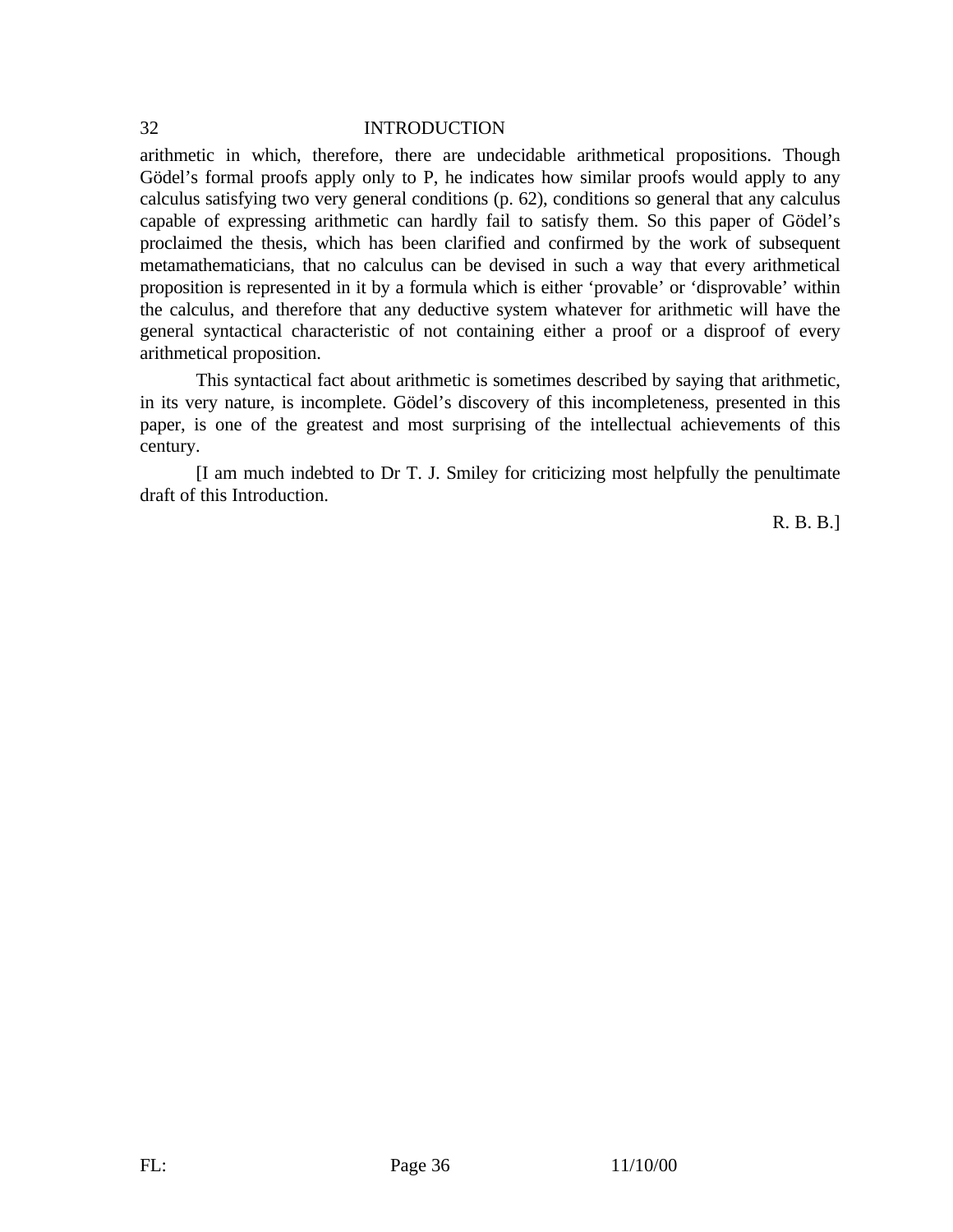arithmetic in which, therefore, there are undecidable arithmetical propositions. Though Gödel's formal proofs apply only to P, he indicates how similar proofs would apply to any calculus satisfying two very general conditions (p. 62), conditions so general that any calculus capable of expressing arithmetic can hardly fail to satisfy them. So this paper of Gödel's proclaimed the thesis, which has been clarified and confirmed by the work of subsequent metamathematicians, that no calculus can be devised in such a way that every arithmetical proposition is represented in it by a formula which is either 'provable' or 'disprovable' within the calculus, and therefore that any deductive system whatever for arithmetic will have the general syntactical characteristic of not containing either a proof or a disproof of every arithmetical proposition.

This syntactical fact about arithmetic is sometimes described by saying that arithmetic, in its very nature, is incomplete. Gödel's discovery of this incompleteness, presented in this paper, is one of the greatest and most surprising of the intellectual achievements of this century.

[I am much indebted to Dr T. J. Smiley for criticizing most helpfully the penultimate draft of this Introduction.

R. B. B.]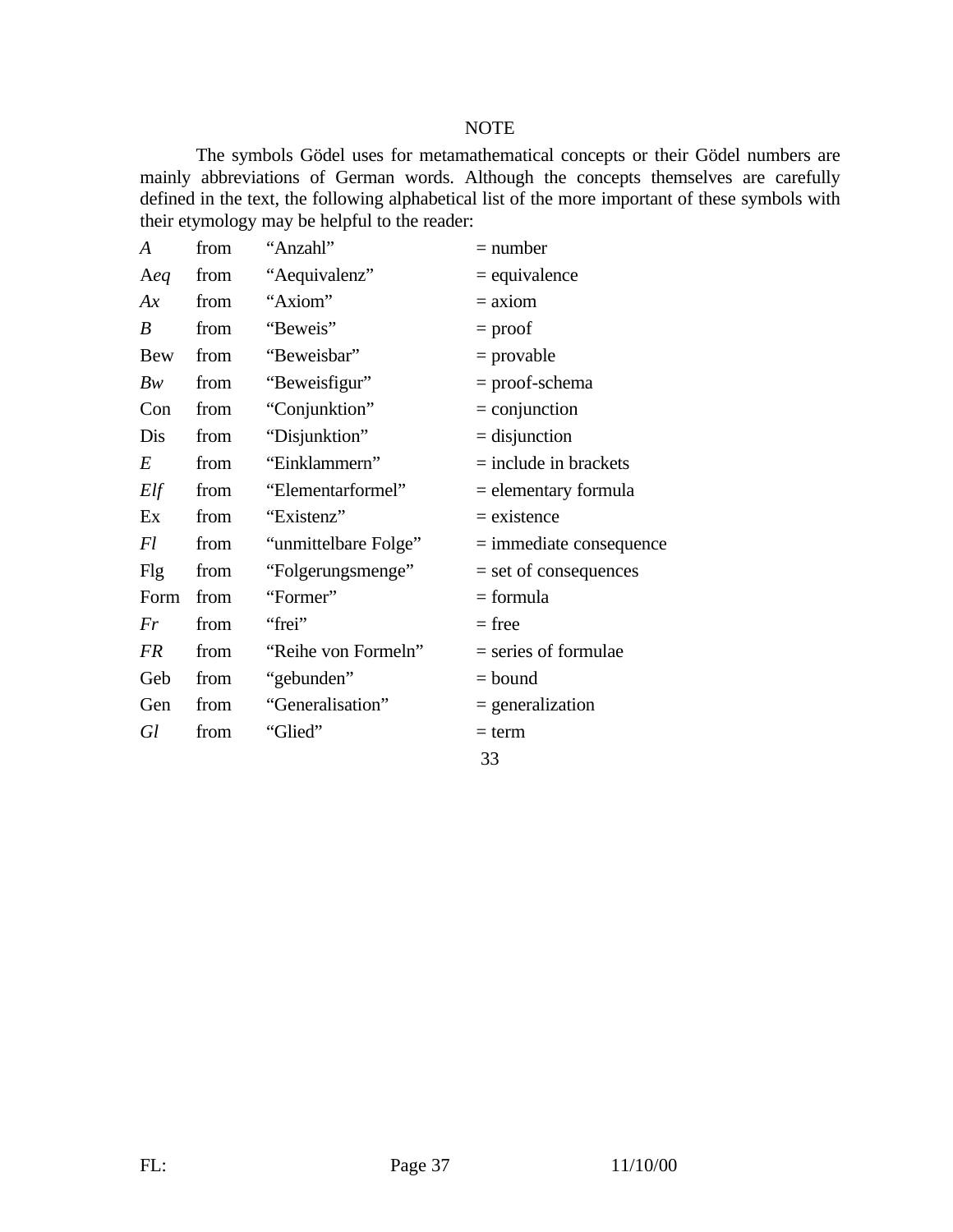## NOTE

The symbols Gödel uses for metamathematical concepts or their Gödel numbers are mainly abbreviations of German words. Although the concepts themselves are carefully defined in the text, the following alphabetical list of the more important of these symbols with their etymology may be helpful to the reader:

| A         | from | "Anzahl"             | $=$ number                |
|-----------|------|----------------------|---------------------------|
| Aeq       | from | "Aequivalenz"        | $=$ equivalence           |
| Ax        | from | "Axiom"              | $=$ axiom                 |
| B         | from | "Beweis"             | $=$ proof                 |
| Bew       | from | "Beweisbar"          | $=$ provable              |
| Bw        | from | "Beweisfigur"        | $=$ proof-schema          |
| Con       | from | "Conjunktion"        | $=$ conjunction           |
| Dis       | from | "Disjunktion"        | $=$ disjunction           |
| E         | from | "Einklammern"        | $=$ include in brackets   |
| Elf       | from | "Elementarformel"    | $=$ elementary formula    |
| Ex        | from | "Existenz"           | $=$ existence             |
| Fl        | from | "unmittelbare Folge" | $=$ immediate consequence |
| Flg       | from | "Folgerungsmenge"    | $=$ set of consequences   |
| Form      | from | "Former"             | $= formula$               |
| Fr        | from | "frei"               | $=$ free                  |
| <b>FR</b> | from | "Reihe von Formeln"  | $=$ series of formulae    |
| Geb       | from | "gebunden"           | $=$ bound                 |
| Gen       | from | "Generalisation"     | $=$ generalization        |
| Gl        | from | "Glied"              | $=$ term                  |
|           |      |                      | 33                        |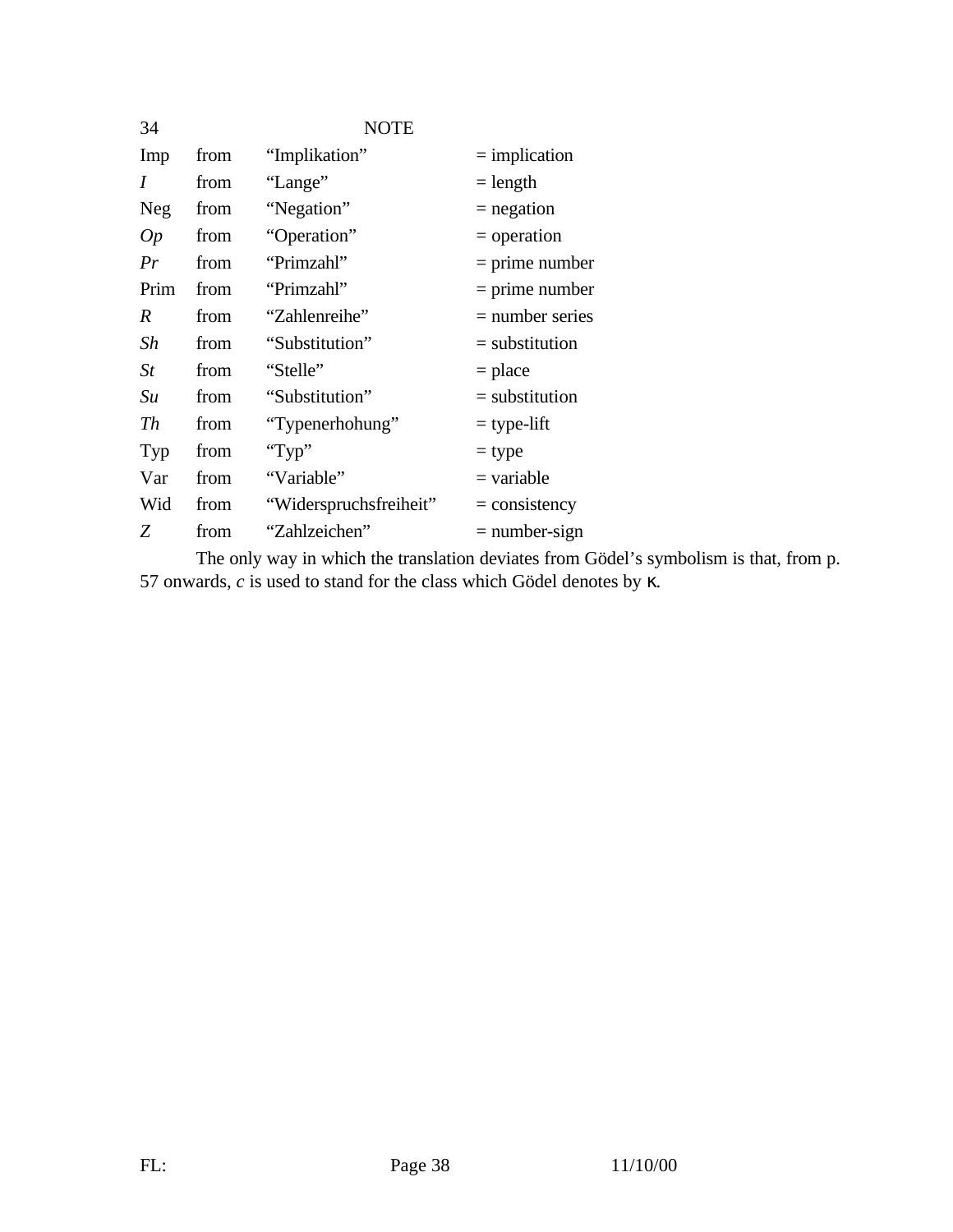| 34                |      | <b>NOTE</b>            |                   |
|-------------------|------|------------------------|-------------------|
| Imp               | from | "Implikation"          | $=$ implication   |
| I                 | from | "Lange"                | $=$ length        |
| Neg               | from | "Negation"             | $=$ negation      |
| Op                | from | "Operation"            | $=$ operation     |
| Pr                | from | "Primzahl"             | $=$ prime number  |
| Prim              | from | "Primzahl"             | $=$ prime number  |
| $\boldsymbol{R}$  | from | "Zahlenreihe"          | $=$ number series |
| Sh                | from | "Substitution"         | $=$ substitution  |
| St                | from | "Stelle"               | $=$ place         |
| $S_{\mathcal{U}}$ | from | "Substitution"         | $=$ substitution  |
| Th                | from | "Typenerhohung"        | $=$ type-lift     |
| Typ               | from | "Typ"                  | $=$ type          |
| Var               | from | "Variable"             | $=$ variable      |
| Wid               | from | "Widerspruchsfreiheit" | $=$ consistency   |
| Z                 | from | "Zahlzeichen"          | $=$ number-sign   |

The only way in which the translation deviates from Gödel's symbolism is that, from p. 57 onwards, *c* is used to stand for the class which Gödel denotes by κ.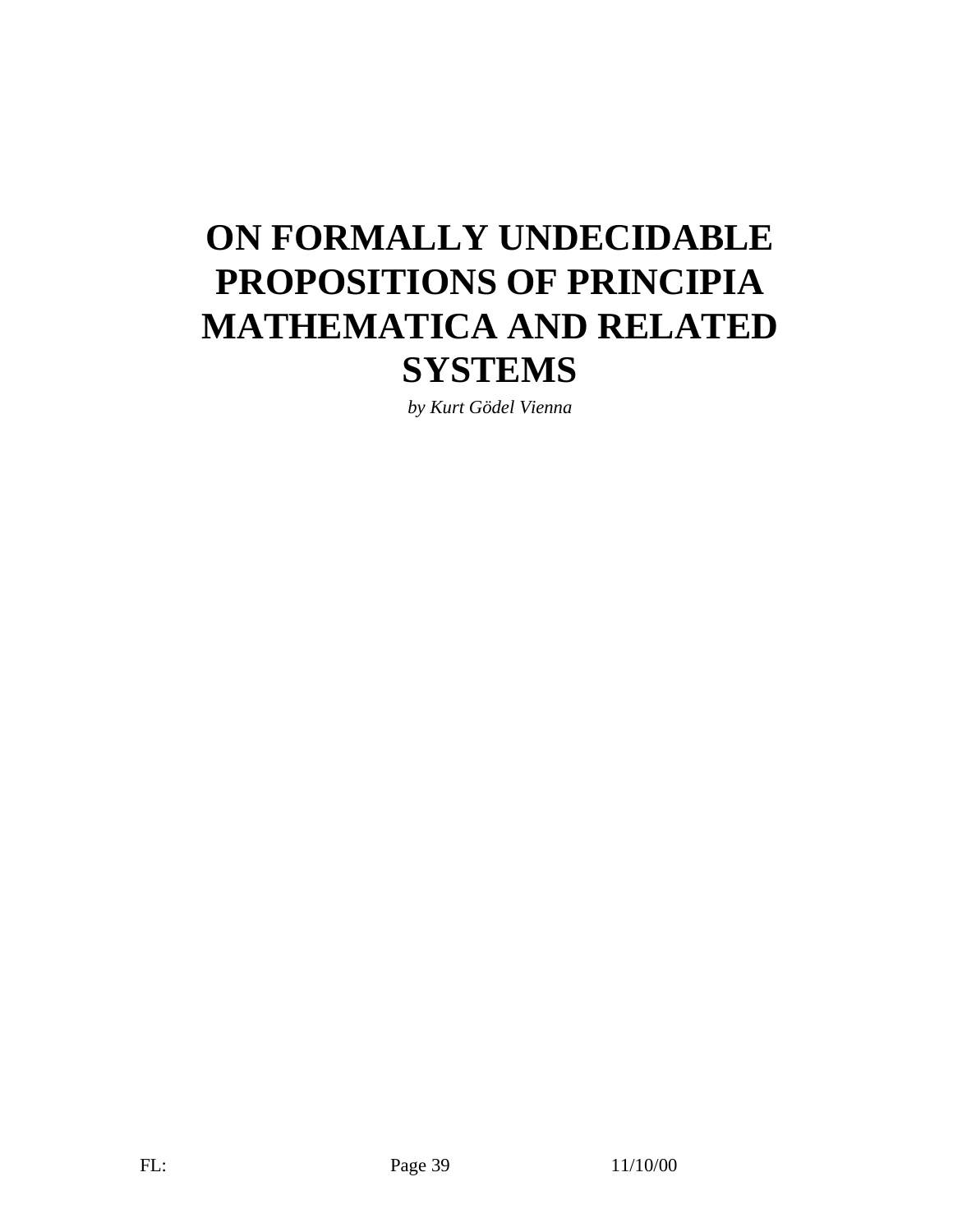# **ON FORMALLY UNDECIDABLE PROPOSITIONS OF PRINCIPIA MATHEMATICA AND RELATED SYSTEMS**

*by Kurt Gödel Vienna*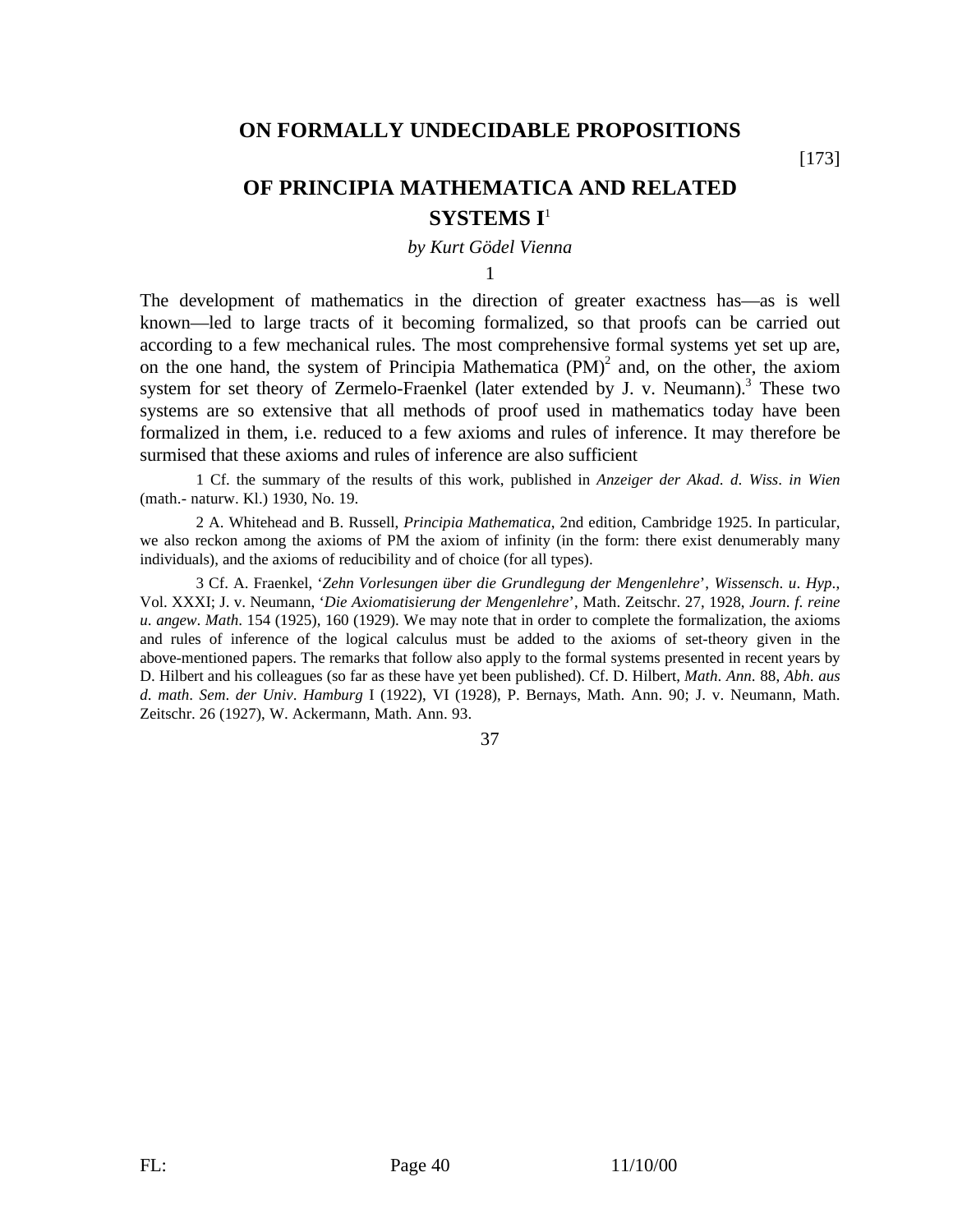[173]

# **OF PRINCIPIA MATHEMATICA AND RELATED SYSTEMS I**<sup>1</sup>

#### *by Kurt Gödel Vienna*

1

The development of mathematics in the direction of greater exactness has—as is well known—led to large tracts of it becoming formalized, so that proofs can be carried out according to a few mechanical rules. The most comprehensive formal systems yet set up are, on the one hand, the system of Principia Mathematica  $(PM)^2$  and, on the other, the axiom system for set theory of Zermelo-Fraenkel (later extended by J. v. Neumann).<sup>3</sup> These two systems are so extensive that all methods of proof used in mathematics today have been formalized in them, i.e. reduced to a few axioms and rules of inference. It may therefore be surmised that these axioms and rules of inference are also sufficient

1 Cf. the summary of the results of this work, published in *Anzeiger der Akad*. *d*. *Wiss*. *in Wien* (math.- naturw. Kl.) 1930, No. 19.

2 A. Whitehead and B. Russell, *Principia Mathematica*, 2nd edition, Cambridge 1925. In particular, we also reckon among the axioms of PM the axiom of infinity (in the form: there exist denumerably many individuals), and the axioms of reducibility and of choice (for all types).

3 Cf. A. Fraenkel, '*Zehn Vorlesungen über die Grundlegung der Mengenlehre*', *Wissensch*. *u*. *Hyp*., Vol. XXXI; J. v. Neumann, '*Die Axiomatisierung der Mengenlehre*', Math. Zeitschr. 27, 1928, *Journ*. *f*. *reine u*. *angew*. *Math*. 154 (1925), 160 (1929). We may note that in order to complete the formalization, the axioms and rules of inference of the logical calculus must be added to the axioms of set-theory given in the above-mentioned papers. The remarks that follow also apply to the formal systems presented in recent years by D. Hilbert and his colleagues (so far as these have yet been published). Cf. D. Hilbert, *Math*. *Ann*. 88, *Abh*. *aus d*. *math*. *Sem*. *der Univ*. *Hamburg* I (1922), VI (1928), P. Bernays, Math. Ann. 90; J. v. Neumann, Math. Zeitschr. 26 (1927), W. Ackermann, Math. Ann. 93.

37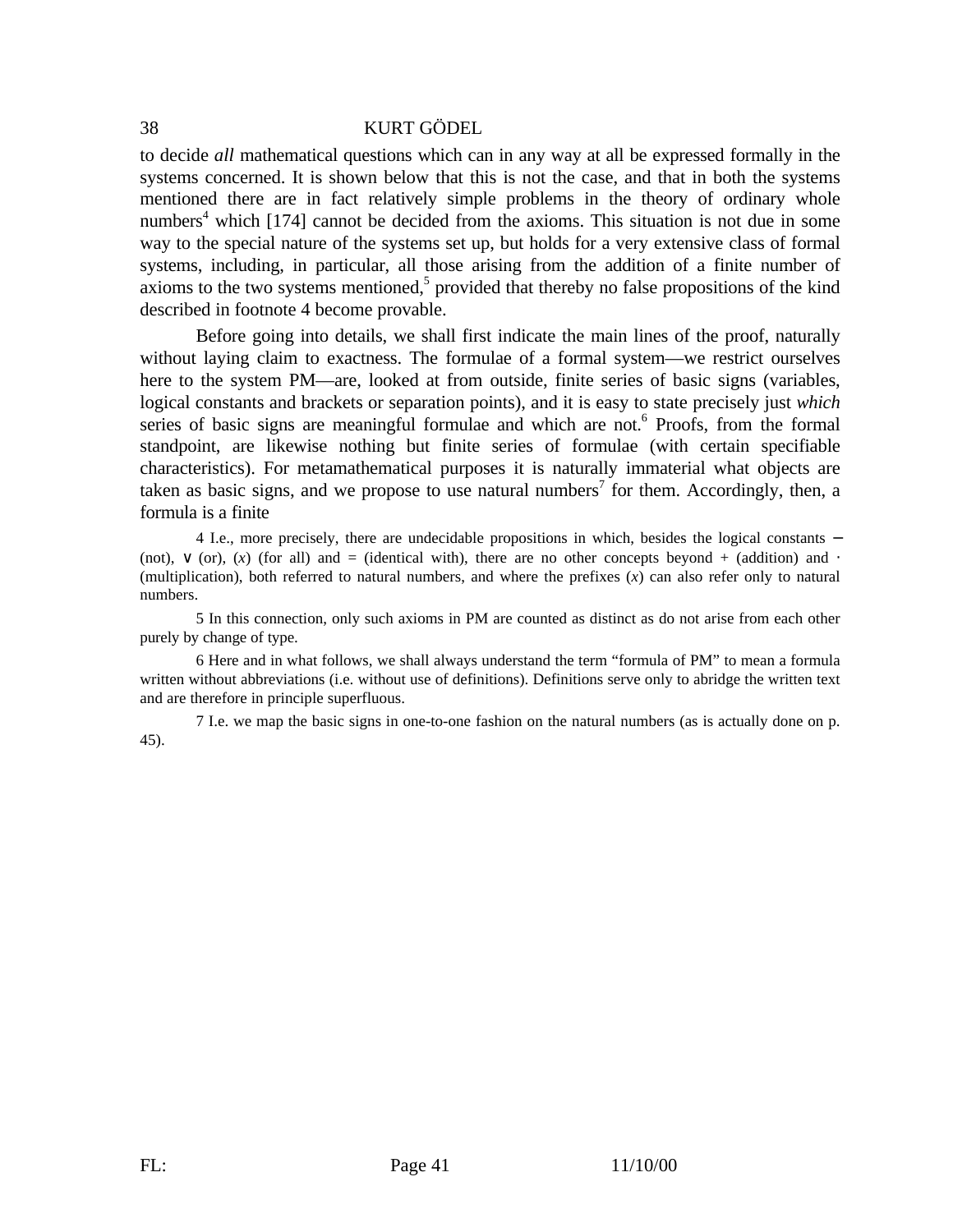to decide *all* mathematical questions which can in any way at all be expressed formally in the systems concerned. It is shown below that this is not the case, and that in both the systems mentioned there are in fact relatively simple problems in the theory of ordinary whole numbers<sup>4</sup> which [174] cannot be decided from the axioms. This situation is not due in some way to the special nature of the systems set up, but holds for a very extensive class of formal systems, including, in particular, all those arising from the addition of a finite number of axioms to the two systems mentioned,<sup>5</sup> provided that thereby no false propositions of the kind described in footnote 4 become provable.

Before going into details, we shall first indicate the main lines of the proof, naturally without laying claim to exactness. The formulae of a formal system—we restrict ourselves here to the system PM—are, looked at from outside, finite series of basic signs (variables, logical constants and brackets or separation points), and it is easy to state precisely just *which* series of basic signs are meaningful formulae and which are not.<sup>6</sup> Proofs, from the formal standpoint, are likewise nothing but finite series of formulae (with certain specifiable characteristics). For metamathematical purposes it is naturally immaterial what objects are taken as basic signs, and we propose to use natural numbers<sup>7</sup> for them. Accordingly, then, a formula is a finite

4 I.e., more precisely, there are undecidable propositions in which, besides the logical constants − (not),  $\vee$  (or), (*x*) (for all) and = (identical with), there are no other concepts beyond + (addition) and  $\cdot$ (multiplication), both referred to natural numbers, and where the prefixes (*x*) can also refer only to natural numbers.

5 In this connection, only such axioms in PM are counted as distinct as do not arise from each other purely by change of type.

6 Here and in what follows, we shall always understand the term "formula of PM" to mean a formula written without abbreviations (i.e. without use of definitions). Definitions serve only to abridge the written text and are therefore in principle superfluous.

7 I.e. we map the basic signs in one-to-one fashion on the natural numbers (as is actually done on p. 45).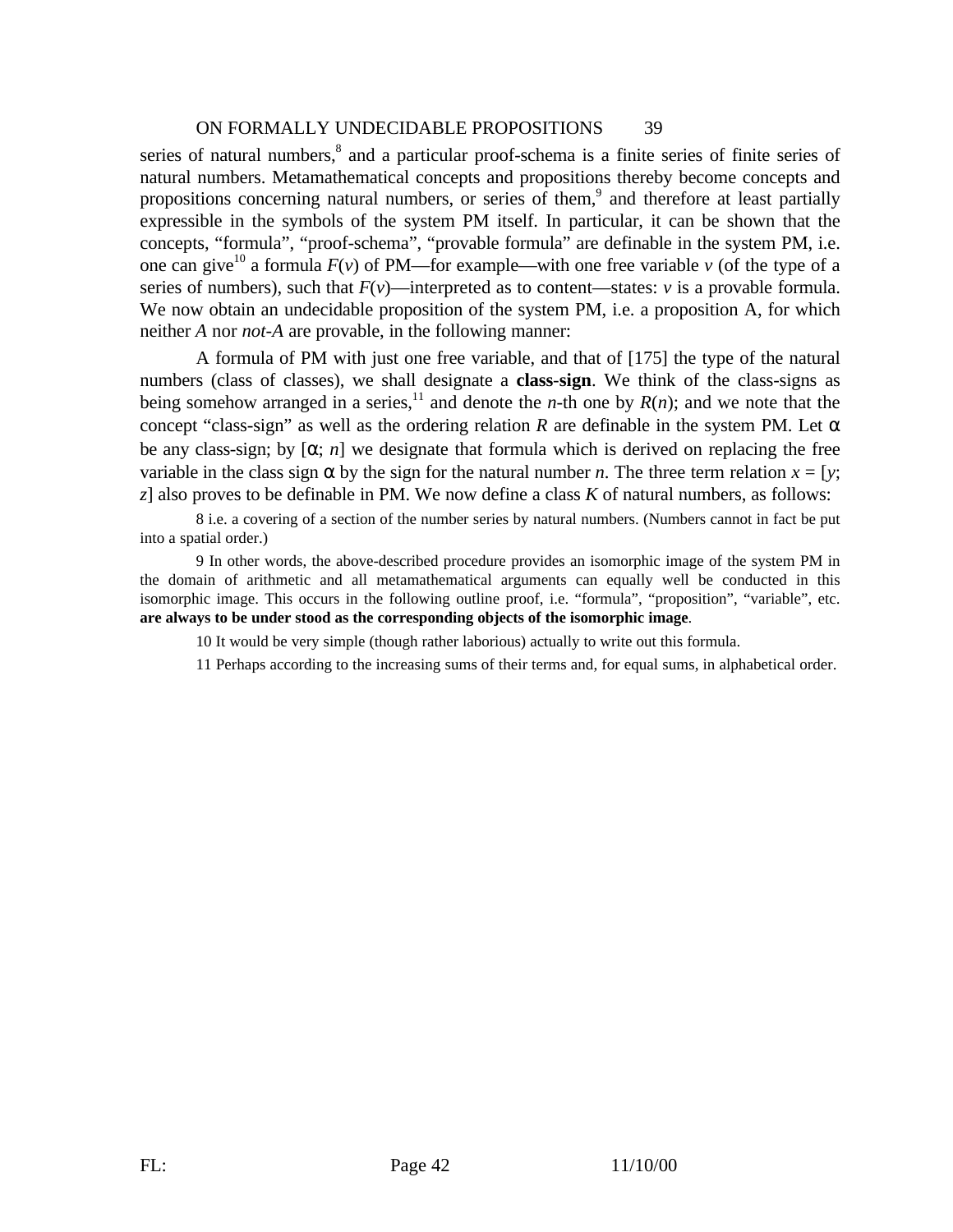series of natural numbers,<sup>8</sup> and a particular proof-schema is a finite series of finite series of natural numbers. Metamathematical concepts and propositions thereby become concepts and propositions concerning natural numbers, or series of them,<sup>9</sup> and therefore at least partially expressible in the symbols of the system PM itself. In particular, it can be shown that the concepts, "formula", "proof-schema", "provable formula" are definable in the system PM, i.e. one can give<sup>10</sup> a formula  $F(v)$  of PM—for example—with one free variable v (of the type of a series of numbers), such that  $F(v)$ —interpreted as to content—states: *v* is a provable formula. We now obtain an undecidable proposition of the system PM, i.e. a proposition A, for which neither *A* nor *not*-*A* are provable, in the following manner:

A formula of PM with just one free variable, and that of [175] the type of the natural numbers (class of classes), we shall designate a **class**-**sign**. We think of the class-signs as being somehow arranged in a series,<sup>11</sup> and denote the *n*-th one by  $R(n)$ ; and we note that the concept "class-sign" as well as the ordering relation *R* are definable in the system PM. Let  $\alpha$ be any class-sign; by  $[\alpha; n]$  we designate that formula which is derived on replacing the free variable in the class sign  $\alpha$  by the sign for the natural number *n*. The three term relation  $x = [y;$ *z*] also proves to be definable in PM. We now define a class *K* of natural numbers, as follows:

8 i.e. a covering of a section of the number series by natural numbers. (Numbers cannot in fact be put into a spatial order.)

9 In other words, the above-described procedure provides an isomorphic image of the system PM in the domain of arithmetic and all metamathematical arguments can equally well be conducted in this isomorphic image. This occurs in the following outline proof, i.e. "formula", "proposition", "variable", etc. **are always to be under stood as the corresponding objects of the isomorphic image**.

10 It would be very simple (though rather laborious) actually to write out this formula.

11 Perhaps according to the increasing sums of their terms and, for equal sums, in alphabetical order.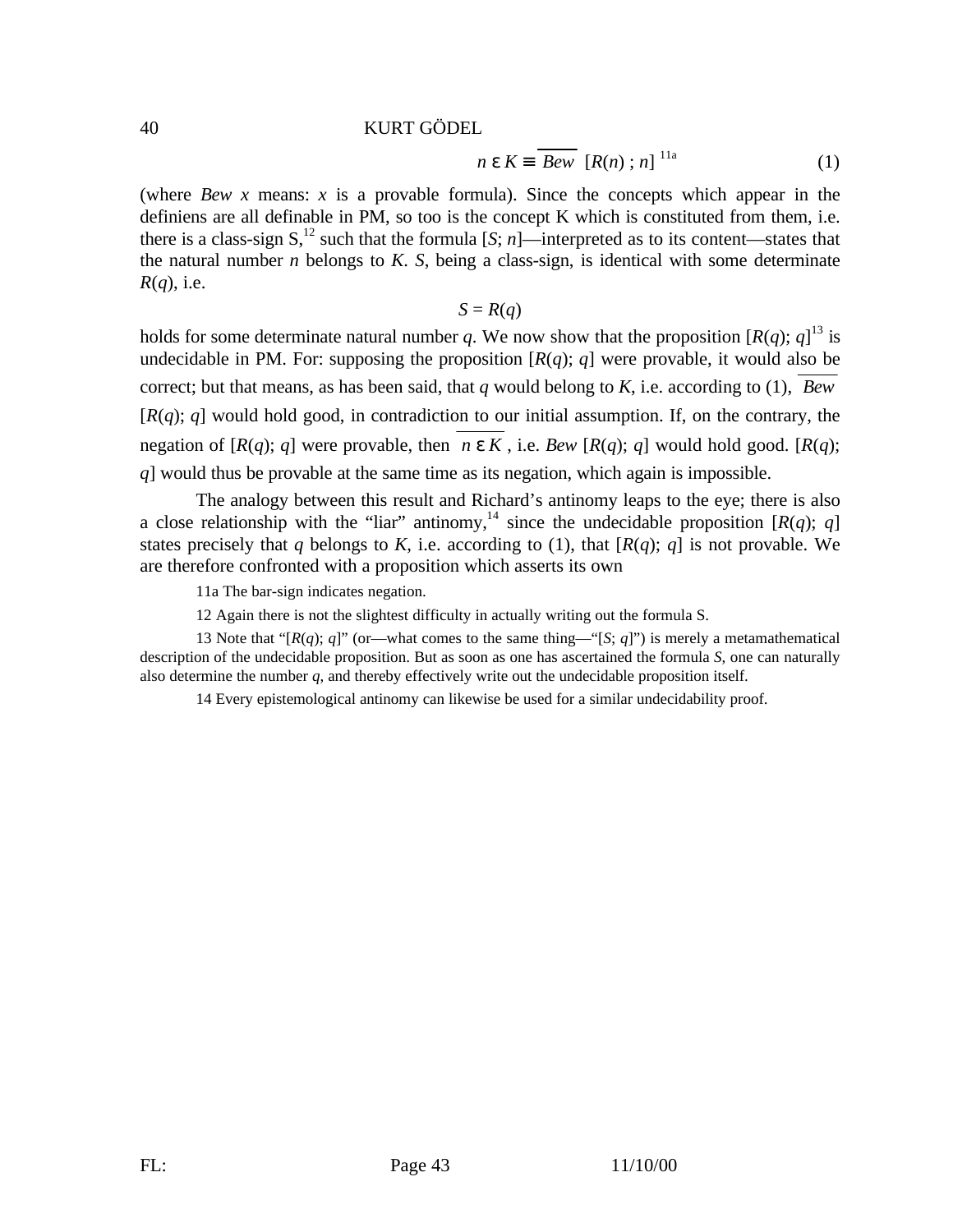$$
n \in K \equiv \overline{Bew} \ [R(n) \ ; n]^{11a} \tag{1}
$$

(where *Bew x* means: *x* is a provable formula). Since the concepts which appear in the definiens are all definable in PM, so too is the concept K which is constituted from them, i.e. there is a class-sign  $S<sup>12</sup>$ , such that the formula  $[S; n]$ —interpreted as to its content—states that the natural number *n* belongs to *K*. *S*, being a class-sign, is identical with some determinate *R*(*q*), i.e.

 $S = R(q)$ 

holds for some determinate natural number *q*. We now show that the proposition  $[R(q); q]^{13}$  is undecidable in PM. For: supposing the proposition  $[R(q); q]$  were provable, it would also be correct; but that means, as has been said, that *q* would belong to *K*, i.e. according to (1), *Bew*  $[R(q); q]$  would hold good, in contradiction to our initial assumption. If, on the contrary, the negation of  $[R(q); q]$  were provable, then  $n \in K$ , i.e. *Bew*  $[R(q); q]$  would hold good.  $[R(q); q]$ *q*] would thus be provable at the same time as its negation, which again is impossible.

The analogy between this result and Richard's antinomy leaps to the eye; there is also a close relationship with the "liar" antinomy,<sup>14</sup> since the undecidable proposition  $[R(q); q]$ states precisely that *q* belongs to *K*, i.e. according to (1), that  $[R(q); q]$  is not provable. We are therefore confronted with a proposition which asserts its own

11a The bar-sign indicates negation.

12 Again there is not the slightest difficulty in actually writing out the formula S.

13 Note that " $[R(q); q]$ " (or—what comes to the same thing—"[*S*; *q*]") is merely a metamathematical description of the undecidable proposition. But as soon as one has ascertained the formula *S*, one can naturally also determine the number *q*, and thereby effectively write out the undecidable proposition itself.

14 Every epistemological antinomy can likewise be used for a similar undecidability proof.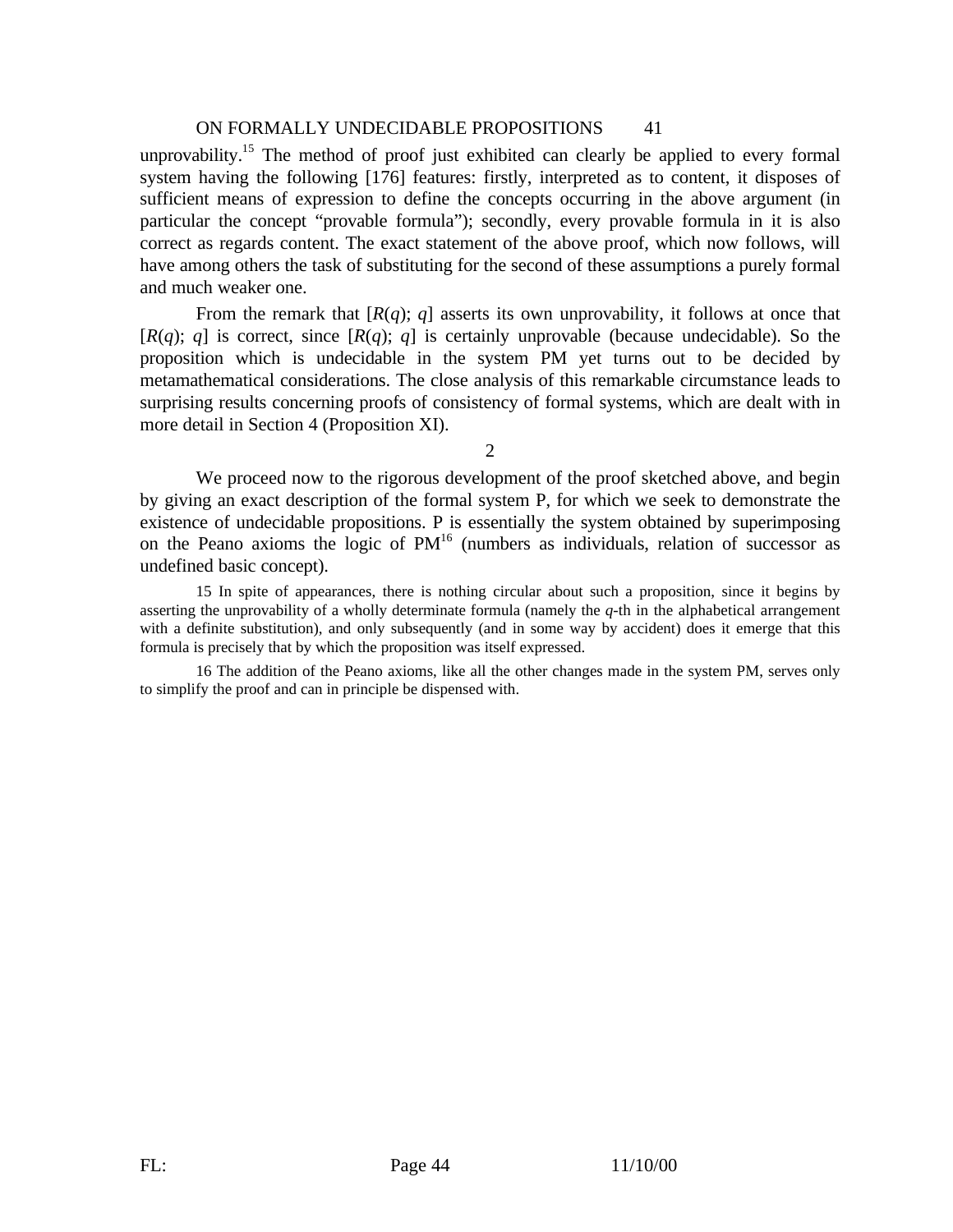unprovability.<sup>15</sup> The method of proof just exhibited can clearly be applied to every formal system having the following [176] features: firstly, interpreted as to content, it disposes of sufficient means of expression to define the concepts occurring in the above argument (in particular the concept "provable formula"); secondly, every provable formula in it is also correct as regards content. The exact statement of the above proof, which now follows, will have among others the task of substituting for the second of these assumptions a purely formal and much weaker one.

From the remark that  $[R(q); q]$  asserts its own unprovability, it follows at once that  $[R(q); q]$  is correct, since  $[R(q); q]$  is certainly unprovable (because undecidable). So the proposition which is undecidable in the system PM yet turns out to be decided by metamathematical considerations. The close analysis of this remarkable circumstance leads to surprising results concerning proofs of consistency of formal systems, which are dealt with in more detail in Section 4 (Proposition XI).

2

We proceed now to the rigorous development of the proof sketched above, and begin by giving an exact description of the formal system P, for which we seek to demonstrate the existence of undecidable propositions. P is essentially the system obtained by superimposing on the Peano axioms the logic of  $PM<sup>16</sup>$  (numbers as individuals, relation of successor as undefined basic concept).

15 In spite of appearances, there is nothing circular about such a proposition, since it begins by asserting the unprovability of a wholly determinate formula (namely the *q*-th in the alphabetical arrangement with a definite substitution), and only subsequently (and in some way by accident) does it emerge that this formula is precisely that by which the proposition was itself expressed.

16 The addition of the Peano axioms, like all the other changes made in the system PM, serves only to simplify the proof and can in principle be dispensed with.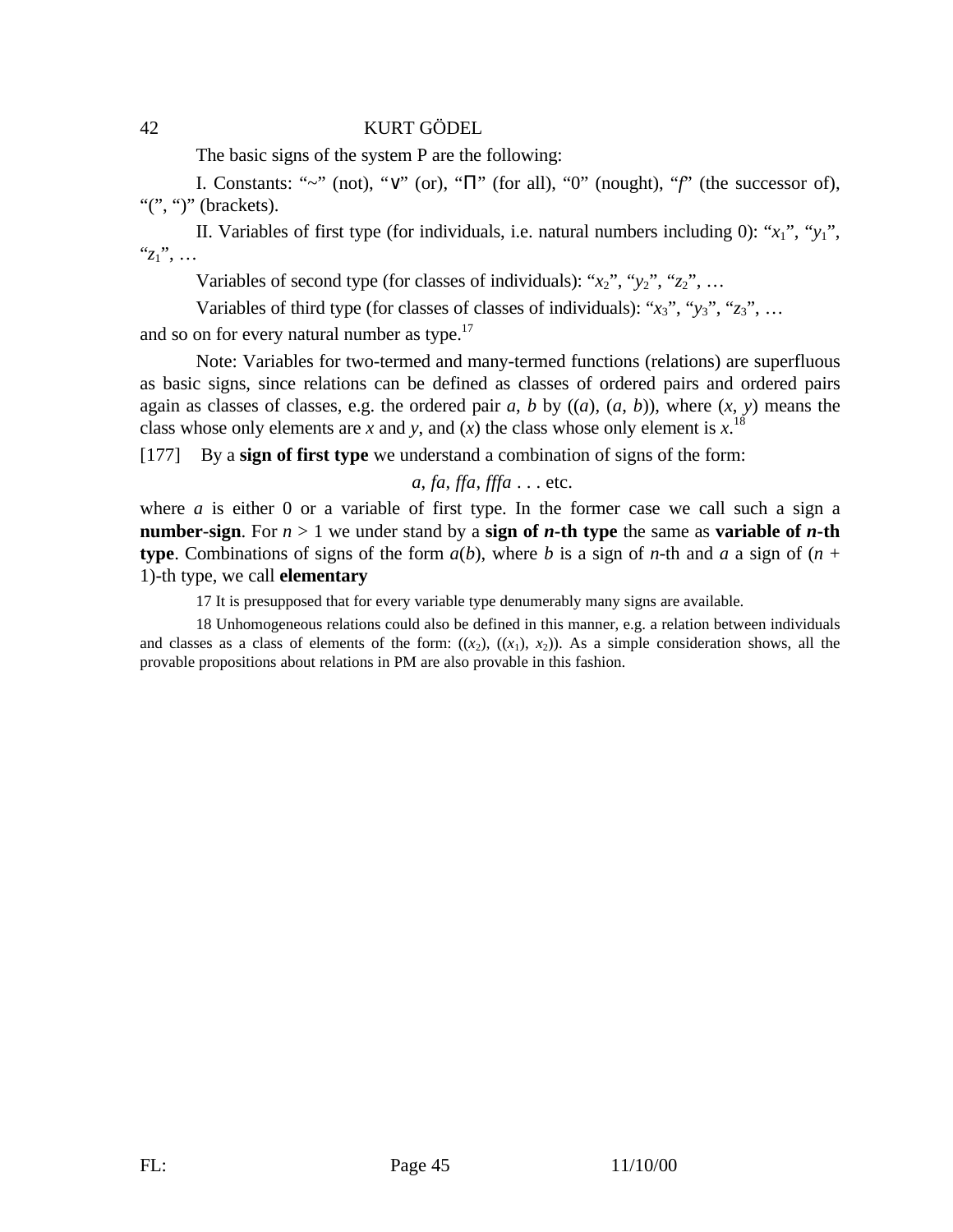The basic signs of the system P are the following:

I. Constants: "~" (not), "∨" (or), "Π" (for all), "0" (nought), "*f*" (the successor of), "(", ")" (brackets).

II. Variables of first type (for individuals, i.e. natural numbers including 0): " $x_1$ ", " $y_1$ ",  $\alpha_{z_1}$ ", ...

Variables of second type (for classes of individuals): " $x_2$ ", " $y_2$ ", " $z_2$ ", ...

Variables of third type (for classes of classes of individuals): " $x_3$ ", " $y_3$ ", " $z_3$ ", ...

and so on for every natural number as type.<sup>17</sup>

Note: Variables for two-termed and many-termed functions (relations) are superfluous as basic signs, since relations can be defined as classes of ordered pairs and ordered pairs again as classes of classes, e.g. the ordered pair  $a$ ,  $b$  by  $((a)$ ,  $(a, b)$ ), where  $(x, y)$  means the class whose only elements are *x* and *y*, and (*x*) the class whose only element is  $x$ .<sup>18</sup>

[177] By a **sign of first type** we understand a combination of signs of the form:

## *a*, *fa*, *ffa*, *fffa* . . . etc.

where  $a$  is either 0 or a variable of first type. In the former case we call such a sign a **number-sign.** For  $n > 1$  we under stand by a **sign of** *n***-th** type the same as **variable** of *n*-th **type**. Combinations of signs of the form  $a(b)$ , where *b* is a sign of *n*-th and *a* a sign of  $(n +$ 1)-th type, we call **elementary**

17 It is presupposed that for every variable type denumerably many signs are available.

18 Unhomogeneous relations could also be defined in this manner, e.g. a relation between individuals and classes as a class of elements of the form:  $((x_2), ((x_1), x_2))$ . As a simple consideration shows, all the provable propositions about relations in PM are also provable in this fashion.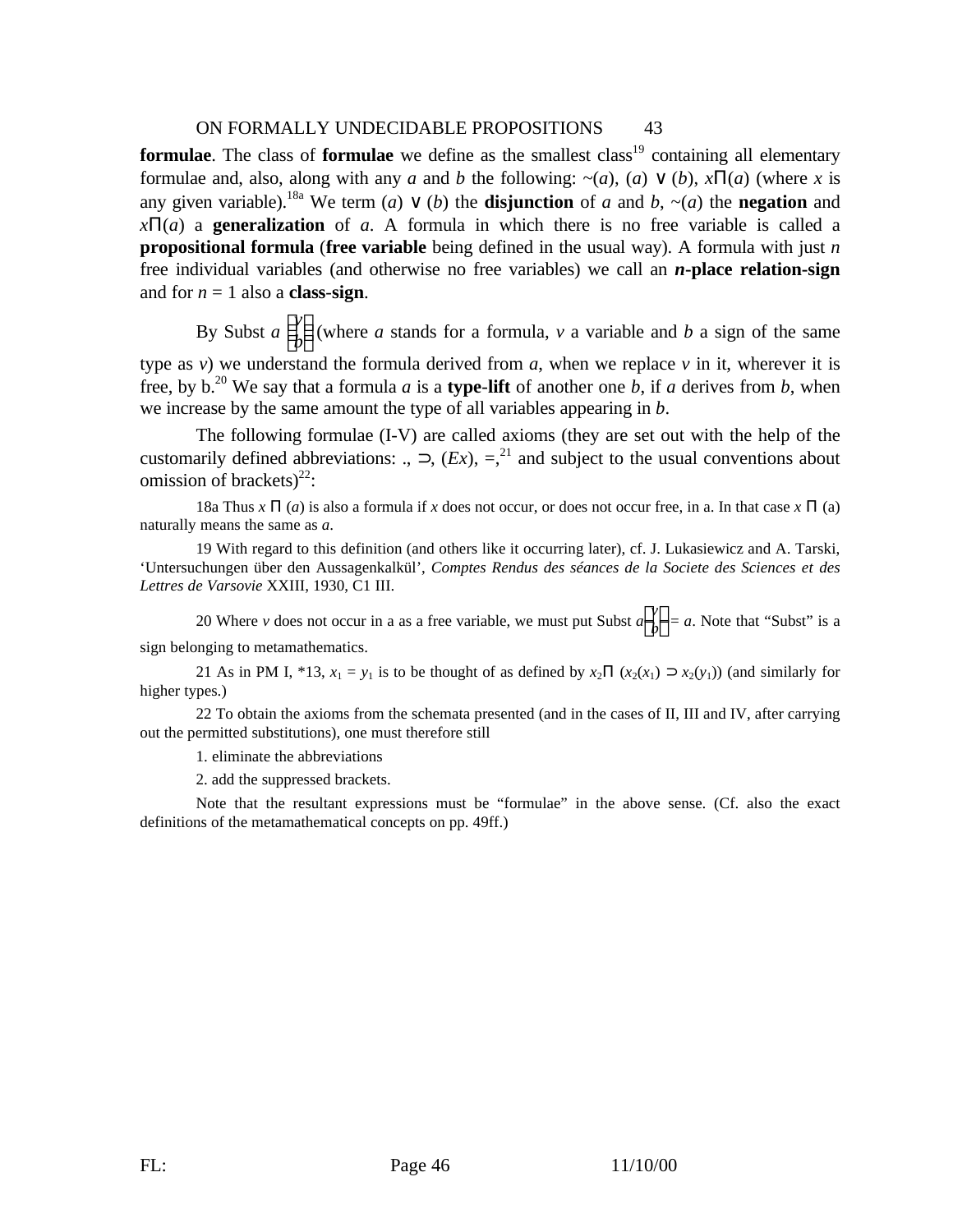**formulae**. The class of **formulae** we define as the smallest class<sup>19</sup> containing all elementary formulae and, also, along with any *a* and *b* the following:  $\sim(a)$ ,  $(a) \vee (b)$ ,  $x\Pi(a)$  (where *x* is any given variable).<sup>18a</sup> We term (*a*)  $\vee$  (*b*) the **disjunction** of *a* and *b*,  $\sim$ (*a*) the **negation** and *x*Π(*a*) a **generalization** of *a*. A formula in which there is no free variable is called a **propositional formula** (**free variable** being defined in the usual way). A formula with just *n* free individual variables (and otherwise no free variables) we call an *n***-place relation-sign** and for  $n = 1$  also a **class-sign**.

By Subst  $a$   $\Big($ v)<br>b)  $\begin{bmatrix} b \\ b \end{bmatrix}$  (where *a* stands for a formula, *v* a variable and *b* a sign of the same type as  $v$ ) we understand the formula derived from  $a$ , when we replace  $v$  in it, wherever it is free, by  $b^{20}$  We say that a formula *a* is a **type-lift** of another one *b*, if *a* derives from *b*, when we increase by the same amount the type of all variables appearing in *b*.

The following formulae (I-V) are called axioms (they are set out with the help of the customarily defined abbreviations: .,  $\supset$ ,  $(Ex)$ ,  $=$ ,  $^{21}$  and subject to the usual conventions about omission of brackets)<sup>22</sup>:

18a Thus *x* Π (*a*) is also a formula if *x* does not occur, or does not occur free, in a. In that case *x* Π (a) naturally means the same as *a*.

19 With regard to this definition (and others like it occurring later), cf. J. Lukasiewicz and A. Tarski, 'Untersuchungen über den Aussagenkalkül', *Comptes Rendus des séances de la Societe des Sciences et des Lettres de Varsovie* XXIII, 1930, C1 III.

20 Where *v* does not occur in a as a free variable, we must put Subst *a* ſ  $\overline{\phantom{a}}$  *v*  $\begin{bmatrix} a \\ b \end{bmatrix} = a$ . Note that "Subst" is a sign belonging to metamathematics.

21 As in PM I, \*13,  $x_1 = y_1$  is to be thought of as defined by  $x_2\Pi$  ( $x_2(x_1) \supset x_2(y_1)$ ) (and similarly for higher types.)

22 To obtain the axioms from the schemata presented (and in the cases of II, III and IV, after carrying out the permitted substitutions), one must therefore still

1. eliminate the abbreviations

2. add the suppressed brackets.

Note that the resultant expressions must be "formulae" in the above sense. (Cf. also the exact definitions of the metamathematical concepts on pp. 49ff.)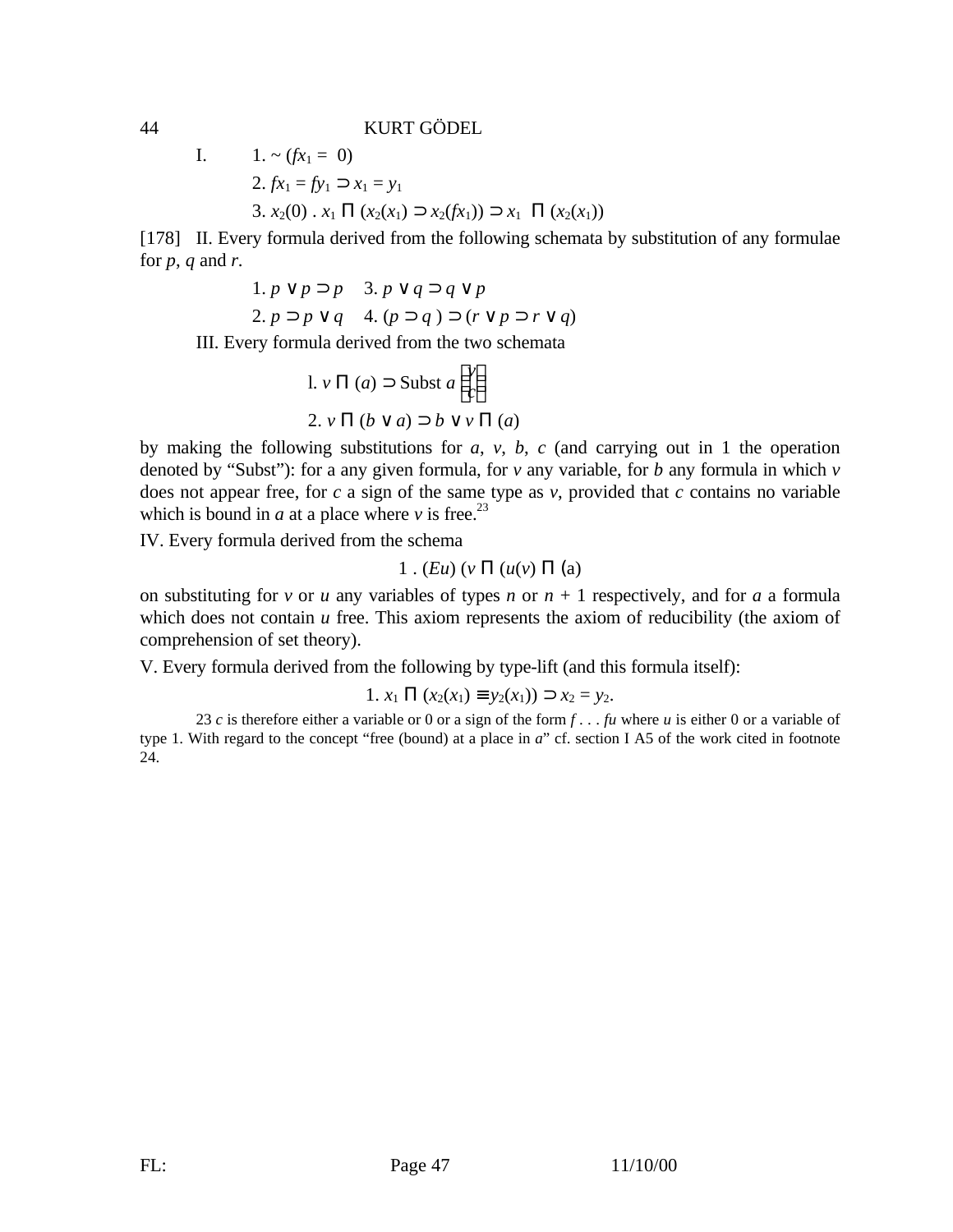I. 
$$
1. \sim (fx_1 = 0)
$$
  
\n $2. fx_1 = fy_1 \supset x_1 = y_1$   
\n $3. x_2(0) . x_1 \prod (x_2(x_1) \supset x_2(fx_1)) \supset x_1 \prod (x_2(x_1))$ 

[178] II. Every formula derived from the following schemata by substitution of any formulae for *p*, *q* and *r*.

1. 
$$
p \lor p \supset p
$$
 3.  $p \lor q \supset q \lor p$   
2.  $p \supset p \lor q$  4.  $(p \supset q) \supset (r \lor p \supset r \lor q)$ 

III. Every formula derived from the two schemata

1. 
$$
v \Pi(a) \supset \text{Subst } a \begin{pmatrix} v \\ c \end{pmatrix}
$$
  
2.  $v \Pi (b \lor a) \supset b \lor v \Pi(a)$ 

by making the following substitutions for *a*, *v*, *b*, *c* (and carrying out in 1 the operation denoted by "Subst"): for a any given formula, for *v* any variable, for *b* any formula in which *v* does not appear free, for *c* a sign of the same type as *v*, provided that *c* contains no variable which is bound in *a* at a place where *v* is free.<sup>23</sup>

IV. Every formula derived from the schema

1 .  $(Eu)$   $(v \prod (u(v) \prod (a))$ 

on substituting for *v* or *u* any variables of types *n* or  $n + 1$  respectively, and for *a* a formula which does not contain *u* free. This axiom represents the axiom of reducibility (the axiom of comprehension of set theory).

V. Every formula derived from the following by type-lift (and this formula itself):

1. 
$$
x_1 \prod (x_2(x_1) \equiv y_2(x_1)) \supset x_2 = y_2
$$
.

23 *c* is therefore either a variable or 0 or a sign of the form *f* . . . *fu* where *u* is either 0 or a variable of type 1. With regard to the concept "free (bound) at a place in *a*" cf. section I A5 of the work cited in footnote 24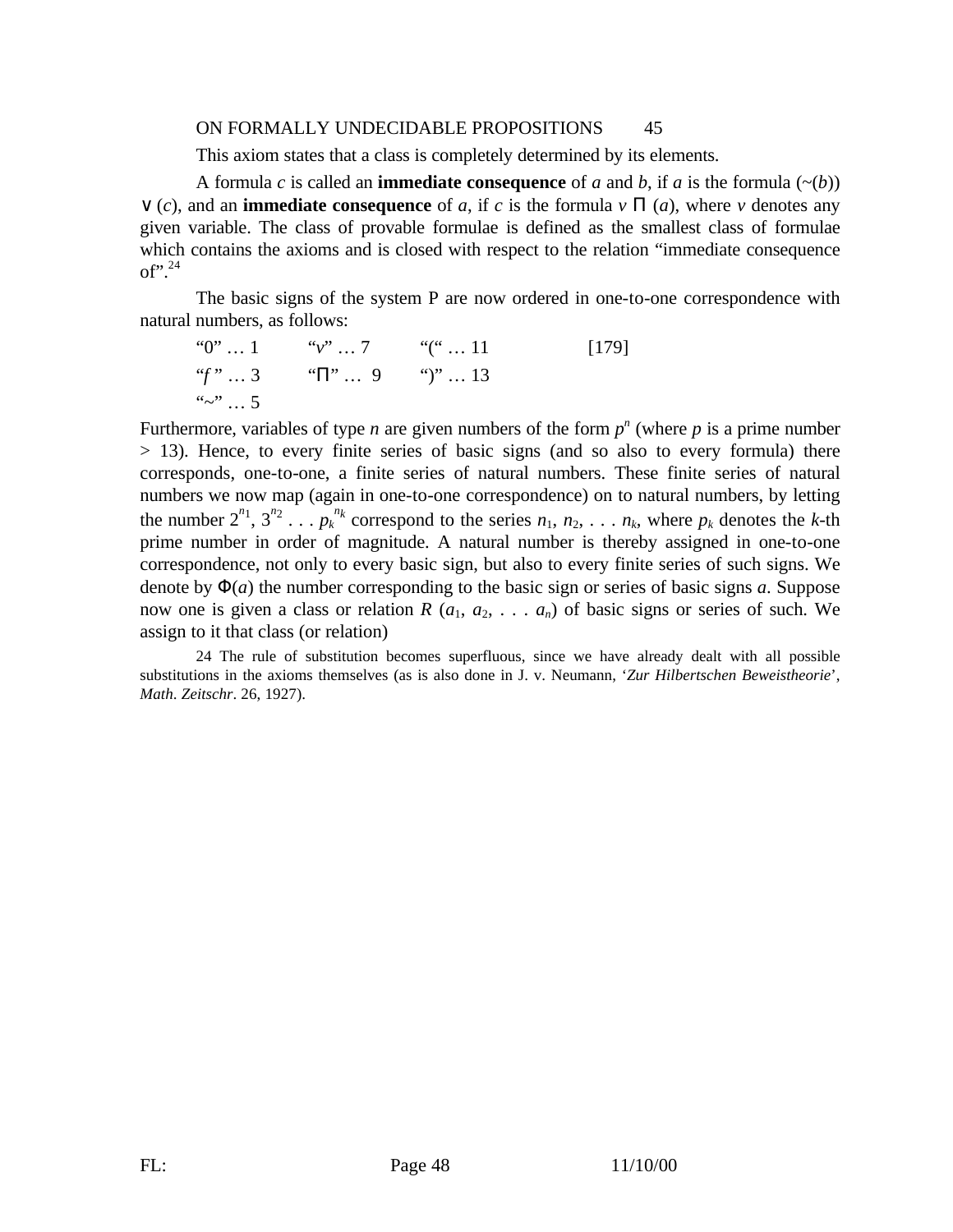This axiom states that a class is completely determined by its elements.

A formula *c* is called an **immediate consequence** of *a* and *b*, if *a* is the formula  $(\sim(b))$  $\vee$  (*c*), and an **immediate consequence** of *a*, if *c* is the formula  $\nu$   $\Pi$  (*a*), where  $\nu$  denotes any given variable. The class of provable formulae is defined as the smallest class of formulae which contains the axioms and is closed with respect to the relation "immediate consequence  $\mathrm{of}$ ".  $^{24}$ 

The basic signs of the system P are now ordered in one-to-one correspondence with natural numbers, as follows:

"0" … 1 "*v*" … 7 "(" … 11 [179] "*f* " … 3 "Π" … 9 ")" … 13 "~" … 5

Furthermore, variables of type *n* are given numbers of the form  $p^n$  (where  $p$  is a prime number > 13). Hence, to every finite series of basic signs (and so also to every formula) there corresponds, one-to-one, a finite series of natural numbers. These finite series of natural numbers we now map (again in one-to-one correspondence) on to natural numbers, by letting the number  $2^{n_1}$ ,  $3^{n_2}$  . . .  $p_k^{n_k}$  correspond to the series  $n_1, n_2, \ldots, n_k$ , where  $p_k$  denotes the *k*-th prime number in order of magnitude. A natural number is thereby assigned in one-to-one correspondence, not only to every basic sign, but also to every finite series of such signs. We denote by Φ(*a*) the number corresponding to the basic sign or series of basic signs *a*. Suppose now one is given a class or relation  $R$  ( $a_1, a_2, \ldots, a_n$ ) of basic signs or series of such. We assign to it that class (or relation)

24 The rule of substitution becomes superfluous, since we have already dealt with all possible substitutions in the axioms themselves (as is also done in J. v. Neumann, '*Zur Hilbertschen Beweistheorie*', *Math*. *Zeitschr*. 26, 1927).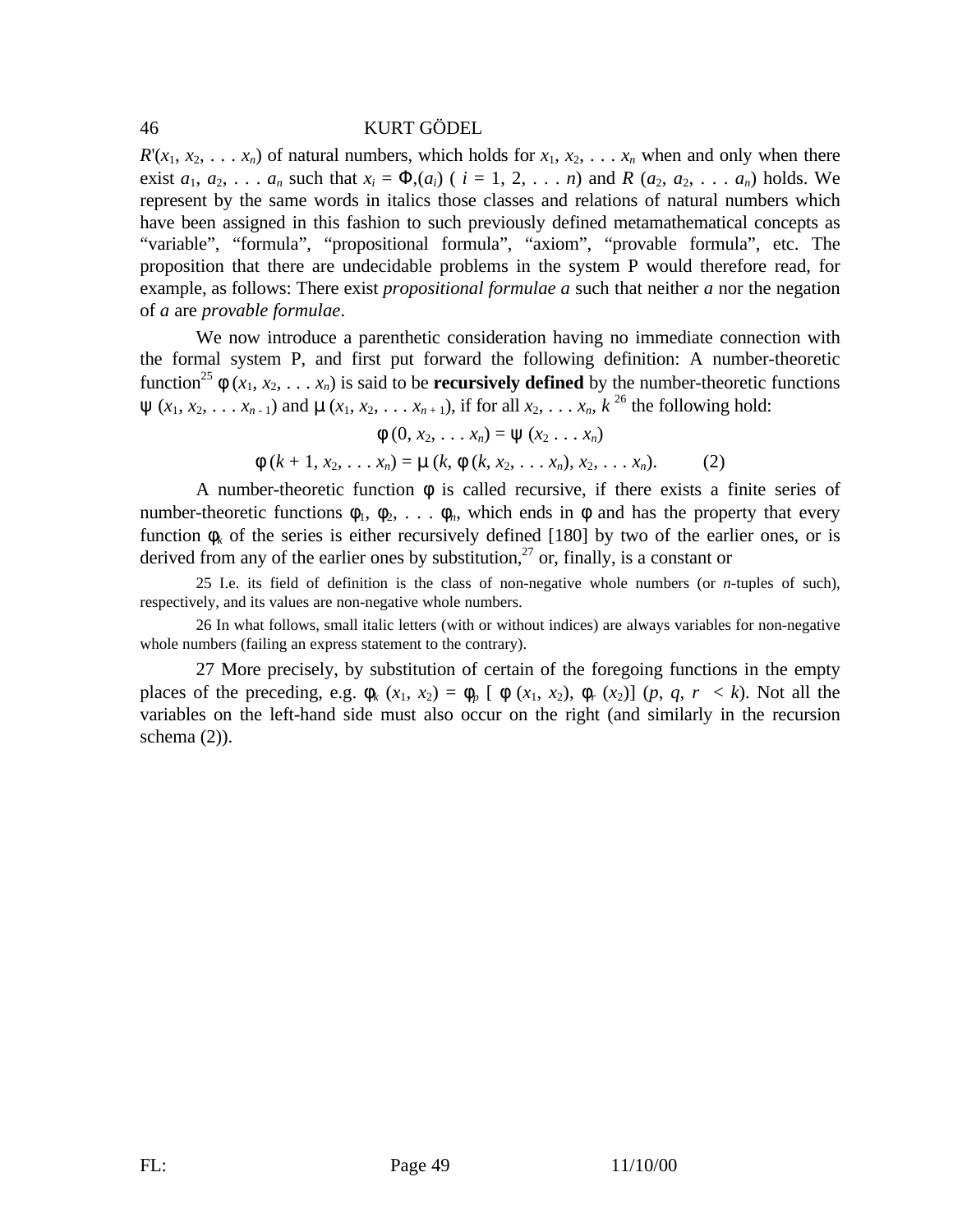$R'(x_1, x_2, \ldots, x_n)$  of natural numbers, which holds for  $x_1, x_2, \ldots, x_n$  when and only when there exist  $a_1, a_2, \ldots, a_n$  such that  $x_i = \Phi_i(a_i)$  (  $i = 1, 2, \ldots, n$ ) and  $R(a_2, a_2, \ldots, a_n)$  holds. We represent by the same words in italics those classes and relations of natural numbers which have been assigned in this fashion to such previously defined metamathematical concepts as "variable", "formula", "propositional formula", "axiom", "provable formula", etc. The proposition that there are undecidable problems in the system P would therefore read, for example, as follows: There exist *propositional formulae a* such that neither *a* nor the negation of *a* are *provable formulae*.

We now introduce a parenthetic consideration having no immediate connection with the formal system P, and first put forward the following definition: A number-theoretic function<sup>25</sup> φ ( $x_1, x_2, \ldots, x_n$ ) is said to be **recursively defined** by the number-theoretic functions  $\psi$  (*x*<sub>1</sub>, *x*<sub>2</sub>, . . . *x*<sub>*n*</sub> - 1) and  $\mu$  (*x*<sub>1</sub>, *x*<sub>2</sub>, . . . *x*<sub>*n*</sub> + 1), if for all *x*<sub>2</sub>, . . . *x<sub>n</sub>*, *k*<sup>26</sup> the following hold:

$$
\phi (0, x_2, \ldots x_n) = \psi (x_2 \ldots x_n)
$$
  

$$
\phi (k + 1, x_2, \ldots x_n) = \mu (k, \phi (k, x_2, \ldots x_n), x_2, \ldots x_n). \tag{2}
$$

A number-theoretic function  $\phi$  is called recursive, if there exists a finite series of number-theoretic functions  $\phi_1, \phi_2, \ldots, \phi_n$ , which ends in  $\phi$  and has the property that every function  $\phi_k$  of the series is either recursively defined [180] by two of the earlier ones, or is derived from any of the earlier ones by substitution,  $27$  or, finally, is a constant or

25 I.e. its field of definition is the class of non-negative whole numbers (or *n*-tuples of such), respectively, and its values are non-negative whole numbers.

26 In what follows, small italic letters (with or without indices) are always variables for non-negative whole numbers (failing an express statement to the contrary).

27 More precisely, by substitution of certain of the foregoing functions in the empty places of the preceding, e.g.  $\phi_k$  ( $x_1$ ,  $x_2$ ) =  $\phi_p$  [ $\phi$  ( $x_1$ ,  $x_2$ ),  $\phi_r$  ( $x_2$ )] ( $p$ ,  $q$ ,  $r \leq k$ ). Not all the variables on the left-hand side must also occur on the right (and similarly in the recursion schema (2)).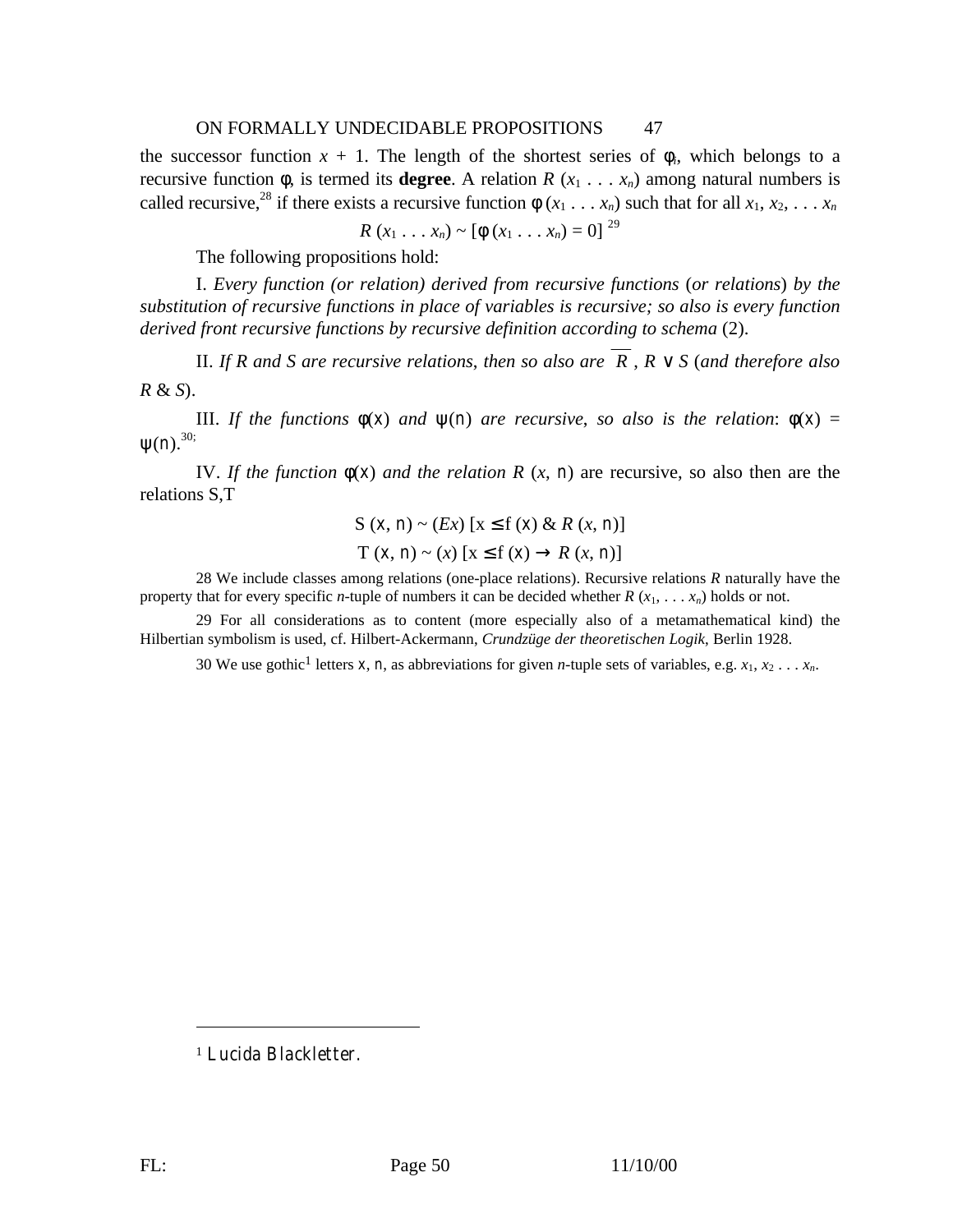the successor function  $x + 1$ . The length of the shortest series of  $\phi_i$ , which belongs to a recursive function φ, is termed its **degree**. A relation  $R$  ( $x_1$  . . .  $x_n$ ) among natural numbers is called recursive,<sup>28</sup> if there exists a recursive function  $\phi$  (*x*<sub>1</sub> . . . *x<sub>n</sub>*) such that for all *x*<sub>1</sub>, *x*<sub>2</sub>, . . . *x<sub>n</sub>* 

*R*  $(x_1 \ldots x_n) \sim [\phi(x_1 \ldots x_n) = 0]^{29}$ 

The following propositions hold:

I. *Every function (or relation) derived from recursive functions* (*or relations*) *by the substitution of recursive functions in place of variables is recursive; so also is every function derived front recursive functions by recursive definition according to schema* (2).

II. If R and S are recursive relations, then so also are  $\overline{R}$ ,  $R \vee S$  (and therefore also *R* & *S*).

III. *If the functions*  $φ(x)$  *and*  $ψ(η)$  *are recursive, so also is the relation:*  $φ(x) =$  $ψ(n).^{30}$ ;

IV. *If the function* φ(x) *and the relation R* (*x*, n) are recursive, so also then are the relations S,T

$$
S(x, n) \sim (Ex) [x \le f(x) & R(x, n)]
$$
  
T(x, n) \sim (x) [x \le f(x) \rightarrow R(x, n)]

28 We include classes among relations (one-place relations). Recursive relations *R* naturally have the property that for every specific *n*-tuple of numbers it can be decided whether  $R(x_1, \ldots, x_n)$  holds or not.

29 For all considerations as to content (more especially also of a metamathematical kind) the Hilbertian symbolism is used, cf. Hilbert-Ackermann, *Crundzüge der theoretischen Logik*, Berlin 1928.

30 We use gothic<sup>1</sup> letters x, n, as abbreviations for given *n*-tuple sets of variables, e.g.  $x_1, x_2 \ldots x_n$ .

 $\overline{a}$ 

<sup>1</sup> Lucida Blackletter.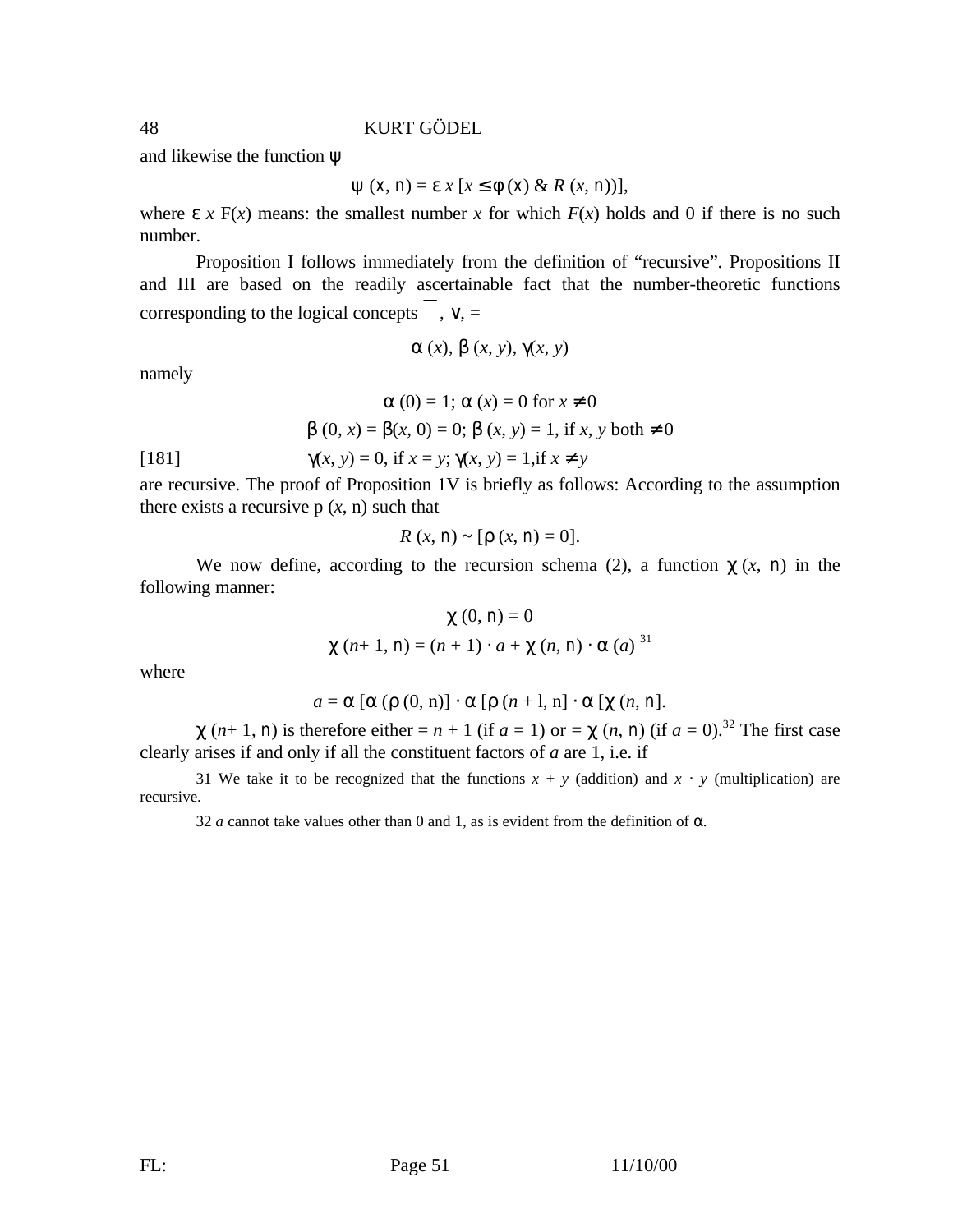and likewise the function ψ

$$
\psi(x, n) = \varepsilon x [x \leq \phi(x) \& R(x, n))],
$$

where  $\epsilon$  *x* F(*x*) means: the smallest number *x* for which  $F(x)$  holds and 0 if there is no such number.

Proposition I follows immediately from the definition of "recursive". Propositions II and III are based on the readily ascertainable fact that the number-theoretic functions corresponding to the logical concepts  $\overline{\phantom{a}}$ ,  $\vee$ , =

$$
\alpha(x), \beta(x, y), \gamma(x, y)
$$

namely

$$
\alpha(0) = 1; \alpha(x) = 0 \text{ for } x \neq 0
$$
  

$$
\beta(0, x) = \beta(x, 0) = 0; \beta(x, y) = 1, \text{ if } x, y \text{ both } \neq 0
$$
  
[181] 
$$
\gamma(x, y) = 0, \text{ if } x = y; \gamma(x, y) = 1, \text{ if } x \neq y
$$

are recursive. The proof of Proposition 1V is briefly as follows: According to the assumption there exists a recursive  $p(x, n)$  such that

$$
R(x, n) \sim [\rho(x, n) = 0].
$$

We now define, according to the recursion schema (2), a function  $\chi(x, n)$  in the following manner:

$$
\chi(0, n) = 0
$$
  

$$
\chi(n+1, n) = (n+1) \cdot a + \chi(n, n) \cdot \alpha(a)^{31}
$$

where

$$
a = \alpha [\alpha (\rho (0, n)] \cdot \alpha [\rho (n + 1, n] \cdot \alpha [\chi (n, n]).
$$

 $\chi$  (*n*+ 1, n) is therefore either = *n* + 1 (if *a* = 1) or =  $\chi$  (*n*, n) (if *a* = 0).<sup>32</sup> The first case clearly arises if and only if all the constituent factors of *a* are 1, i.e. if

31 We take it to be recognized that the functions  $x + y$  (addition) and  $x \cdot y$  (multiplication) are recursive.

32 *a* cannot take values other than 0 and 1, as is evident from the definition of  $\alpha$ .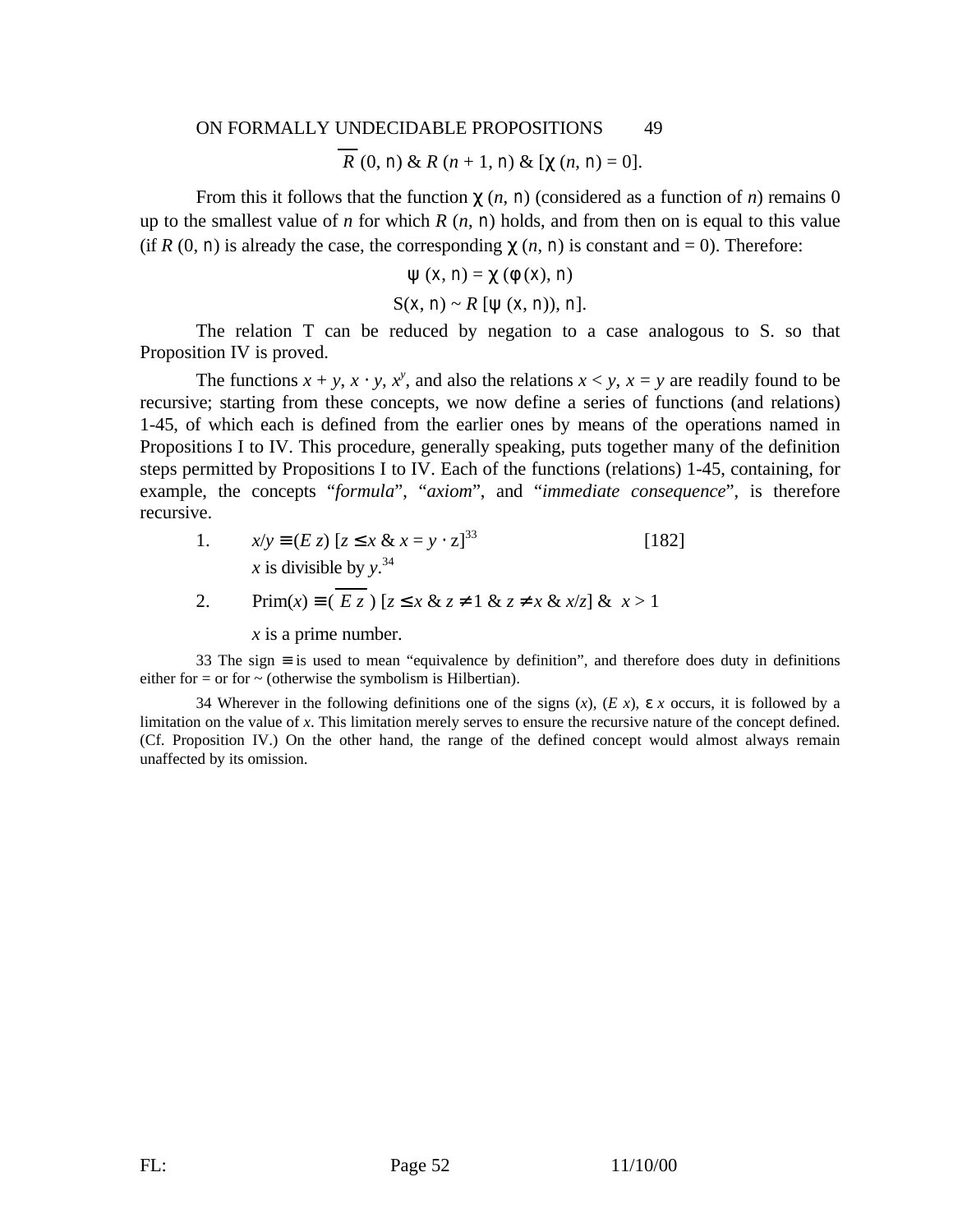$\overline{R}$  (0, n) &  $R$  (*n* + 1, n) & [ $\chi$  (*n*, n) = 0].

From this it follows that the function  $\chi$  (*n*, n) (considered as a function of *n*) remains 0 up to the smallest value of *n* for which  $R(n, n)$  holds, and from then on is equal to this value (if *R* (0, n) is already the case, the corresponding  $\chi$  (*n*, n) is constant and = 0). Therefore:

$$
\psi(x, n) = \chi(\phi(x), n)
$$

$$
S(x, n) \sim R [\psi(x, n)), n].
$$

The relation T can be reduced by negation to a case analogous to S. so that Proposition IV is proved.

The functions  $x + y$ ,  $x \cdot y$ ,  $x^y$ , and also the relations  $x < y$ ,  $x = y$  are readily found to be recursive; starting from these concepts, we now define a series of functions (and relations) 1-45, of which each is defined from the earlier ones by means of the operations named in Propositions I to IV. This procedure, generally speaking, puts together many of the definition steps permitted by Propositions I to IV. Each of the functions (relations) 1-45, containing, for example, the concepts "*formula*", "*axiom*", and "*immediate consequence*", is therefore recursive.

1.  $x/y \equiv (E z) [z \le x \& x = y \cdot z]^{33}$  [182] x is divisible by  $y^{34}$ 

2. 
$$
\text{Prim}(x) \equiv (E \ z) [z \le x \ \& \ z \ne 1 \ \& \ z \ne x \ \& \ x/z] \ \& \ x > 1
$$

*x* is a prime number.

33 The sign  $\equiv$  is used to mean "equivalence by definition", and therefore does duty in definitions either for  $=$  or for  $\sim$  (otherwise the symbolism is Hilbertian).

34 Wherever in the following definitions one of the signs  $(x)$ ,  $(E x)$ ,  $\varepsilon x$  occurs, it is followed by a limitation on the value of *x*. This limitation merely serves to ensure the recursive nature of the concept defined. (Cf. Proposition IV.) On the other hand, the range of the defined concept would almost always remain unaffected by its omission.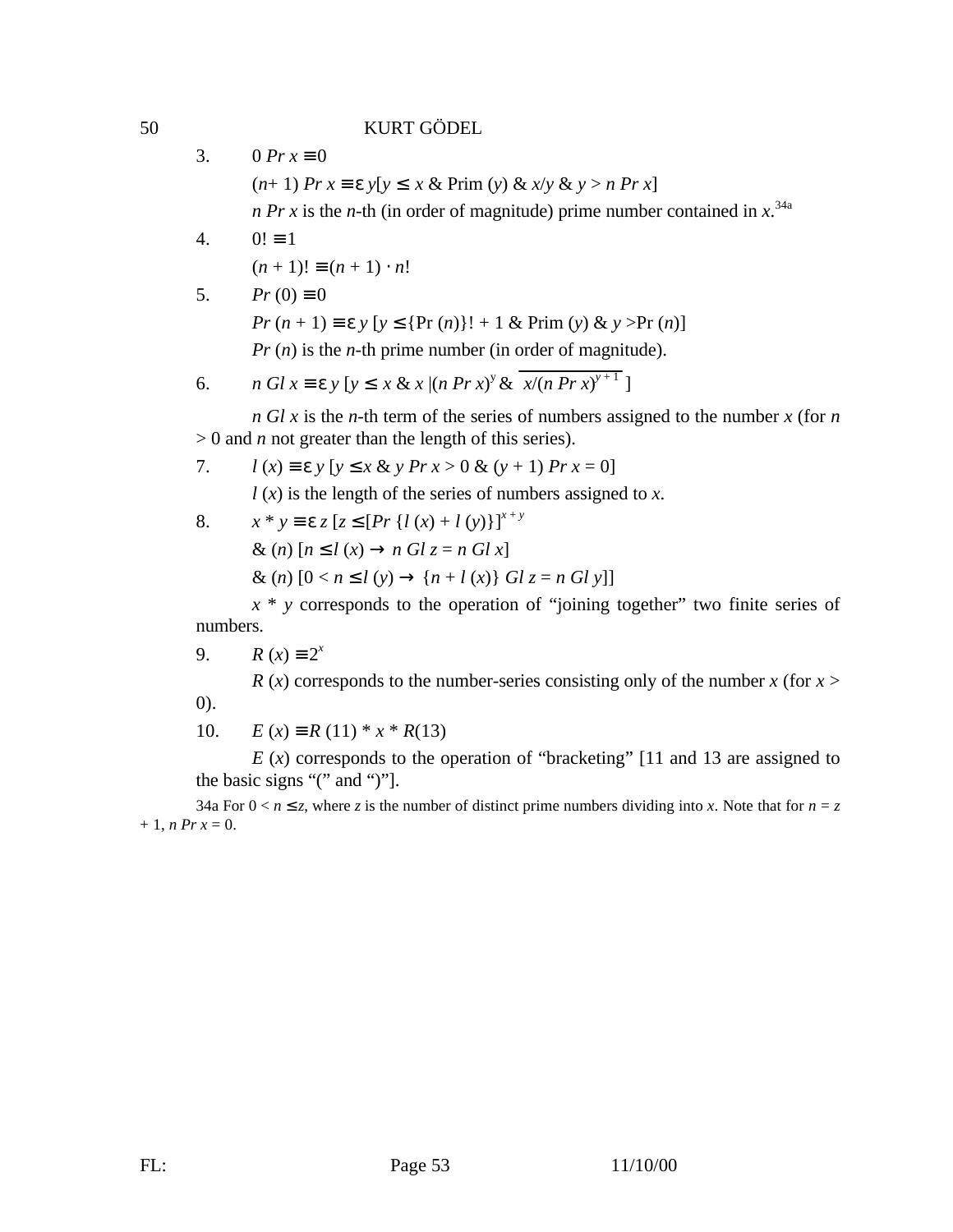- 3.  $0 \, Pr \, x \equiv 0$ (*n*+ 1) *Pr x* ≡ ε *y*[*y* ≤ *x* & Prim (*y*) & *x*/*y* & *y* > *n Pr x*] *n Pr x* is the *n*-th (in order of magnitude) prime number contained in  $x$ .<sup>34a</sup>
- 4.  $0! \equiv 1$  $(n + 1)! \equiv (n + 1) \cdot n!$

5.  $Pr(0) \equiv 0$  $Pr(n + 1) \equiv \varepsilon y [y \leq \{Pr(n)\}] + 1 \& Pr(m) \& y > Pr(n)$ *Pr* (*n*) is the *n*-th prime number (in order of magnitude).

6. *n Gl x* =  $\epsilon$  *y* [*y*  $\leq$  *x* & *x* |(*n Pr x*)<sup>*y*</sup> & *x*/(*n Pr x*)<sup>*y*+1</sup> ]

*n Gl x* is the *n*-th term of the series of numbers assigned to the number *x* (for *n*  $> 0$  and *n* not greater than the length of this series).

7. 
$$
l(x) = \varepsilon y [y \le x \& y Pr x > 0 \& (y + 1) Pr x = 0]
$$

 $l(x)$  is the length of the series of numbers assigned to *x*.

8.  $x * y \equiv \varepsilon z [z \leq [Pr {l (x) + l (y)}]^{x+y}$  $\&$  (*n*)  $[n \leq l(x) \rightarrow n \text{ Gl } z = n \text{ Gl } x]$ & (*n*)  $[0 < n \le l$  (*y*) →  ${n + l(x)}$  *Gl z* = *n Gl y*]]

*x* \* *y* corresponds to the operation of "joining together" two finite series of numbers.

9. 
$$
R(x) \equiv 2^x
$$

*R* (*x*) corresponds to the number-series consisting only of the number *x* (for  $x >$ 0).

10.  $E(x) = R(11) * x * R(13)$ 

 $E(x)$  corresponds to the operation of "bracketing" [11 and 13 are assigned to the basic signs "(" and ")"].

34a For  $0 \lt n \le z$ , where z is the number of distinct prime numbers dividing into x. Note that for  $n = z$  $+ 1, n Pr x = 0.$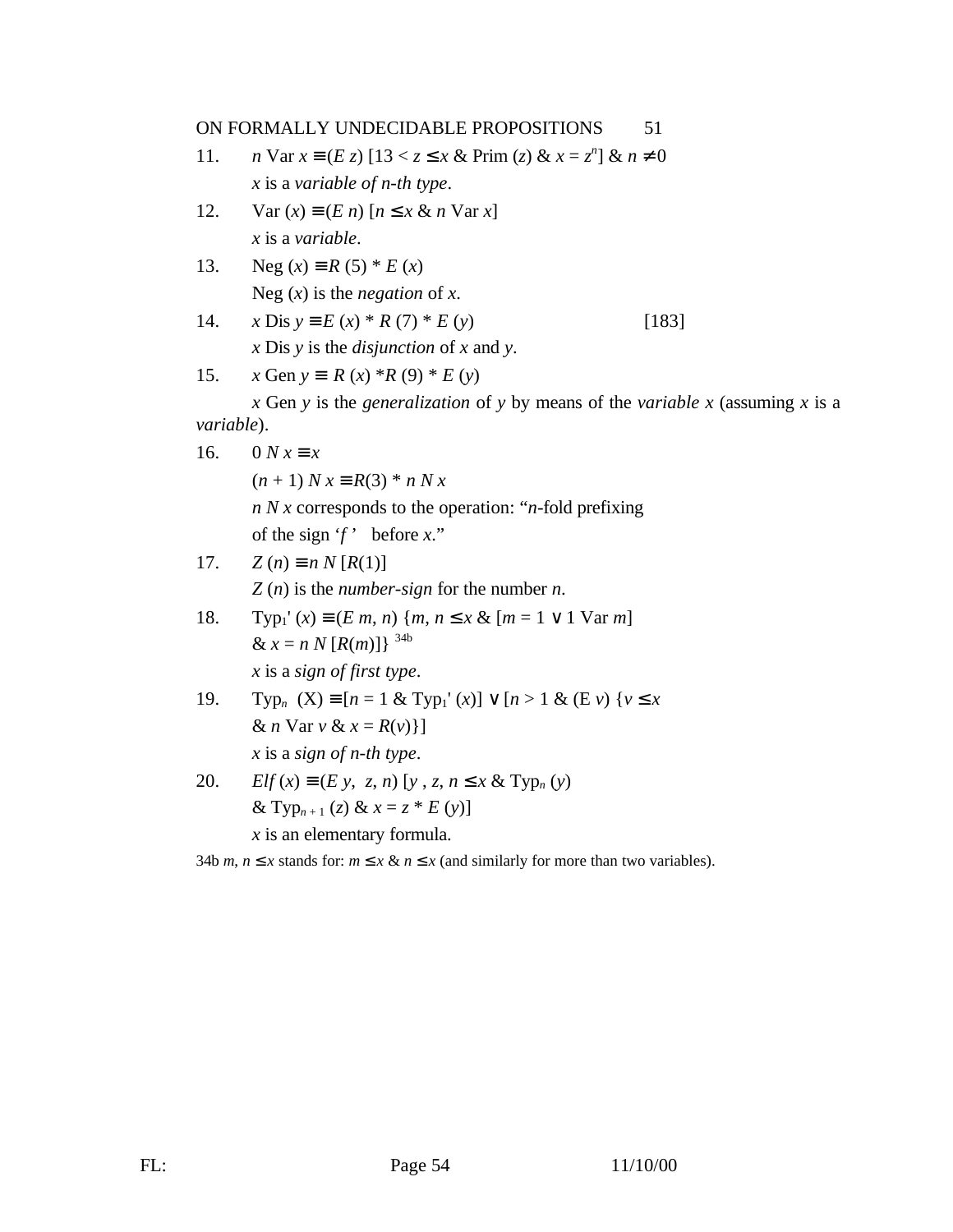- 11. *n* Var *x* ≡ (*E z*) [13 < *z* ≤ *x* & Prim (*z*) & *x* = *z*<sup>*n*</sup>] & *n* ≠ 0 *x* is a *variable of n*-*th type*.
- 12. Var  $(x)$  ≡  $(E n)$  [ $n \le x \& n$  Var  $x$ ] *x* is a *variable*.
- 13. Neg  $(x) = R(5) * E(x)$ Neg (*x*) is the *negation* of *x*.
- 14. *x* Dis  $y \equiv E(x) * R(7) * E(y)$  [183] *x* Dis *y* is the *disjunction* of *x* and *y*.

15. 
$$
x
$$
 Gen  $y \equiv R(x) * R(9) * E(y)$ 

*x* Gen *y* is the *generalization* of *y* by means of the *variable x* (assuming *x* is a *variable*).

- 16.  $0 \text{ } N x \equiv x$  $(n + 1)$  *N x* ≡ *R*(3) \* *n N x n N x* corresponds to the operation: "*n*-fold prefixing of the sign ' $f$ ' before  $x$ ."
- 17.  $Z(n) \equiv n N [R(1)]$ *Z* (*n*) is the *number*-*sign* for the number *n*. 18. Typ1' (*x*) ≡ (*E m*, *n*) {*m*, *n* ≤ *x* & [*m* = 1 ∨ 1 Var *m*]

18. 
$$
1 \text{ yp}_1 \ (x) \equiv (E \ m, n) \{m, n \le x \ \& [m = 1 \lor 1 \text{ Var } m]
$$
\n
$$
\& x = n \ N \ [R(m)]\}^{34b}
$$
\n
$$
x \text{ is a sign of first type.}
$$

19. 
$$
\text{Typ}_n(X) = [n = 1 \& \text{Typ}_1'(x)] \lor [n > 1 \& \text{(E } v) \{v \le x \& n \text{ Var } v \& x = R(v)\}]
$$
\n
$$
x \text{ is a sign of } n \text{-th type.}
$$

20. 
$$
E\{f(x) \equiv (E \, y, \, z, n) \, [y, z, n \le x \, \& \text{Typ}_n(y) \, \& \text{Typ}_{n+1}(z) \, \& x = z \,^* E(y)]
$$
  
\n*x* is an elementary formula.

34b *m*,  $n \le x$  stands for:  $m \le x \& n \le x$  (and similarly for more than two variables).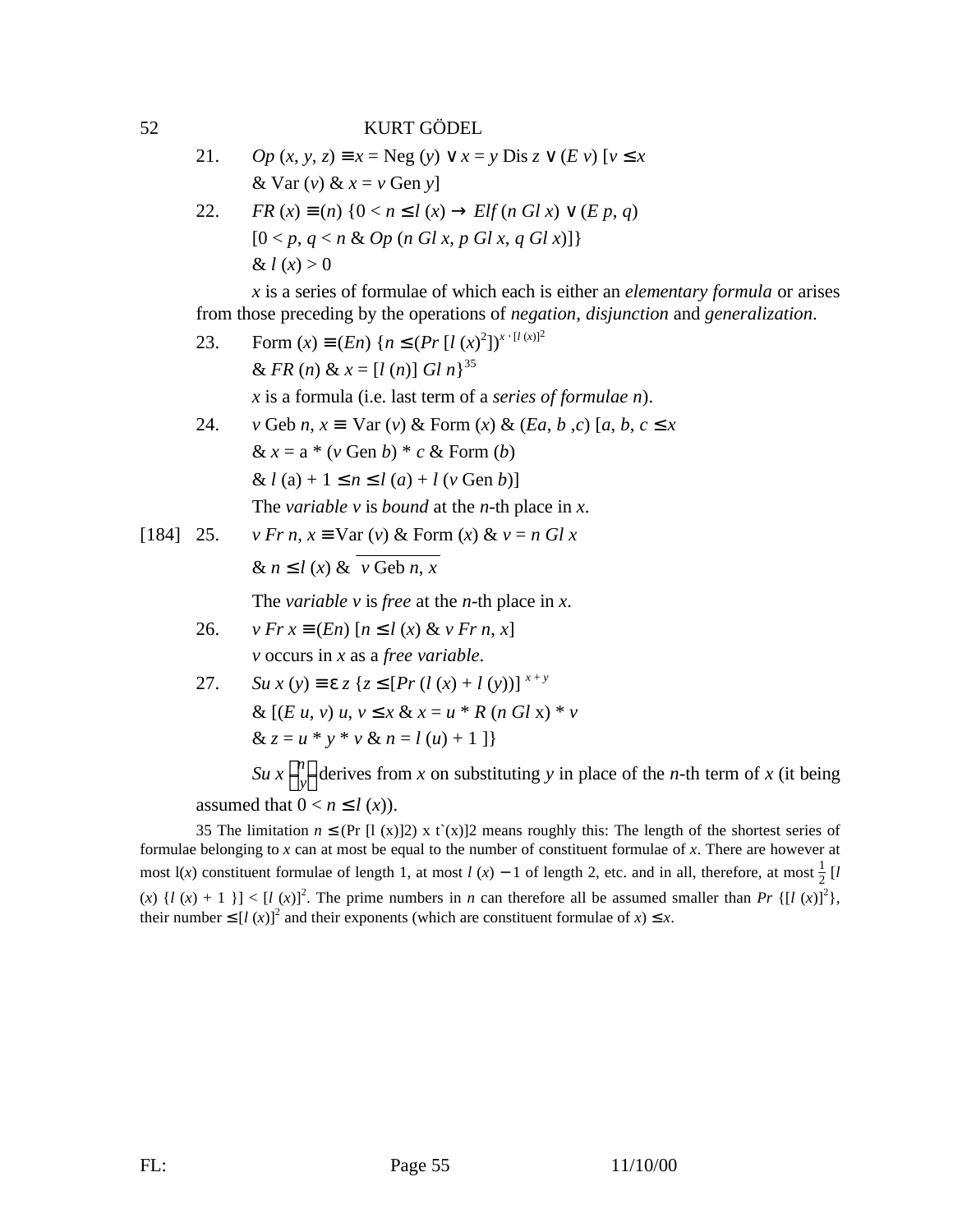- 21. *Op*  $(x, y, z) \equiv x = \text{Neg}(y) \lor x = y \text{Dis } z \lor (E y) [y \le x]$ & Var  $(v)$  &  $x = v$  Gen  $y$ ]
- 22. *FR*  $(x) \equiv (n) \{0 \le n \le l(x) \rightarrow Elf(n \text{ Gl } x) \vee (E p, q) \}$  $[0 < p, q < n \& Op (n \text{ Gl } x, p \text{ Gl } x, q \text{ Gl } x)]$  $& l(x) > 0$

*x* is a series of formulae of which each is either an *elementary formula* or arises from those preceding by the operations of *negation*, *disjunction* and *generalization*.

\n- \n 23. Form 
$$
(x) \equiv (En) \{ n \leq (Pr \left[ l \left( x \right)^2 \right])^{x \cdot [l \left( x \right)]^2}
$$
\n  $\& FR \left( n \right) \& x = \left[ l \left( n \right) \right] Gl \left( n \right)^{35}$ \n x is a formula (i.e. last term of a series of formulae n).\n
\n- \n 24. v Geb n,  $x \equiv \text{Var}(v) \& Form(x) \& (Ea, b, c) \left[ a, b, c \leq x \right] \& x = a * (v Gen b) * c \& Form (b) \& l \left( a \right) + 1 \leq n \leq l \left( a \right) + l \left( v Gen \left( b \right) \right) \right]$ \n The variable v is bound at the n-th place in x.\n
\n- \n [184] 25. v Fr n,  $x \equiv \text{Var}(v) \& Form(x) \& v = n Gl x \& n \leq l \left( x \right) \& \frac{v \text{ Geb} n}{v \text{ Geb} n, x}$ \n
\n

The *variable v* is *free* at the *n*-th place in *x*.

- 26. *v*  $Fr x \equiv (En) [n \leq l (x) \& v Fr n, x]$ *v* occurs in *x* as a *free variable*.
- 27. *Su*  $x (y) = \varepsilon z \{z \le [Pr (l (x) + l (y))]^{x+y}$ &  $[(E u, v) u, v \le x \& x = u * R (n G U x) * v]$  $\& z = u * y * v \& n = l(u) + 1]$

*Su x* ſ  $\overline{\phantom{a}}$  *n*  $\binom{n}{y}$  derives from *x* on substituting *y* in place of the *n*-th term of *x* (it being assumed that  $0 < n \leq l(x)$ .

35 The limitation  $n \leq (Pr [l (x)]2) x t'(x)$  means roughly this: The length of the shortest series of formulae belonging to *x* can at most be equal to the number of constituent formulae of *x*. There are however at most  $l(x)$  constituent formulae of length 1, at most  $l(x) - 1$  of length 2, etc. and in all, therefore, at most  $\frac{1}{2}$  [*l* (*x*)  $\{l(x) + 1\}$  |  $\langle$   $[l(x)]^2$ . The prime numbers in *n* can therefore all be assumed smaller than *Pr*  $\{[l(x)]^2\}$ , their number  $\leq [l(x)]^2$  and their exponents (which are constituent formulae of *x*)  $\leq$  *x*.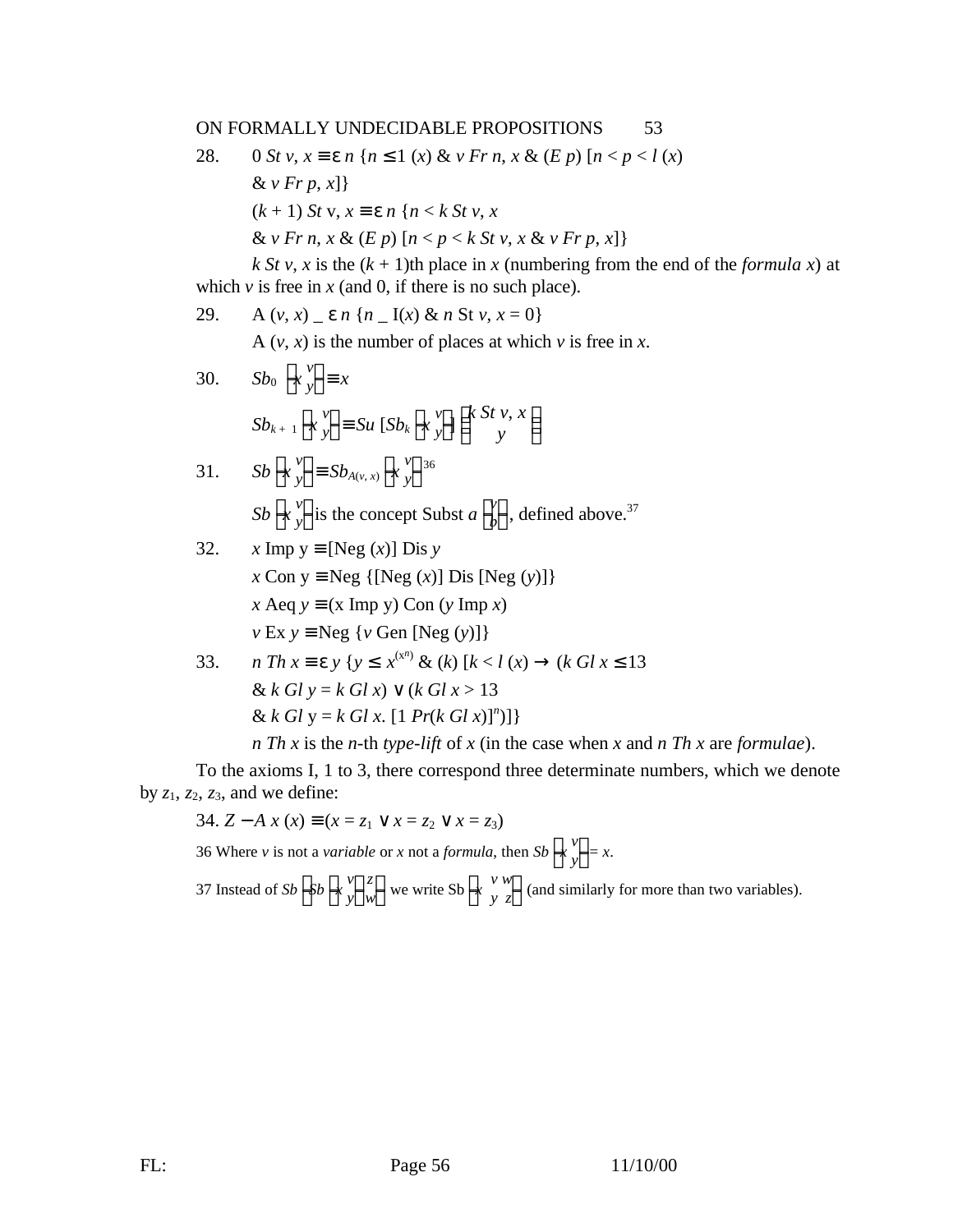28. 0 *St v*,  $x \equiv \varepsilon n$  { $n \le 1$  (*x*) & *v Fr n*,  $x$  & (*E p*) [ $n < p < l$  (*x*)  $\& v \ Frp, x$ }  $(k + 1)$  *St*  $v, x \equiv \varepsilon$  *n*  $\{n \leq k \leq t, v, x\}$ & *v Fr n*, *x* & (*E p*)  $[n < p < k$  *St v*, *x* & *v Fr p*, *x*]}

*k St v*, *x* is the  $(k + 1)$ th place in *x* (numbering from the end of the *formula x*) at which  $\nu$  is free in  $x$  (and 0, if there is no such place).

29. 
$$
A(v, x) = \varepsilon n \{n \ I(x) \& n \text{ St } v, x = 0\}
$$

A  $(v, x)$  is the number of places at which  $v$  is free in  $x$ .

30. 
$$
Sb_0(x_y^v) = x
$$
  
\n $Sb_{k+1}(x_y^v) = Su[Sh_k(x_y^v)](kSty, x)$   
\n31.  $Sb(x_y^v) = Sb_{A(y,x)}(x_y^v)^{36}$   
\n $Sb(x_y^v)$  is the concept Subst  $a(y)$ , defined above.<sup>37</sup>  
\n32.  $x \text{ Imp } y \equiv [\text{Neg } (x)] \text{ Dis } y$ 

\n- $$
x \text{ Con } y \equiv \text{Neg } (x)
$$
 Dis [Neg (y)]}
\n- $x \text{ Aeq } y \equiv (x \text{ Imp } y) \text{ Con } (y \text{ Imp } x)$
\n- $v \text{ Ex } y \equiv \text{Neg } \{v \text{ Gen } [\text{Neg } (y)]\}$
\n- $n \text{ Th } x \equiv \varepsilon y \{y \leq x^{(x^n)} \& (k) \left[k < l(x) \rightarrow (k \text{ Gl } x \leq 13 \land \& k \text{ Gl } y = k \text{ Gl } x) \vee (k \text{ Gl } x > 13 \land \& k \text{ Gl } y = k \text{ Gl } x. \left[1 \text{ Pr}(k \text{ Gl } x)\right]^n\right]$
\n- $n \text{ Th } x \text{ is the } n\text{-th type-lift of } x \text{ (in the case when } x \text{ and } n \text{ Th } x \text{ are formulae}.$
\n

To the axioms I, 1 to 3, there correspond three determinate numbers, which we denote by  $z_1$ ,  $z_2$ ,  $z_3$ , and we define:

\n- 34. 
$$
Z - A x(x) \equiv (x = z_1 \vee x = z_2 \vee x = z_3)
$$
\n- 36 Where *v* is not a *variable* or *x* not a *formula*, then  $Sb\left(x\frac{v}{y}\right) = x$ .
\n- 37 Instead of  $Sb\left[ Sb\left(x\frac{v}{y}\right)z \right]$  we write  $Sb\left(x\frac{v}{y} \frac{w}{z}\right)$  (and similarly for more than two variables).
\n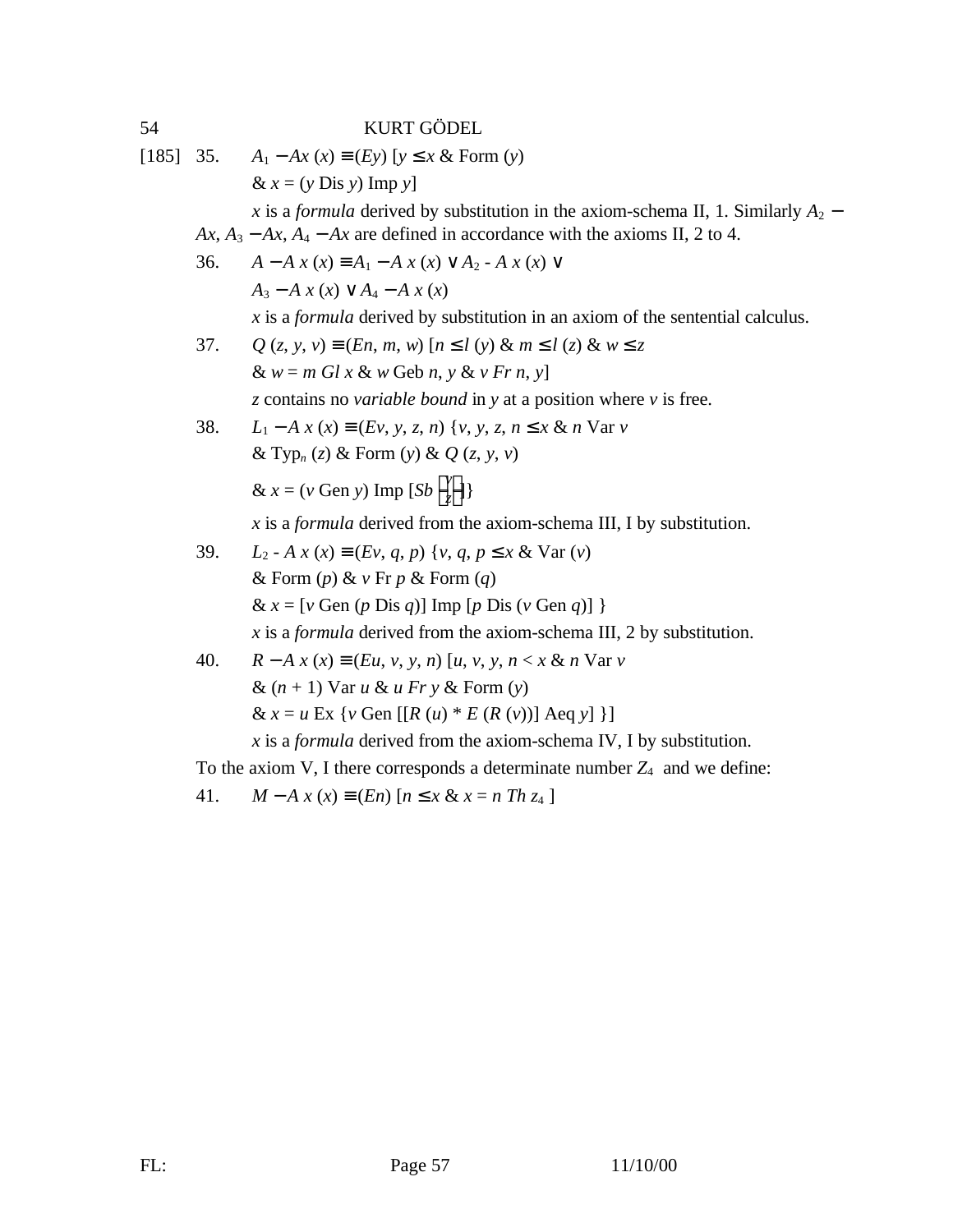- [185] 35. *A*<sup>1</sup> − *Ax* (*x*) ≡ (*Ey*) [*y* ≤ *x* & Form (*y*)  $\& x = (y \text{ Dis } y) \text{ Imp } y$ *x* is a *formula* derived by substitution in the axiom-schema II, 1. Similarly  $A_2$  − *Ax*,  $A_3 - Ax$ ,  $A_4 - Ax$  are defined in accordance with the axioms II, 2 to 4. 36. *A* − *A*  $x(x) \equiv A_1 - A x(x) \lor A_2 - A x(x) \lor$  $A_3 - A x (x) \vee A_4 - A x (x)$ *x* is a *formula* derived by substitution in an axiom of the sentential calculus. 37.  $Q(z, y, v) = (En, m, w) [n \le l(y) \& m \le l(z) \& w \le z]$  $\& w = m Gl x \& w Geb n, y \& v Fr n, y$ *z* contains no *variable bound* in *y* at a position where *v* is free. 38. *L*<sub>1</sub> − *A*  $x(x) \equiv (Ev, y, z, n) \{v, y, z, n \le x \& n \text{ Var } v$ & Typ<sub>n</sub> (*z*) & Form (*y*) &  $Q$  (*z*, *y*, *v*)  $\& x = (v \text{ Gen } y) \text{ Imp } [Sb]$  $\overline{\phantom{a}}$  *v*  $\left[\begin{array}{c} \chi \\ \chi \end{array}\right]$ *x* is a *formula* derived from the axiom-schema III, I by substitution. 39. *L*<sub>2</sub> - *A*  $x(x) \equiv (Ev, q, p) \{v, q, p \le x \& \text{Var}(v) \}$ & Form (*p*) & *v* Fr *p* & Form (*q*)  $\& x = [v \text{ Gen}(p \text{ Dis } q)] \text{ Imp}[p \text{ Dis}(v \text{ Gen } q)]$ *x* is a *formula* derived from the axiom-schema III, 2 by substitution. 40. *R* − *A x* (*x*) ≡ (*Eu*, *v*, *y*, *n*) [*u*, *v*, *y*, *n* < *x* & *n* Var *v* & (*n* + 1) Var *u* & *u Fr y* & Form (*y*)  $\& x = u \mathbb{E}x \{v \text{ Gen } [[R(u) * E(R(v))] \text{ Aeq } v] \}$ *x* is a *formula* derived from the axiom-schema IV, I by substitution. To the axiom V, I there corresponds a determinate number  $Z_4$  and we define:
	- 41. *M* − *A*  $x(x) \equiv (En) [n \le x \& x = n Th z<sub>4</sub> ]$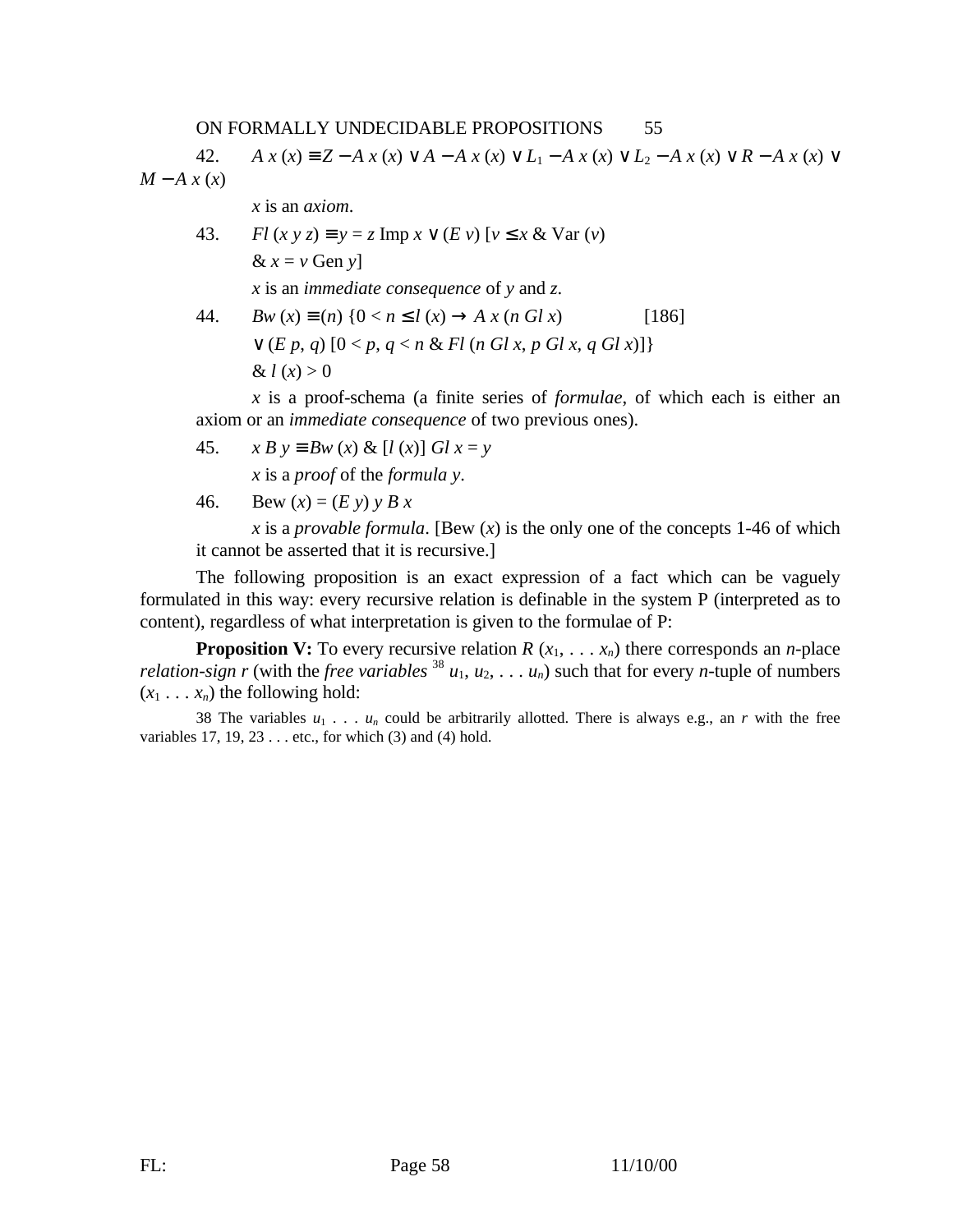42.  $A x (x) = Z - A x (x) \vee A - A x (x) \vee L_1 - A x (x) \vee L_2 - A x (x) \vee R - A x (x) \vee$  $M - A x(x)$ 

*x* is an *axiom*.

- 43. *Fl*  $(x \ y \ z) \equiv y = z$  Imp  $x \lor (E \ v)$  [ $v \le x \ & \text{Var}(v)$ ]  $\& x = v$  Gen y *x* is an *immediate consequence* of *y* and *z*.
- 44. *Bw*  $(x) \equiv (n) \{0 \le n \le l(x) \to A \times (n \text{ Gl } x) \}$  [186] ∨ (*E p*, *q*) [0 < *p*, *q* < *n* & *Fl* (*n Gl x*, *p Gl x*, *q Gl x*)]}  $& l(x) > 0$

*x* is a proof-schema (a finite series of *formulae*, of which each is either an axiom or an *immediate consequence* of two previous ones).

45.  $x B y \equiv Bw(x) \& [l(x)] G l x = y$ 

*x* is a *proof* of the *formula y*.

46. Bew  $(x) = (E y) y B x$ 

 $\bar{x}$  is a *provable formula*. [Bew  $(\bar{x})$  is the only one of the concepts 1-46 of which it cannot be asserted that it is recursive.]

The following proposition is an exact expression of a fact which can be vaguely formulated in this way: every recursive relation is definable in the system P (interpreted as to content), regardless of what interpretation is given to the formulae of P:

**Proposition V:** To every recursive relation  $R$  ( $x_1, \ldots, x_n$ ) there corresponds an *n*-place *relation-sign r* (with the *free variables*  $^{38}$   $u_1$ ,  $u_2$ , . . .  $u_n$ ) such that for every *n*-tuple of numbers  $(x_1 \ldots x_n)$  the following hold:

38 The variables  $u_1 \ldots u_n$  could be arbitrarily allotted. There is always e.g., an *r* with the free variables  $17, 19, 23...$  etc., for which  $(3)$  and  $(4)$  hold.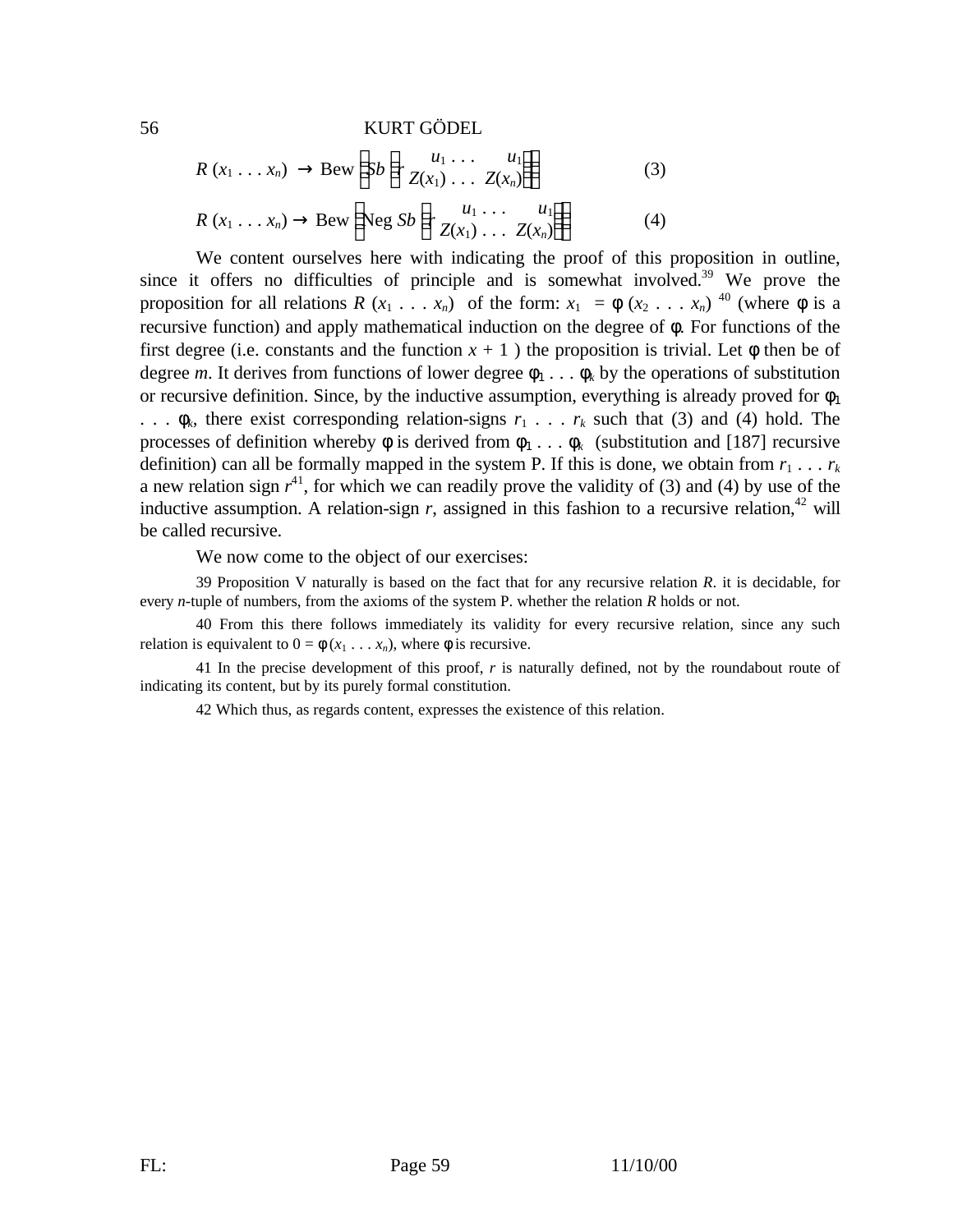$$
R(x_1 \ldots x_n) \to \text{Bew}\left[ Sb\left(r \frac{u_1 \ldots u_1}{Z(x_1) \ldots Z(x_n)}\right) \right] \tag{3}
$$
  

$$
R(x_1 \ldots x_n) \to \text{Bew}\left[\text{Neg } Sb\left(r \frac{u_1 \ldots u_1}{Z(x_1) \ldots Z(x_n)}\right) \right] \tag{4}
$$

We content ourselves here with indicating the proof of this proposition in outline, since it offers no difficulties of principle and is somewhat involved.<sup>39</sup> We prove the proposition for all relations *R* ( $x_1$  . . . *x<sub>n</sub>*) of the form:  $x_1 = \phi$  ( $x_2$  . . . *x<sub>n</sub>*) <sup>40</sup> (where  $\phi$  is a recursive function) and apply mathematical induction on the degree of φ. For functions of the first degree (i.e. constants and the function  $x + 1$ ) the proposition is trivial. Let  $\phi$  then be of degree *m*. It derives from functions of lower degree  $\phi_1 \ldots \phi_k$  by the operations of substitution or recursive definition. Since, by the inductive assumption, everything is already proved for  $\phi_1$ ...  $\phi_k$ , there exist corresponding relation-signs  $r_1$ ...  $r_k$  such that (3) and (4) hold. The processes of definition whereby  $\phi$  is derived from  $\phi_1 \ldots \phi_k$  (substitution and [187] recursive definition) can all be formally mapped in the system P. If this is done, we obtain from  $r_1 \ldots r_k$ a new relation sign  $r^{41}$ , for which we can readily prove the validity of (3) and (4) by use of the inductive assumption. A relation-sign *r*, assigned in this fashion to a recursive relation, <sup>42</sup> will be called recursive.

We now come to the object of our exercises:

39 Proposition V naturally is based on the fact that for any recursive relation *R*. it is decidable, for every *n*-tuple of numbers, from the axioms of the system P. whether the relation *R* holds or not.

40 From this there follows immediately its validity for every recursive relation, since any such relation is equivalent to  $0 = \phi(x_1, \ldots, x_n)$ , where  $\phi$  is recursive.

41 In the precise development of this proof, *r* is naturally defined, not by the roundabout route of indicating its content, but by its purely formal constitution.

42 Which thus, as regards content, expresses the existence of this relation.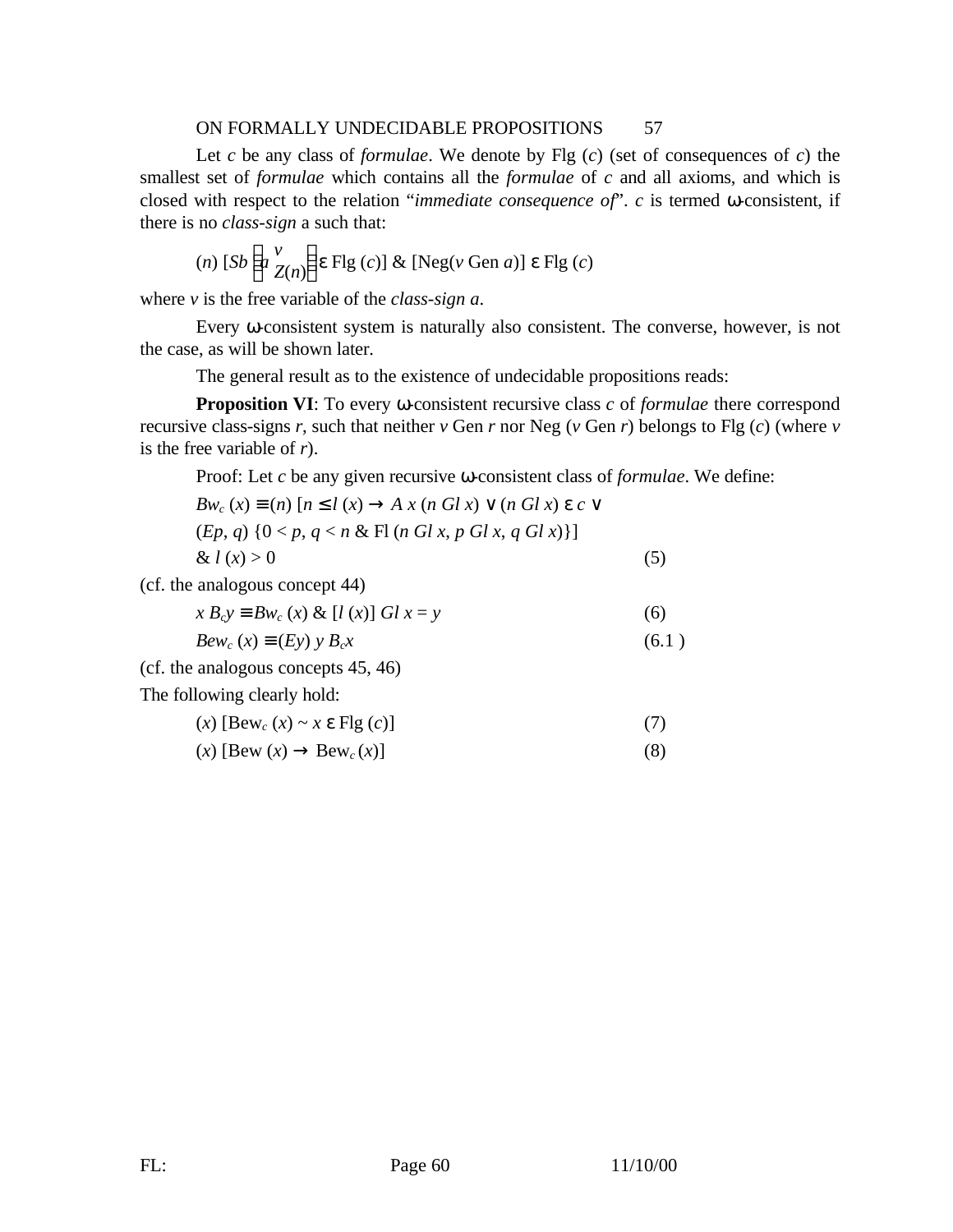Let *c* be any class of *formulae*. We denote by Flg (*c*) (set of consequences of *c*) the smallest set of *formulae* which contains all the *formulae* of *c* and all axioms, and which is closed with respect to the relation "*immediate consequence of*". *c* is termed ω-consistent, if there is no *class*-*sign* a such that:

(*n*) 
$$
[Sb\begin{pmatrix} v \\ aZ(n) \end{pmatrix} \varepsilon
$$
 Fig (*c*)] & [Neg(*v* Gen *a*)]  $\varepsilon$  Fig (*c*)

where *v* is the free variable of the *class*-*sign a*.

Every ω-consistent system is naturally also consistent. The converse, however, is not the case, as will be shown later.

The general result as to the existence of undecidable propositions reads:

**Proposition VI**: To every ω-consistent recursive class *c* of *formulae* there correspond recursive class-signs *r*, such that neither *v* Gen *r* nor Neg (*v* Gen *r*) belongs to Flg (*c*) (where *v* is the free variable of *r*).

Proof: Let *c* be any given recursive ω-consistent class of *formulae*. We define:

$$
Bw_c(x) \equiv (n) [n \le l (x) \rightarrow A x (n Gl x) \vee (n Gl x) \varepsilon c \vee
$$
  
(Ep, q) {0 < p, q < n & Fl (n Gl x, p Gl x, q Gl x)}]  
& l (x) > 0 (5)

(cf. the analogous concept 44)

$$
x B_c y \equiv B w_c (x) \& [l (x)] Gl x = y
$$
\n<sup>(6)</sup>

$$
Bew_c(x) \equiv (Ey) y B_c x \tag{6.1}
$$

(cf. the analogous concepts 45, 46)

The following clearly hold:

$$
(x) [Bewc (x) ~ x \in Fig (c)] \tag{7}
$$

$$
(x) [Bew (x) \rightarrow Bewc (x)] \tag{8}
$$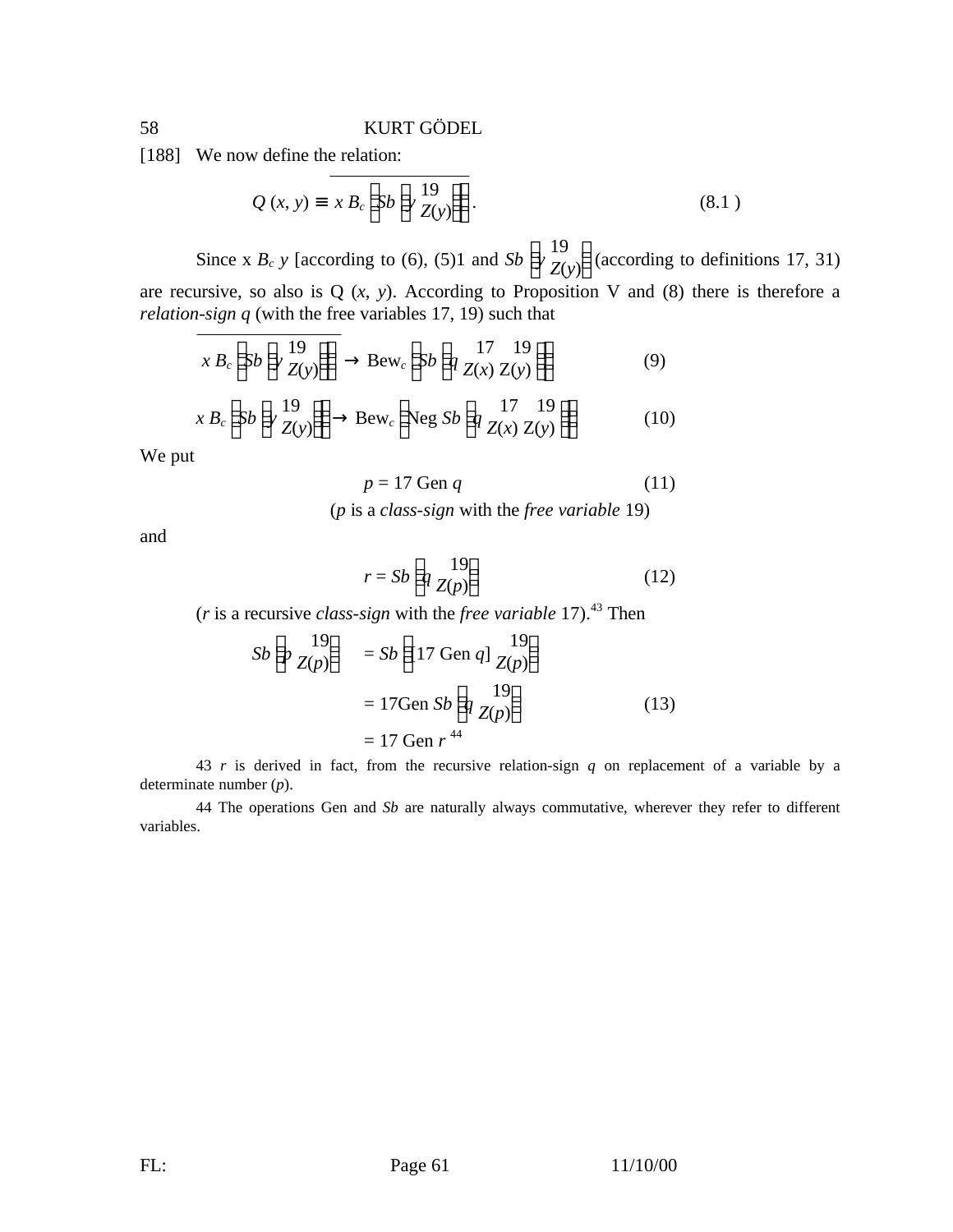[188] We now define the relation:

$$
Q(x, y) = x B_c \left[ Sb \left( y \frac{19}{Z(y)} \right) \right].
$$
 (8.1)

Since x  $B_c$  *y* [according to (6), (5)1 and *Sb*  $y \frac{19}{Z(y)}$ 19  $Z(y)$  (according to definitions 17, 31) are recursive, so also is  $Q(x, y)$ . According to Proposition V and (8) there is therefore a *relation*-*sign q* (with the free variables 17, 19) such that

$$
\overline{xB_c}\left[ Sb\left( y \frac{19}{Z(y)} \right) \right] \to \text{Bew}_c \left[ Sb\left( q \frac{17}{Z(x)} \frac{19}{Z(y)} \right) \right] \tag{9}
$$

$$
x B_c \left[ Sb \left( y \frac{19}{Z(y)} \right) \right] \to \text{Bew}_c \left[ \text{Neg } Sb \left( q \frac{17}{Z(x)} \frac{19}{Z(y)} \right) \right] \tag{10}
$$

We put

$$
p = 17 \text{ Gen } q \tag{11}
$$

(*p* is a *class*-*sign* with the *free variable* 19)

and

$$
r = Sb\left(q \frac{19}{Z(p)}\right) \tag{12}
$$

( $r$  is a recursive *class-sign* with the *free variable* 17).<sup>43</sup> Then

$$
Sb\left(p\frac{19}{Z(p)}\right) = Sb\left[\left[17 \text{ Gen } q\right] \frac{19}{Z(p)}\right)
$$
  
= 17 Gen  $Sb\left(q\frac{19}{Z(p)}\right)$  (13)  
= 17 Gen  $r^{44}$ 

43 *r* is derived in fact, from the recursive relation-sign *q* on replacement of a variable by a determinate number (*p*).

44 The operations Gen and *Sb* are naturally always commutative, wherever they refer to different variables.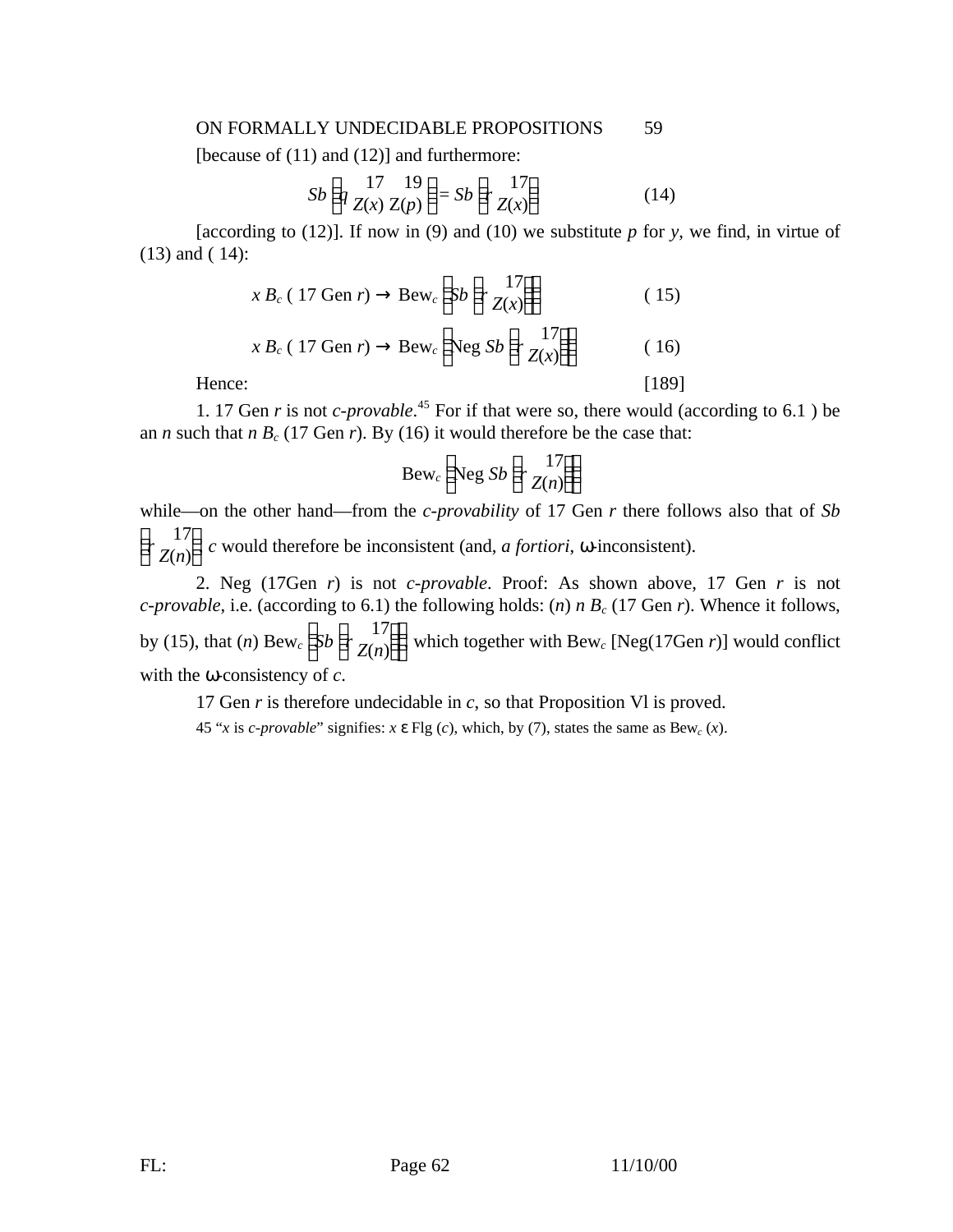[because of (11) and (12)] and furthermore:

$$
Sb\left(q\frac{17}{Z(x)}\frac{19}{Z(p)}\right) = Sb\left(r\frac{17}{Z(x)}\right) \tag{14}
$$

[according to (12)]. If now in (9) and (10) we substitute *p* for *y*, we find, in virtue of (13) and ( 14):

$$
x B_c (17 \text{ Gen } r) \rightarrow \text{Bew}_c \left[ Sb \left( r \frac{17}{Z(x)} \right) \right]
$$
 (15)  

$$
x B_c (17 \text{ Gen } r) \rightarrow \text{Bew}_c \left[ \text{Neg } Sb \left( r \frac{17}{Z(x)} \right) \right]
$$
 (16)

Hence: [189]

1. 17 Gen *r* is not *c*-*provable*. <sup>45</sup> For if that were so, there would (according to 6.1 ) be an *n* such that  $n B_c$  (17 Gen *r*). By (16) it would therefore be the case that:

$$
Bew_c\bigg[Neg Sb\bigg(r\frac{17}{Z(n)}\bigg)\bigg]
$$

while—on the other hand—from the *c*-*provability* of 17 Gen *r* there follows also that of *Sb*  $\bigg($  $\begin{pmatrix} 17 \\ Z(n) \end{pmatrix}$ 17  $Z(n)$  *c* would therefore be inconsistent (and, *a fortiori*, ω-inconsistent).

2. Neg (17Gen *r*) is not *c*-*provable*. Proof: As shown above, 17 Gen *r* is not *c*-*provable*, i.e. (according to 6.1) the following holds: (*n*) *n*  $B_c$  (17 Gen *r*). Whence it follows, by (15), that  $(n)$  Bew<sub>c</sub>  $Sb\left(r\frac{17}{Z(n)}\right)$  $\begin{pmatrix} 17 \\ Z(n) \end{pmatrix}$ 17  $Z(n)$ . which together with Bew<sub>c</sub> [Neg(17Gen *r*)] would conflict with the ω-consistency of *c*.

17 Gen *r* is therefore undecidable in *c*, so that Proposition Vl is proved.

45 "*x* is *c*-*provable*" signifies:  $x \in$  Flg (*c*), which, by (7), states the same as Bew<sub>*c*</sub> (*x*).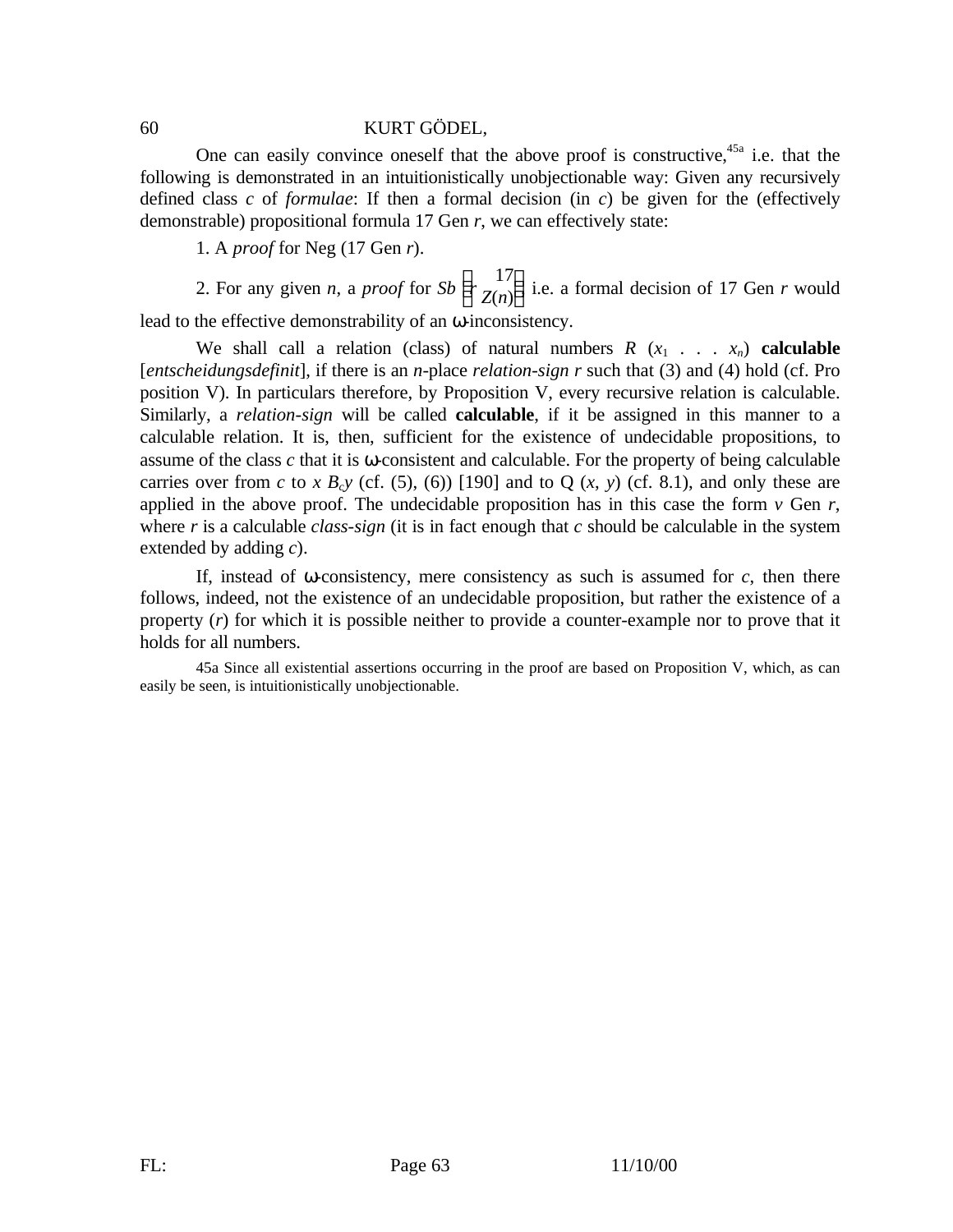One can easily convince oneself that the above proof is constructive,  $45a$  i.e. that the following is demonstrated in an intuitionistically unobjectionable way: Given any recursively defined class *c* of *formulae*: If then a formal decision (in *c*) be given for the (effectively demonstrable) propositional formula 17 Gen *r*, we can effectively state:

1. A *proof* for Neg (17 Gen *r*).

2. For any given *n*, a *proof* for  $Sb$  $\frac{17}{r}$ <br> $\frac{17}{Z(n)}$ 17  $Z(n)$  i.e. a formal decision of 17 Gen *r* would lead to the effective demonstrability of an ω-inconsistency.

We shall call a relation (class) of natural numbers  $R$  ( $x_1$  . . .  $x_n$ ) **calculable** [*entscheidungsdefinit*], if there is an *n*-place *relation*-*sign r* such that (3) and (4) hold (cf. Pro position V). In particulars therefore, by Proposition V, every recursive relation is calculable. Similarly, a *relation*-*sign* will be called **calculable**, if it be assigned in this manner to a calculable relation. It is, then, sufficient for the existence of undecidable propositions, to assume of the class  $c$  that it is  $\omega$ -consistent and calculable. For the property of being calculable carries over from *c* to *x*  $B_c$ *y* (cf. (5), (6)) [190] and to Q (*x*, *y*) (cf. 8.1), and only these are applied in the above proof. The undecidable proposition has in this case the form  $\nu$  Gen  $r$ , where *r* is a calculable *class*-*sign* (it is in fact enough that *c* should be calculable in the system extended by adding *c*).

If, instead of  $\omega$ -consistency, mere consistency as such is assumed for  $c$ , then there follows, indeed, not the existence of an undecidable proposition, but rather the existence of a property (*r*) for which it is possible neither to provide a counter-example nor to prove that it holds for all numbers.

45a Since all existential assertions occurring in the proof are based on Proposition V, which, as can easily be seen, is intuitionistically unobjectionable.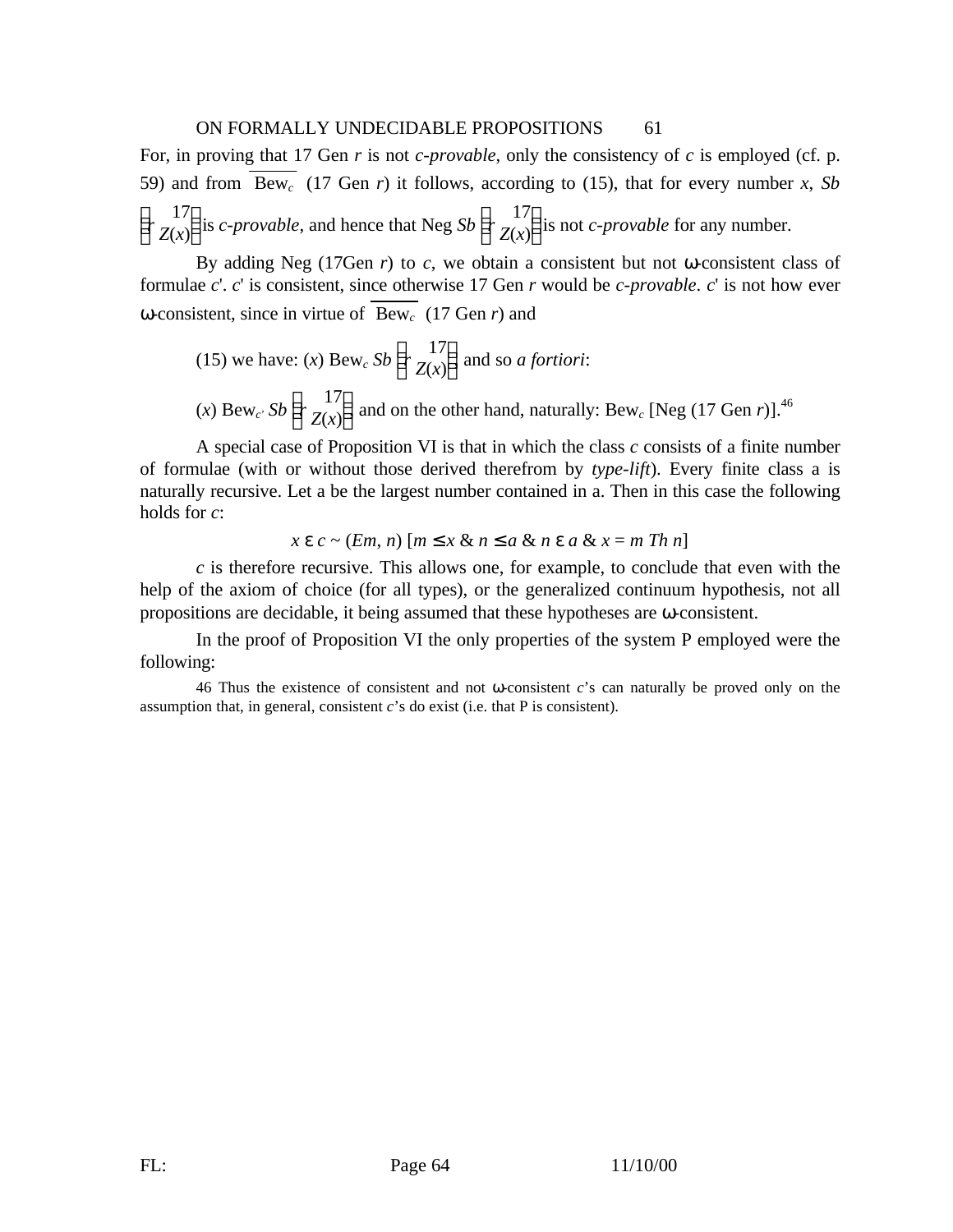For, in proving that 17 Gen *r* is not *c*-*provable*, only the consistency of *c* is employed (cf. p. 59) and from  $\overline{Bew_c}$  (17 Gen *r*) it follows, according to (15), that for every number *x*, *Sb*  $\Big($  $\frac{17}{r}$ <br>*r Z*(*x*) 17  $\begin{bmatrix} 17 \\ Z(x) \end{bmatrix}$  is *c*-*provable*, and hence that Neg *Sb*  $\begin{pmatrix} 17 \\ Z(x) \end{pmatrix}$ 17  $Z(x)$  is not *c*-*provable* for any number.

By adding Neg (17Gen *r*) to *c*, we obtain a consistent but not ω-consistent class of formulae *c*'. *c*' is consistent, since otherwise 17 Gen *r* would be *c*-*provable*. *c*' is not how ever ω-consistent, since in virtue of Bew*c* (17 Gen *r*) and

(15) we have: (x) Bew<sub>c</sub> Sb
$$
\left(r \frac{17}{Z(x)}\right)
$$
 and so *a fortiori*:  
(x) Bew<sub>c'</sub> Sb $\left(r \frac{17}{Z(x)}\right)$  and on the other hand, naturally: Bew<sub>c</sub> [Neg (17 Gen *r*)].<sup>46</sup>

A special case of Proposition VI is that in which the class *c* consists of a finite number of formulae (with or without those derived therefrom by *type*-*lift*). Every finite class a is naturally recursive. Let a be the largest number contained in a. Then in this case the following holds for *c*:

$$
x \in c \sim (Em, n) [m \le x \& n \le a \& n \in a \& x = m Th n]
$$

*c* is therefore recursive. This allows one, for example, to conclude that even with the help of the axiom of choice (for all types), or the generalized continuum hypothesis, not all propositions are decidable, it being assumed that these hypotheses are ω-consistent.

In the proof of Proposition VI the only properties of the system P employed were the following:

46 Thus the existence of consistent and not ω-consistent *c*'s can naturally be proved only on the assumption that, in general, consistent *c*'s do exist (i.e. that P is consistent).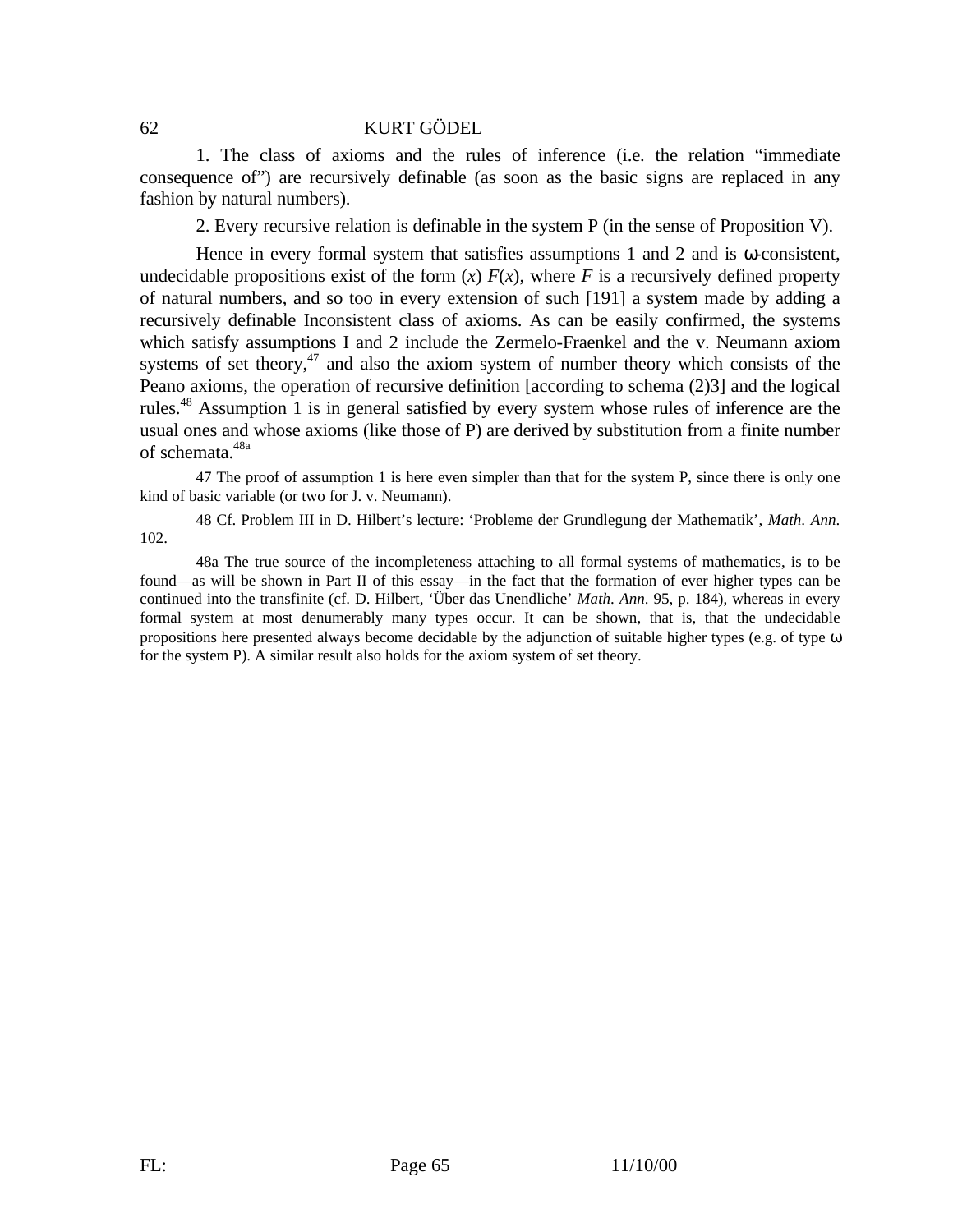1. The class of axioms and the rules of inference (i.e. the relation "immediate consequence of") are recursively definable (as soon as the basic signs are replaced in any fashion by natural numbers).

2. Every recursive relation is definable in the system P (in the sense of Proposition V).

Hence in every formal system that satisfies assumptions 1 and 2 and is  $\omega$ -consistent, undecidable propositions exist of the form  $(x) F(x)$ , where *F* is a recursively defined property of natural numbers, and so too in every extension of such [191] a system made by adding a recursively definable Inconsistent class of axioms. As can be easily confirmed, the systems which satisfy assumptions I and 2 include the Zermelo-Fraenkel and the v. Neumann axiom systems of set theory, $47$  and also the axiom system of number theory which consists of the Peano axioms, the operation of recursive definition [according to schema (2)3] and the logical rules.<sup>48</sup> Assumption 1 is in general satisfied by every system whose rules of inference are the usual ones and whose axioms (like those of P) are derived by substitution from a finite number of schemata.<sup>48a</sup>

47 The proof of assumption 1 is here even simpler than that for the system P, since there is only one kind of basic variable (or two for J. v. Neumann).

48 Cf. Problem III in D. Hilbert's lecture: 'Probleme der Grundlegung der Mathematik', *Math*. *Ann*. 102.

48a The true source of the incompleteness attaching to all formal systems of mathematics, is to be found—as will be shown in Part II of this essay—in the fact that the formation of ever higher types can be continued into the transfinite (cf. D. Hilbert, 'Über das Unendliche' *Math*. *Ann*. 95, p. 184), whereas in every formal system at most denumerably many types occur. It can be shown, that is, that the undecidable propositions here presented always become decidable by the adjunction of suitable higher types (e.g. of type ω for the system P). A similar result also holds for the axiom system of set theory.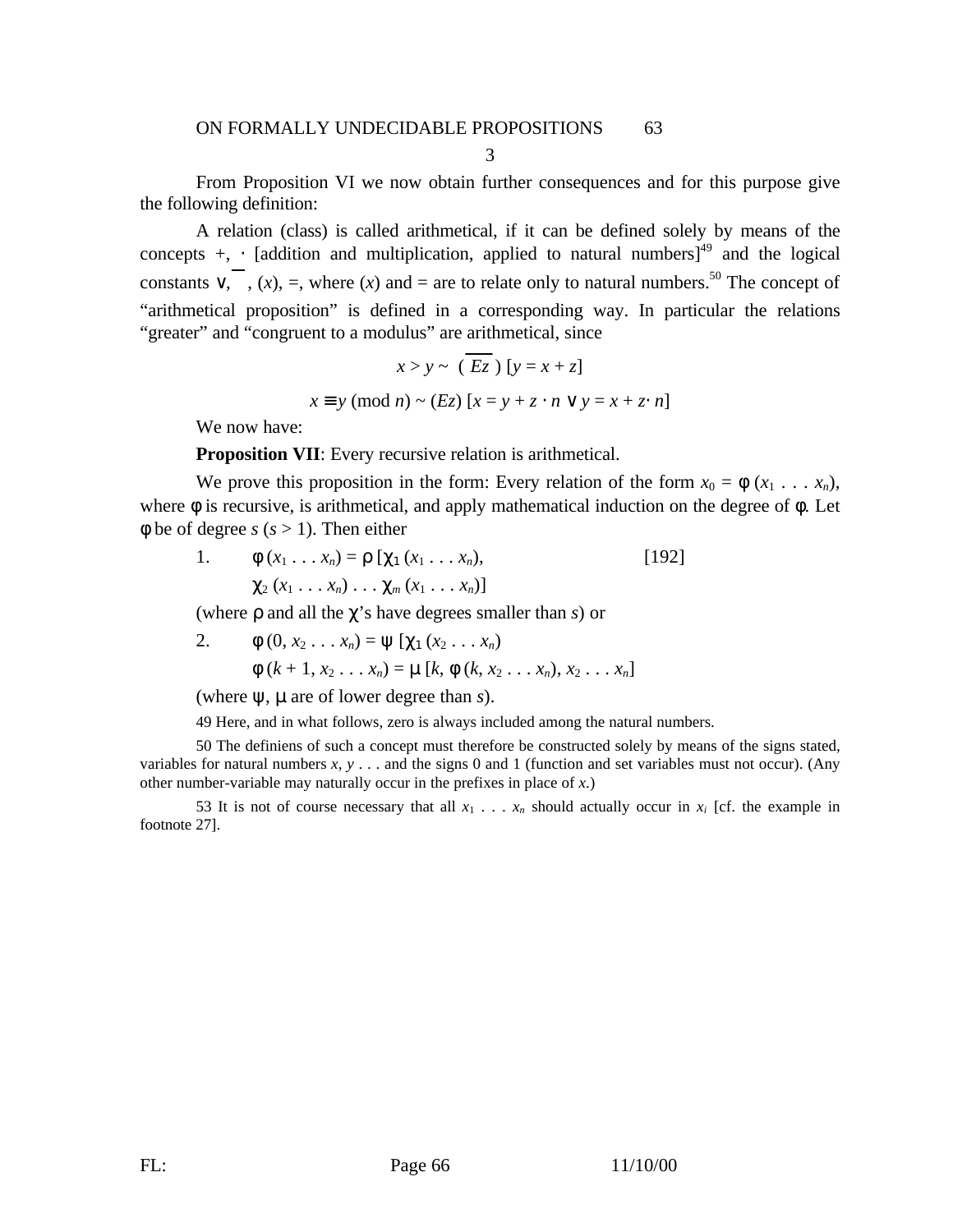3

From Proposition VI we now obtain further consequences and for this purpose give the following definition:

A relation (class) is called arithmetical, if it can be defined solely by means of the concepts +,  $\cdot$  [addition and multiplication, applied to natural numbers]<sup>49</sup> and the logical constants  $\vee$ ,  $(x)$ ,  $=$ , where  $(x)$  and  $=$  are to relate only to natural numbers.<sup>50</sup> The concept of "arithmetical proposition" is defined in a corresponding way. In particular the relations "greater" and "congruent to a modulus" are arithmetical, since

$$
x > y \sim (\overline{Ez}) [y = x + z]
$$
  

$$
x \equiv y \pmod{n} \sim (Ez) [x = y + z \cdot n \vee y = x + z \cdot n]
$$

We now have:

**Proposition VII**: Every recursive relation is arithmetical.

We prove this proposition in the form: Every relation of the form  $x_0 = \phi(x_1 \dots x_n)$ , where  $\phi$  is recursive, is arithmetical, and apply mathematical induction on the degree of  $\phi$ . Let  $\phi$  be of degree *s* (*s* > 1). Then either

1. 
$$
\phi(x_1 \ldots x_n) = \rho [\chi_1(x_1 \ldots x_n),
$$
  
\n
$$
\chi_2(x_1 \ldots x_n) \ldots \chi_m(x_1 \ldots x_n)]
$$
 [192]

(where ρ and all the χ's have degrees smaller than *s*) or

2. 
$$
\phi (0, x_2 ... x_n) = \psi [\chi_1 (x_2 ... x_n)
$$
  
 $\phi (k + 1, x_2 ... x_n) = \mu [k, \phi (k, x_2 ... x_n), x_2 ... x_n]$ 

(where ψ, μ are of lower degree than *s*).

49 Here, and in what follows, zero is always included among the natural numbers.

50 The definiens of such a concept must therefore be constructed solely by means of the signs stated, variables for natural numbers *x*, *y* . . . and the signs 0 and 1 (function and set variables must not occur). (Any other number-variable may naturally occur in the prefixes in place of *x*.)

53 It is not of course necessary that all  $x_1 \ldots x_n$  should actually occur in  $x_i$  [cf. the example in footnote 27].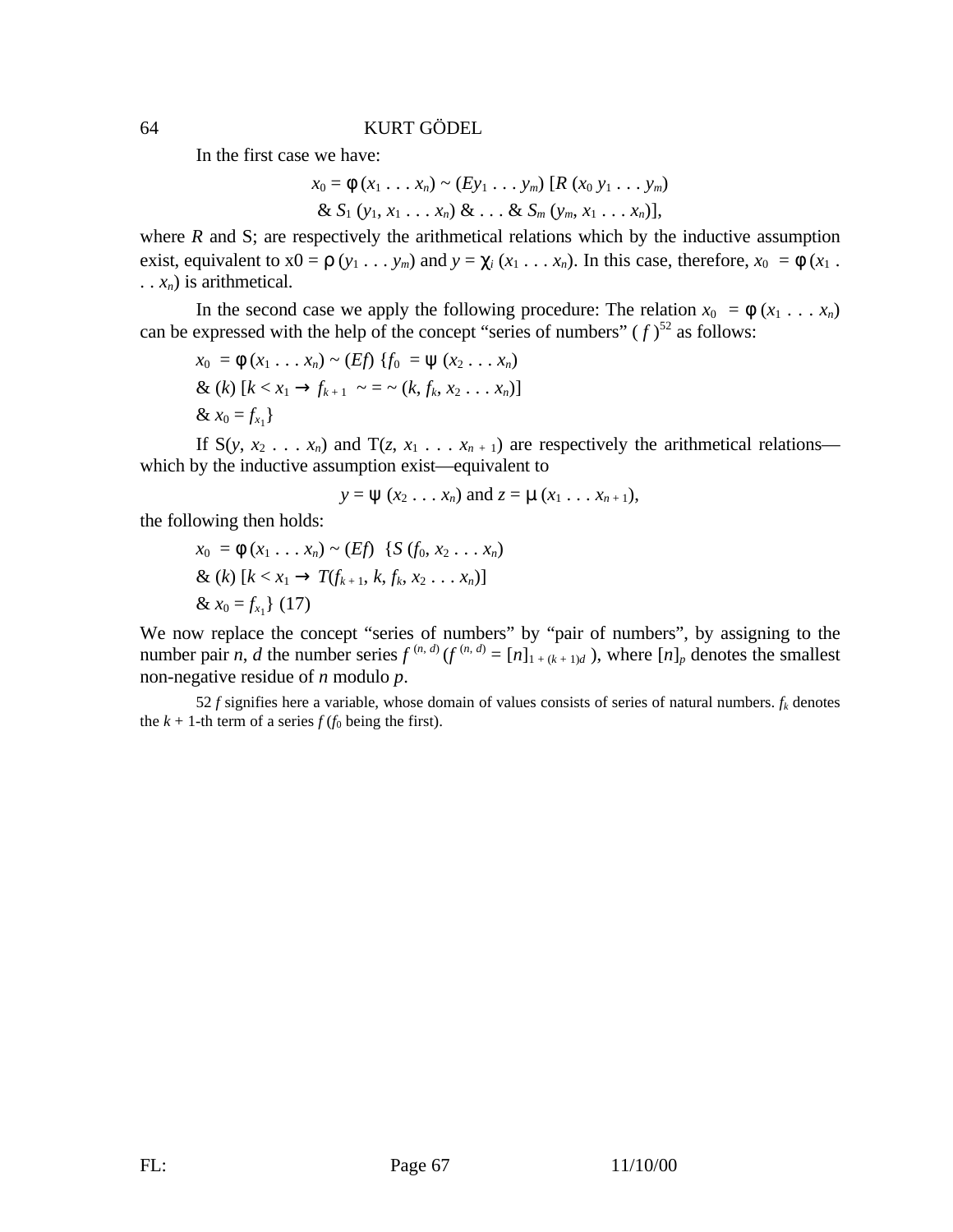In the first case we have:

$$
x_0 = \phi (x_1 \ldots x_n) \sim (Ey_1 \ldots y_m) [R (x_0 y_1 \ldots y_m) & S_1 (y_1, x_1 \ldots x_n) & \ldots & S_m (y_m, x_1 \ldots x_n)],
$$

where  $R$  and  $S$ ; are respectively the arithmetical relations which by the inductive assumption exist, equivalent to  $x0 = \rho$  ( $y_1 \ldots y_m$ ) and  $y = \chi_i(x_1 \ldots x_n)$ . In this case, therefore,  $x_0 = \phi(x_1)$ .  $(x, x_n)$  is arithmetical.

In the second case we apply the following procedure: The relation  $x_0 = \phi(x_1 \dots x_n)$ can be expressed with the help of the concept "series of numbers"  $(f)^{52}$  as follows:

$$
x_0 = \phi (x_1 \dots x_n) \sim (Ef) \{f_0 = \psi (x_2 \dots x_n) \& (k) [k < x_1 \rightarrow f_{k+1} \sim = \sim (k, f_k, x_2 \dots x_n)] \& x_0 = f_{x_1}
$$

If S(*y*,  $x_2$  . . .  $x_n$ ) and T(*z*,  $x_1$  . . .  $x_{n+1}$ ) are respectively the arithmetical relations which by the inductive assumption exist—equivalent to

$$
y = \psi(x_2 \ldots x_n) \text{ and } z = \mu(x_1 \ldots x_{n+1}),
$$

the following then holds:

$$
x_0 = \phi (x_1 \dots x_n) \sim (Ef) \{S (f_0, x_2 \dots x_n) \\ \& (k) [k < x_1 \rightarrow T(f_{k+1}, k, f_k, x_2 \dots x_n)] \\ \& x_0 = f_{x_1} \} (17)
$$

We now replace the concept "series of numbers" by "pair of numbers", by assigning to the number pair *n*, *d* the number series  $f^{(n,d)}(f^{(n,d)} = [n]_{1+(k+1)d}$ , where  $[n]_p$  denotes the smallest non-negative residue of *n* modulo *p*.

52  $f$  signifies here a variable, whose domain of values consists of series of natural numbers.  $f_k$  denotes the  $k + 1$ -th term of a series  $f(f_0)$  being the first).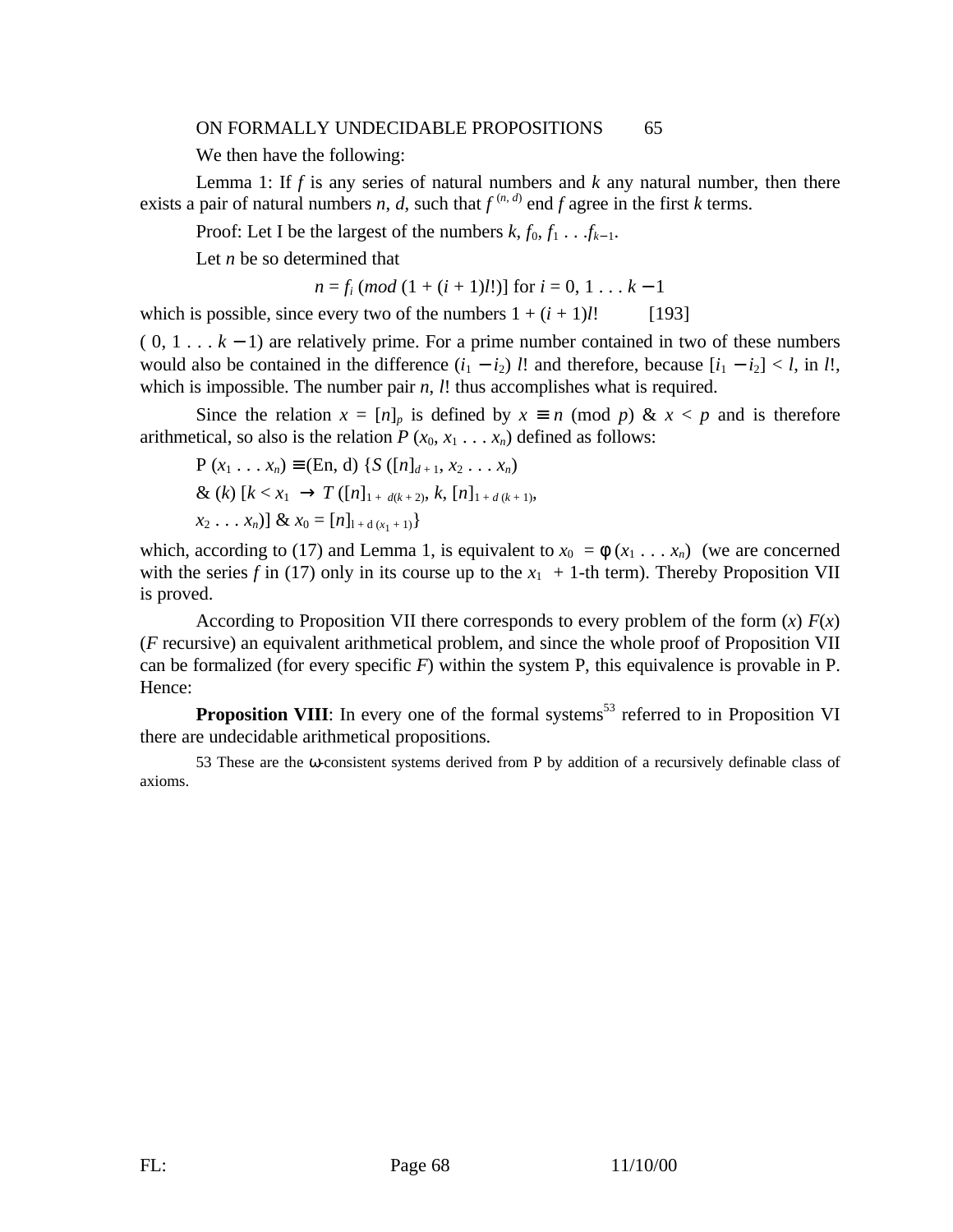We then have the following:

Lemma 1: If *f* is any series of natural numbers and *k* any natural number, then there exists a pair of natural numbers *n*, *d*, such that  $f^{(n,d)}$  end  $f$  agree in the first  $k$  terms.

Proof: Let I be the largest of the numbers  $k, f_0, f_1 \ldots f_{k-1}$ .

Let *n* be so determined that

$$
n = f_i \, (mod \, (1 + (i + 1)l!))
$$
 for  $i = 0, 1 \ldots k - 1$ 

which is possible, since every two of the numbers  $1 + (i + 1)l!$  [193]

 $(0, 1, \ldots, k-1)$  are relatively prime. For a prime number contained in two of these numbers would also be contained in the difference  $(i_1 - i_2)$  *l*! and therefore, because  $[i_1 - i_2] < l$ , in *l*!, which is impossible. The number pair *n*, *l*! thus accomplishes what is required.

Since the relation  $x = [n]_p$  is defined by  $x \equiv n \pmod{p}$  &  $x < p$  and is therefore arithmetical, so also is the relation  $P(x_0, x_1 \ldots x_n)$  defined as follows:

$$
P (x_1 \ldots x_n) = (En, d) \{ S ([n]_{d+1}, x_2 \ldots x_n)
$$
  
& (k)  $[k < x_1 \rightarrow T ([n]_{1+d(k+2)}, k, [n]_{1+d(k+1)}, x_2 \ldots x_n)]$  &  $x_0 = [n]_{1+d(x_1+1)}$ 

which, according to (17) and Lemma 1, is equivalent to  $x_0 = \phi(x_1 \dots x_n)$  (we are concerned with the series *f* in (17) only in its course up to the  $x_1 + 1$ -th term). Thereby Proposition VII is proved.

According to Proposition VII there corresponds to every problem of the form  $(x) F(x)$ (*F* recursive) an equivalent arithmetical problem, and since the whole proof of Proposition VII can be formalized (for every specific *F*) within the system P, this equivalence is provable in P. Hence:

**Proposition VIII**: In every one of the formal systems<sup>53</sup> referred to in Proposition VI there are undecidable arithmetical propositions.

53 These are the ω-consistent systems derived from P by addition of a recursively definable class of axioms.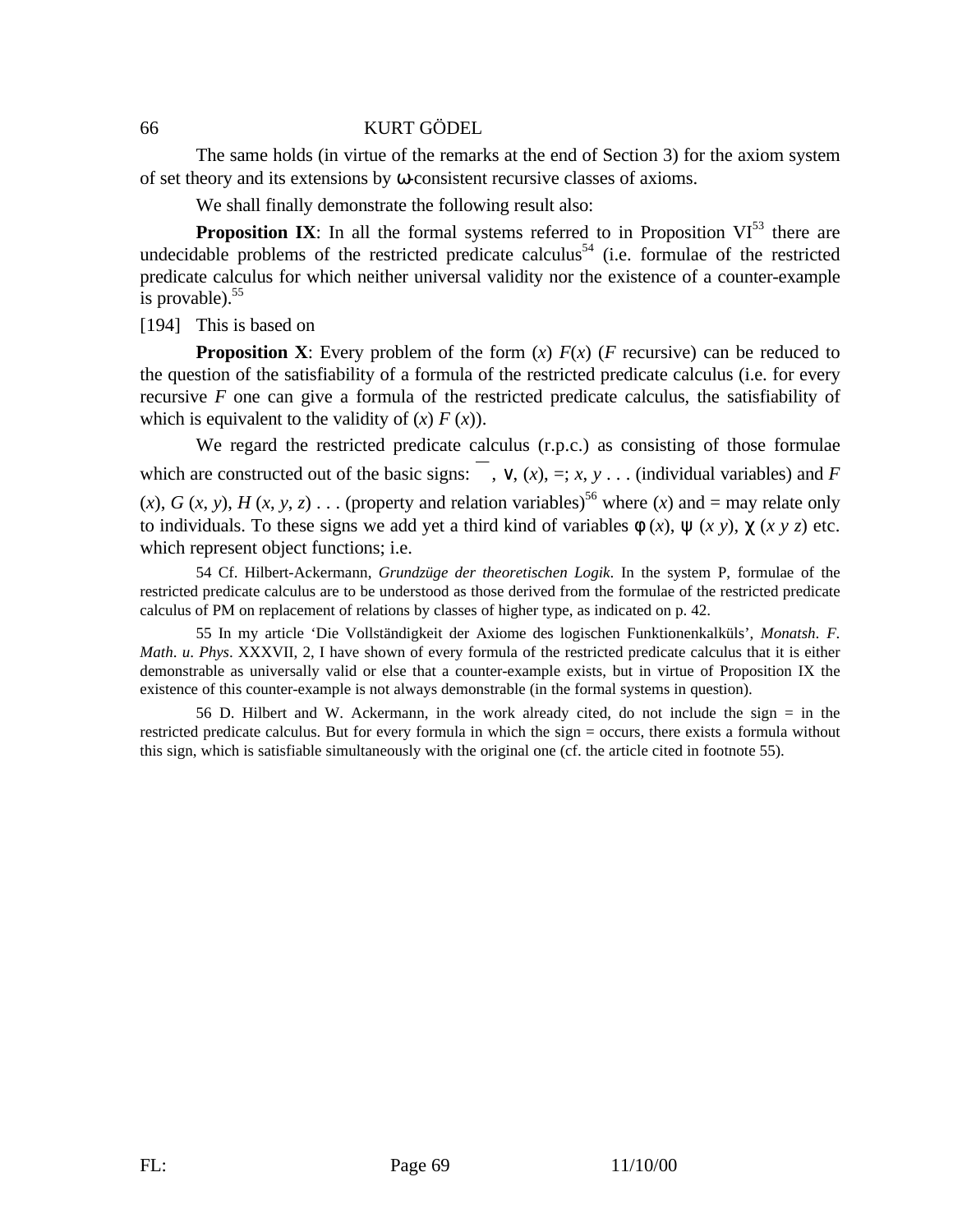The same holds (in virtue of the remarks at the end of Section 3) for the axiom system of set theory and its extensions by ω-consistent recursive classes of axioms.

We shall finally demonstrate the following result also:

**Proposition IX**: In all the formal systems referred to in Proposition  $VI^{53}$  there are undecidable problems of the restricted predicate calculus<sup>54</sup> (i.e. formulae of the restricted predicate calculus for which neither universal validity nor the existence of a counter-example is provable). $55$ 

[194] This is based on

**Proposition X**: Every problem of the form  $(x)$   $F(x)$  (*F* recursive) can be reduced to the question of the satisfiability of a formula of the restricted predicate calculus (i.e. for every recursive *F* one can give a formula of the restricted predicate calculus, the satisfiability of which is equivalent to the validity of  $(x) F(x)$ .

We regard the restricted predicate calculus (r.p.c.) as consisting of those formulae which are constructed out of the basic signs:  $\overline{\phantom{a}}$ ,  $\vee$ ,  $(x)$ ,  $\overline{\phantom{a}}$ ,  $\overline{\phantom{a}}$ ,  $\vee$ ,  $(x)$ ,  $\overline{\phantom{a}}$ ,  $\overline{\phantom{a}}$ ,  $\overline{\phantom{a}}$ ,  $\overline{\phantom{a}}$ ,  $\overline{\phantom{a}}$ ,  $\overline{\phantom{a}}$ ,  $\overline{\phantom{a}}$ ,  $\overline{\phantom{a}}$ ,  $\overline{\phant$ (*x*),  $G(x, y)$ ,  $H(x, y, z)$ ... (property and relation variables)<sup>56</sup> where (*x*) and = may relate only to individuals. To these signs we add yet a third kind of variables  $\phi(x)$ ,  $\psi(x, y)$ ,  $\chi(x, y, z)$  etc. which represent object functions; i.e.

54 Cf. Hilbert-Ackermann, *Grundzüge der theoretischen Logik*. In the system P, formulae of the restricted predicate calculus are to be understood as those derived from the formulae of the restricted predicate calculus of PM on replacement of relations by classes of higher type, as indicated on p. 42.

55 In my article 'Die Vollständigkeit der Axiome des logischen Funktionenkalküls', *Monatsh*. *F*. *Math*. *u*. *Phys*. XXXVII, 2, I have shown of every formula of the restricted predicate calculus that it is either demonstrable as universally valid or else that a counter-example exists, but in virtue of Proposition IX the existence of this counter-example is not always demonstrable (in the formal systems in question).

56 D. Hilbert and W. Ackermann, in the work already cited, do not include the sign = in the restricted predicate calculus. But for every formula in which the sign = occurs, there exists a formula without this sign, which is satisfiable simultaneously with the original one (cf. the article cited in footnote 55).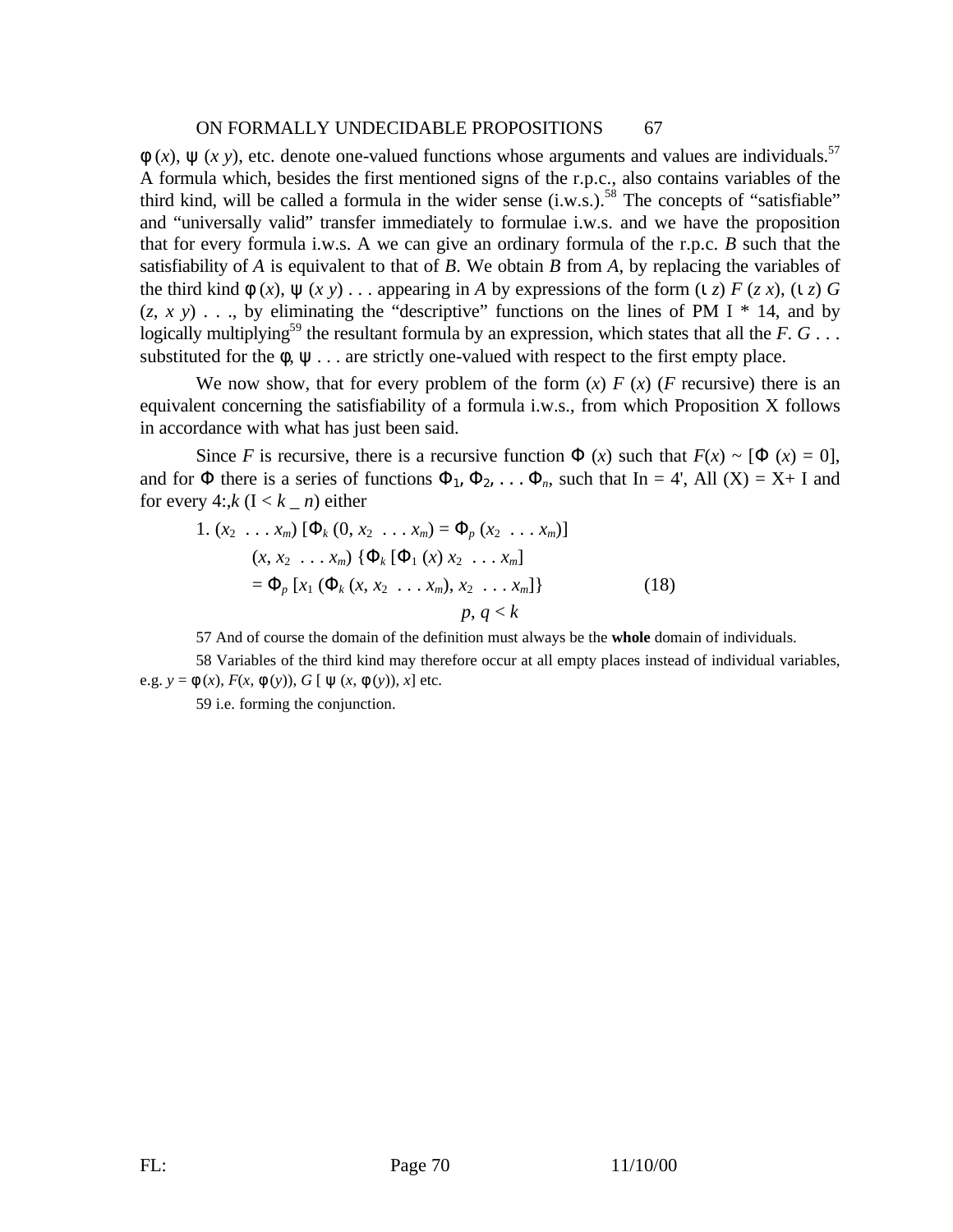$\phi(x)$ ,  $\psi(x, y)$ , etc. denote one-valued functions whose arguments and values are individuals.<sup>57</sup> A formula which, besides the first mentioned signs of the r.p.c., also contains variables of the third kind, will be called a formula in the wider sense  $(i.w.s.)$ <sup>58</sup>. The concepts of "satisfiable" and "universally valid" transfer immediately to formulae i.w.s. and we have the proposition that for every formula i.w.s. A we can give an ordinary formula of the r.p.c. *B* such that the satisfiability of *A* is equivalent to that of *B*. We obtain *B* from *A*, by replacing the variables of the third kind  $\phi(x)$ ,  $\psi(x y)$ ... appearing in *A* by expressions of the form (ι *z*) *F* (*z x*), (ι *z*) *G*  $(z, x, y)$ ..., by eliminating the "descriptive" functions on the lines of PM I  $*$  14, and by logically multiplying<sup>59</sup> the resultant formula by an expression, which states that all the  $F. G.$ ... substituted for the  $\phi$ ,  $\psi$ ... are strictly one-valued with respect to the first empty place.

We now show, that for every problem of the form  $(x) F(x)$  (*F* recursive) there is an equivalent concerning the satisfiability of a formula i.w.s., from which Proposition X follows in accordance with what has just been said.

Since *F* is recursive, there is a recursive function  $\Phi(x)$  such that  $F(x) \sim [\Phi(x) = 0]$ , and for  $\Phi$  there is a series of functions  $\Phi_1, \Phi_2, \ldots, \Phi_n$ , such that In = 4', All (X) = X+ I and for every 4:, $k$  ( $I < k$   $\angle$  *n*) either

1. 
$$
(x_2 \ldots x_m) [\Phi_k (0, x_2 \ldots x_m) = \Phi_p (x_2 \ldots x_m)]
$$
  
\n $(x, x_2 \ldots x_m) {\Phi_k [\Phi_1 (x) x_2 \ldots x_m]}$   
\n $= \Phi_p [x_1 (\Phi_k (x, x_2 \ldots x_m), x_2 \ldots x_m])$   
\n $p, q < k$  (18)

57 And of course the domain of the definition must always be the **whole** domain of individuals.

58 Variables of the third kind may therefore occur at all empty places instead of individual variables, e.g.  $y = \phi(x)$ ,  $F(x, \phi(y))$ ,  $G[\psi(x, \phi(y))$ ,  $x]$  etc.

59 i.e. forming the conjunction.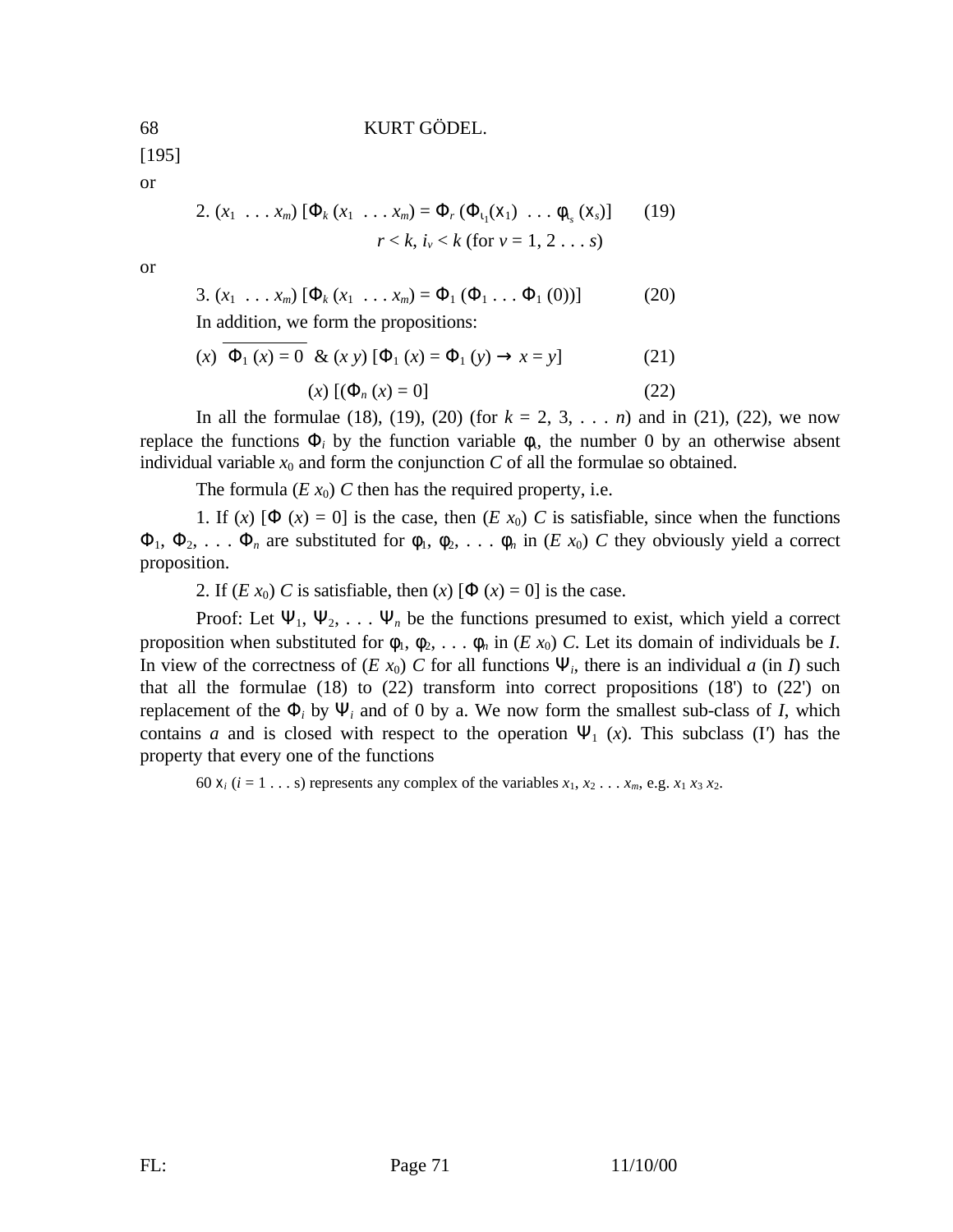[195] or

2. 
$$
(x_1 \dots x_m) [\Phi_k (x_1 \dots x_m) = \Phi_r (\Phi_{i_1}(x_1) \dots \Phi_{i_s}(x_s)]
$$
 (19)  
 $r < k, i_v < k$  (for  $v = 1, 2 \dots s$ )

or

3. 
$$
(x_1 \dots x_m) [\Phi_k (x_1 \dots x_m) = \Phi_1 (\Phi_1 \dots \Phi_1 (0))]
$$
 (20)  
In addition, we form the propositions:

In addition, we form the propositions:

$$
(x) \ \Phi_1(x) = 0 \ \& (x \ y) \ [\Phi_1(x) = \Phi_1(y) \to x = y] \tag{21}
$$
\n
$$
(x) \ [(\Phi_n(x) = 0] \tag{22}
$$

In all the formulae (18), (19), (20) (for  $k = 2, 3, \ldots n$ ) and in (21), (22), we now replace the functions  $Φ<sub>i</sub>$  by the function variable  $φ<sub>i</sub>$ , the number 0 by an otherwise absent individual variable  $x_0$  and form the conjunction C of all the formulae so obtained.

The formula  $(E x_0)$   $C$  then has the required property, i.e.

1. If (*x*)  $[\Phi(x) = 0]$  is the case, then  $(E x_0)$  *C* is satisfiable, since when the functions  $\Phi_1, \Phi_2, \ldots, \Phi_n$  are substituted for  $\phi_1, \phi_2, \ldots, \phi_n$  in  $(E \ x_0)$  *C* they obviously yield a correct proposition.

2. If  $(E x_0)$  *C* is satisfiable, then  $(x)$   $[\Phi(x) = 0]$  is the case.

Proof: Let  $\Psi_1, \Psi_2, \ldots, \Psi_n$  be the functions presumed to exist, which yield a correct proposition when substituted for  $\phi_1, \phi_2, \ldots, \phi_n$  in (*E x*<sub>0</sub>) *C*. Let its domain of individuals be *I*. In view of the correctness of  $(E x_0)$   $C$  for all functions  $\Psi_i$ , there is an individual  $a$  (in *I*) such that all the formulae  $(18)$  to  $(22)$  transform into correct propositions  $(18')$  to  $(22')$  on replacement of the  $\Phi_i$  by  $\Psi_i$  and of 0 by a. We now form the smallest sub-class of *I*, which contains *a* and is closed with respect to the operation  $\Psi_1(x)$ . This subclass (I<sup>'</sup>) has the property that every one of the functions

60  $x_i$  ( $i = 1 \ldots s$ ) represents any complex of the variables  $x_1, x_2 \ldots x_m$ , e.g.  $x_1 x_3 x_2$ .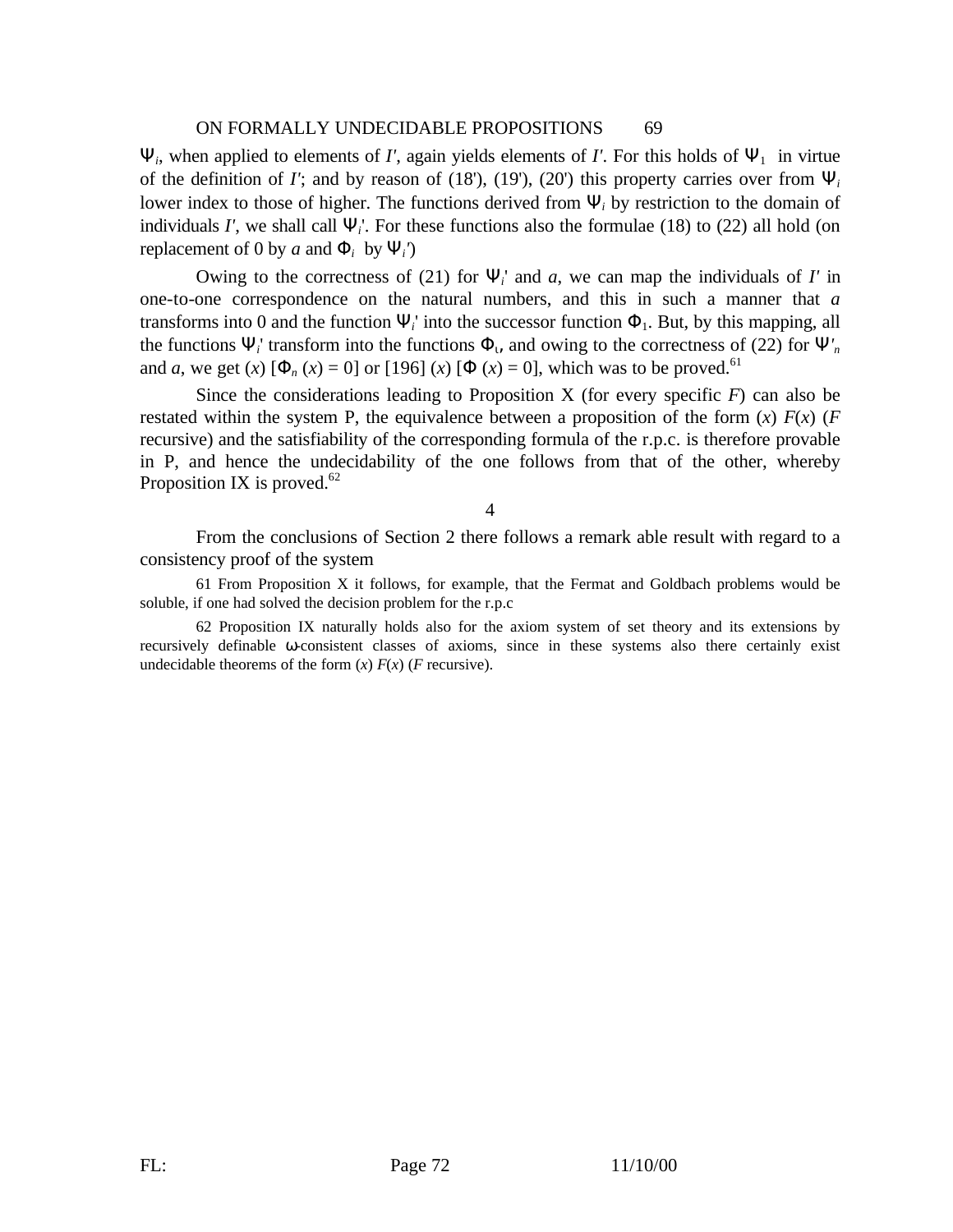$\Psi_i$ , when applied to elements of *I'*, again yields elements of *I'*. For this holds of  $\Psi_1$  in virtue of the definition of *I'*; and by reason of (18'), (19'), (20') this property carries over from  $\Psi_i$ lower index to those of higher. The functions derived from Ψ*i* by restriction to the domain of individuals *I'*, we shall call  $\Psi_i$ . For these functions also the formulae (18) to (22) all hold (on replacement of 0 by *a* and  $\Phi_i$  by  $\Psi_i'$ 

Owing to the correctness of (21) for  $\Psi_i$  and *a*, we can map the individuals of *I'* in one-to-one correspondence on the natural numbers, and this in such a manner that *a* transforms into 0 and the function  $\Psi_i$  into the successor function  $\Phi_1$ . But, by this mapping, all the functions  $\Psi$ <sup>*'*</sup> transform into the functions  $\Phi$ <sup>*i*</sup>, and owing to the correctness of (22) for  $\Psi'$ <sup>*'n*</sup></sup> and *a*, we get (*x*)  $[\Phi_n(x) = 0]$  or [196] (*x*)  $[\Phi(x) = 0]$ , which was to be proved.<sup>61</sup>

Since the considerations leading to Proposition X (for every specific *F*) can also be restated within the system P, the equivalence between a proposition of the form  $(x) F(x)$  (*F* recursive) and the satisfiability of the corresponding formula of the r.p.c. is therefore provable in P, and hence the undecidability of the one follows from that of the other, whereby Proposition IX is proved.<sup>62</sup>

4

From the conclusions of Section 2 there follows a remark able result with regard to a consistency proof of the system

61 From Proposition X it follows, for example, that the Fermat and Goldbach problems would be soluble, if one had solved the decision problem for the r.p.c

62 Proposition IX naturally holds also for the axiom system of set theory and its extensions by recursively definable ω-consistent classes of axioms, since in these systems also there certainly exist undecidable theorems of the form  $(x) F(x)$  (*F* recursive).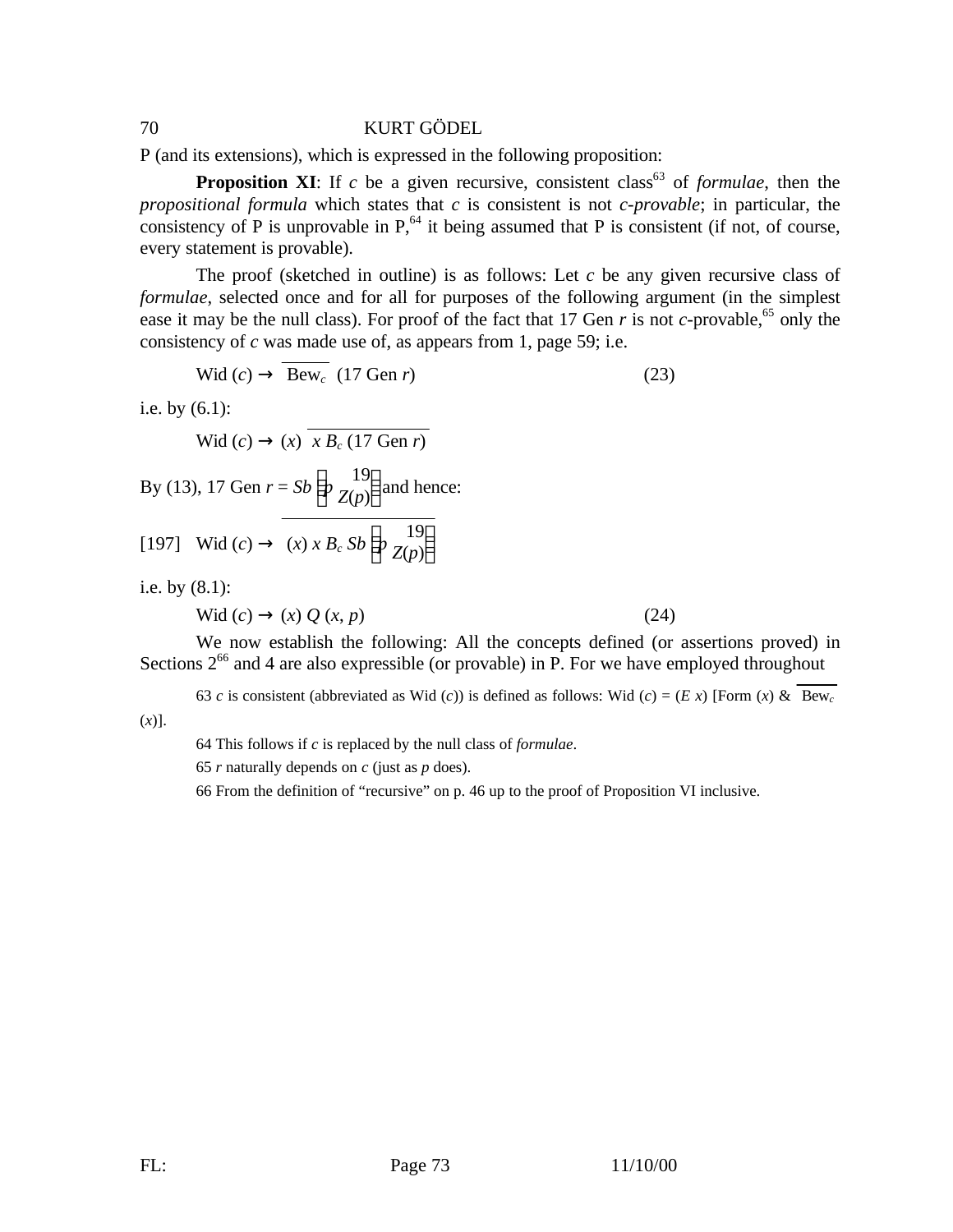## 70 KURT GÖDEL

P (and its extensions), which is expressed in the following proposition:

**Proposition XI:** If *c* be a given recursive, consistent class<sup>63</sup> of *formulae*, then the *propositional formula* which states that *c* is consistent is not *c*-*provable*; in particular, the consistency of P is unprovable in  $P<sub>1</sub><sup>64</sup>$  it being assumed that P is consistent (if not, of course, every statement is provable).

The proof (sketched in outline) is as follows: Let *c* be any given recursive class of *formulae*, selected once and for all for purposes of the following argument (in the simplest ease it may be the null class). For proof of the fact that 17 Gen  $r$  is not  $c$ -provable,<sup>65</sup> only the consistency of *c* was made use of, as appears from 1, page 59; i.e.

$$
\text{Wid}(c) \rightarrow \overline{\text{Bew}_c} \quad (17 \text{ Gen } r) \tag{23}
$$
\n
$$
\text{i.e. by (6.1):}
$$
\n
$$
\text{Wid}(c) \rightarrow (x) \overline{x} B_c \quad (17 \text{ Gen } r)
$$
\n
$$
\text{By (13), 17 Gen } r = Sb \left( p \frac{19}{Z(p)} \right) \text{and hence:}
$$
\n
$$
\text{[197]} \quad \text{Wid}(c) \rightarrow (x) x B_c Sb \left( p \frac{19}{Z(p)} \right)
$$
\n
$$
\text{i.e. by (8.1):}
$$
\n
$$
\text{Wid}(c) \rightarrow (x) Q(x, p) \tag{24}
$$

We now establish the following: All the concepts defined (or assertions proved) in Sections  $2^{66}$  and 4 are also expressible (or provable) in P. For we have employed throughout

63 *c* is consistent (abbreviated as Wid (*c*)) is defined as follows: Wid (*c*) = (*E x*) [Form (*x*) &  $\overline{Bew_c}$ (*x*)].

64 This follows if *c* is replaced by the null class of *formulae*.

65 *r* naturally depends on *c* (just as *p* does).

66 From the definition of "recursive" on p. 46 up to the proof of Proposition VI inclusive.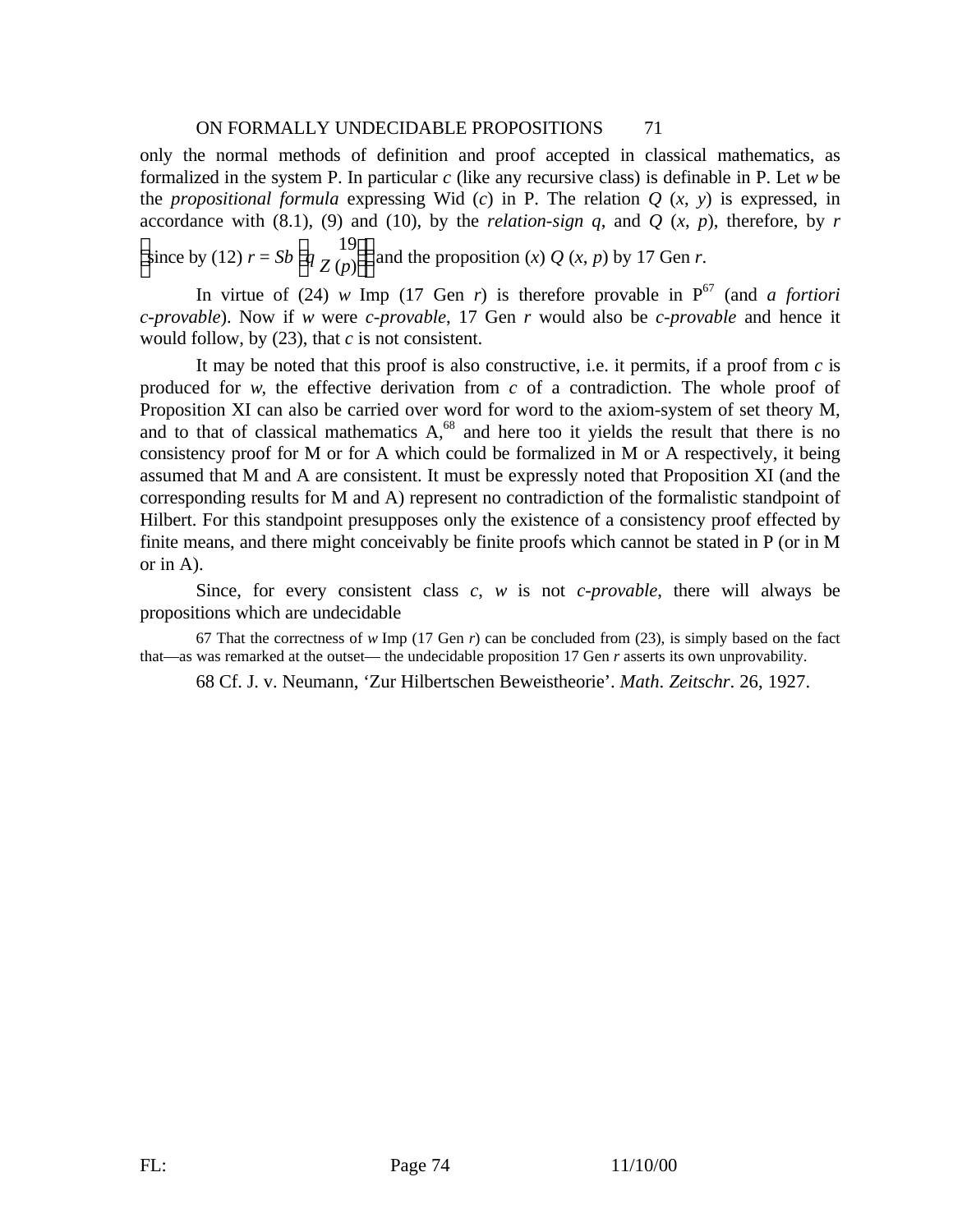## ON FORMALLY UNDECIDABLE PROPOSITIONS 71

only the normal methods of definition and proof accepted in classical mathematics, as formalized in the system P. In particular *c* (like any recursive class) is definable in P. Let *w* be the *propositional formula* expressing Wid (*c*) in P. The relation  $Q(x, y)$  is expressed, in accordance with (8.1), (9) and (10), by the *relation-sign*  $q$ , and  $Q(x, p)$ , therefore, by  $r$  $\overline{\phantom{a}}$ since by (12)  $r = Sb\left(q\frac{19}{Z(p)}\right)$  $\frac{19}{Z(p)}$ 19  $Z(p)$  and the proposition (*x*)  $Q(x, p)$  by 17 Gen *r*.

In virtue of (24) *w* Imp (17 Gen *r*) is therefore provable in  $P^{67}$  (and *a fortiori c*-*provable*). Now if *w* were *c*-*provable*, 17 Gen *r* would also be *c*-*provable* and hence it would follow, by (23), that *c* is not consistent.

It may be noted that this proof is also constructive, i.e. it permits, if a proof from *c* is produced for *w*, the effective derivation from *c* of a contradiction. The whole proof of Proposition XI can also be carried over word for word to the axiom-system of set theory M, and to that of classical mathematics  $A<sub>0</sub><sup>68</sup>$  and here too it yields the result that there is no consistency proof for M or for A which could be formalized in M or A respectively, it being assumed that M and A are consistent. It must be expressly noted that Proposition XI (and the corresponding results for M and A) represent no contradiction of the formalistic standpoint of Hilbert. For this standpoint presupposes only the existence of a consistency proof effected by finite means, and there might conceivably be finite proofs which cannot be stated in P (or in M or in A).

Since, for every consistent class *c*, *w* is not *c*-*provable*, there will always be propositions which are undecidable

67 That the correctness of *w* Imp (17 Gen *r*) can be concluded from (23), is simply based on the fact that—as was remarked at the outset— the undecidable proposition 17 Gen *r* asserts its own unprovability.

68 Cf. J. v. Neumann, 'Zur Hilbertschen Beweistheorie'. *Math*. *Zeitschr*. 26, 1927.